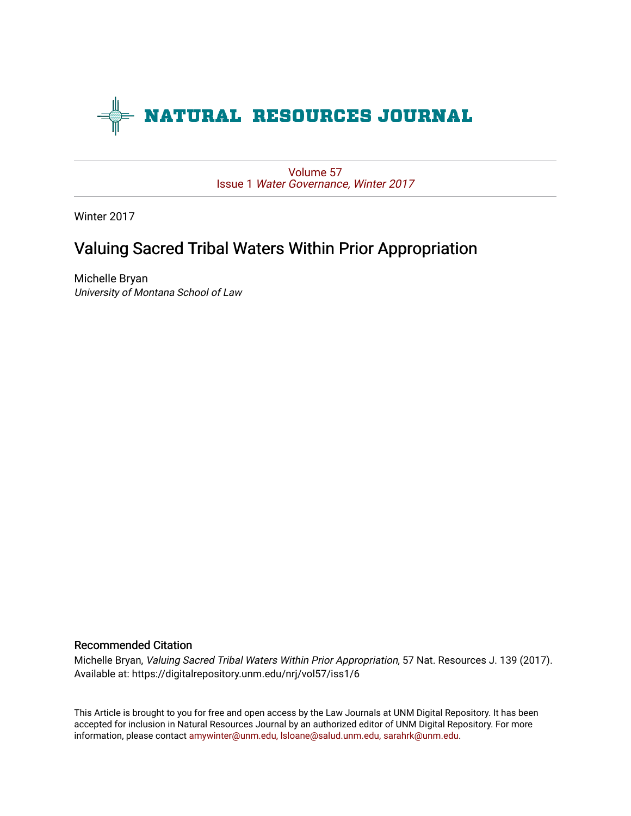

[Volume 57](https://digitalrepository.unm.edu/nrj/vol57) Issue 1 [Water Governance, Winter 2017](https://digitalrepository.unm.edu/nrj/vol57/iss1) 

Winter 2017

# Valuing Sacred Tribal Waters Within Prior Appropriation

Michelle Bryan University of Montana School of Law

# Recommended Citation

Michelle Bryan, Valuing Sacred Tribal Waters Within Prior Appropriation, 57 Nat. Resources J. 139 (2017). Available at: https://digitalrepository.unm.edu/nrj/vol57/iss1/6

This Article is brought to you for free and open access by the Law Journals at UNM Digital Repository. It has been accepted for inclusion in Natural Resources Journal by an authorized editor of UNM Digital Repository. For more information, please contact [amywinter@unm.edu, lsloane@salud.unm.edu, sarahrk@unm.edu](mailto:amywinter@unm.edu,%20lsloane@salud.unm.edu,%20sarahrk@unm.edu).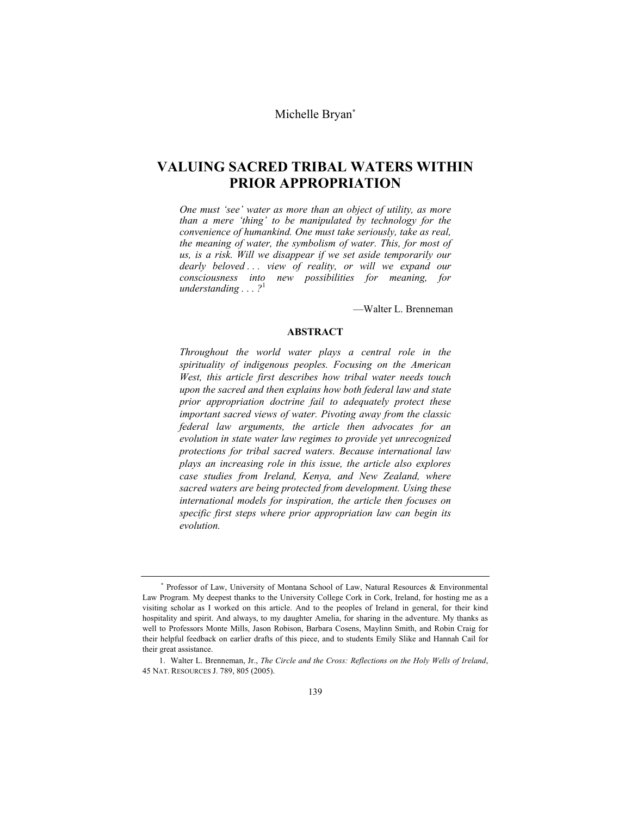Michelle Bryan**\***

# **VALUING SACRED TRIBAL WATERS WITHIN PRIOR APPROPRIATION**

*One must 'see' water as more than an object of utility, as more than a mere 'thing' to be manipulated by technology for the convenience of humankind. One must take seriously, take as real, the meaning of water, the symbolism of water. This, for most of us, is a risk. Will we disappear if we set aside temporarily our dearly beloved . . . view of reality, or will we expand our consciousness into new possibilities for meaning, for understanding . . . ?*<sup>1</sup>

—Walter L. Brenneman

#### **ABSTRACT**

*Throughout the world water plays a central role in the spirituality of indigenous peoples. Focusing on the American West, this article first describes how tribal water needs touch upon the sacred and then explains how both federal law and state prior appropriation doctrine fail to adequately protect these important sacred views of water. Pivoting away from the classic federal law arguments, the article then advocates for an evolution in state water law regimes to provide yet unrecognized protections for tribal sacred waters. Because international law plays an increasing role in this issue, the article also explores case studies from Ireland, Kenya, and New Zealand, where sacred waters are being protected from development. Using these international models for inspiration, the article then focuses on specific first steps where prior appropriation law can begin its evolution.* 

<sup>\*</sup> Professor of Law, University of Montana School of Law, Natural Resources & Environmental Law Program. My deepest thanks to the University College Cork in Cork, Ireland, for hosting me as a visiting scholar as I worked on this article. And to the peoples of Ireland in general, for their kind hospitality and spirit. And always, to my daughter Amelia, for sharing in the adventure. My thanks as well to Professors Monte Mills, Jason Robison, Barbara Cosens, Maylinn Smith, and Robin Craig for their helpful feedback on earlier drafts of this piece, and to students Emily Slike and Hannah Cail for their great assistance.

 <sup>1.</sup> Walter L. Brenneman, Jr., *The Circle and the Cross: Reflections on the Holy Wells of Ireland*, 45 NAT. RESOURCES J. 789, 805 (2005).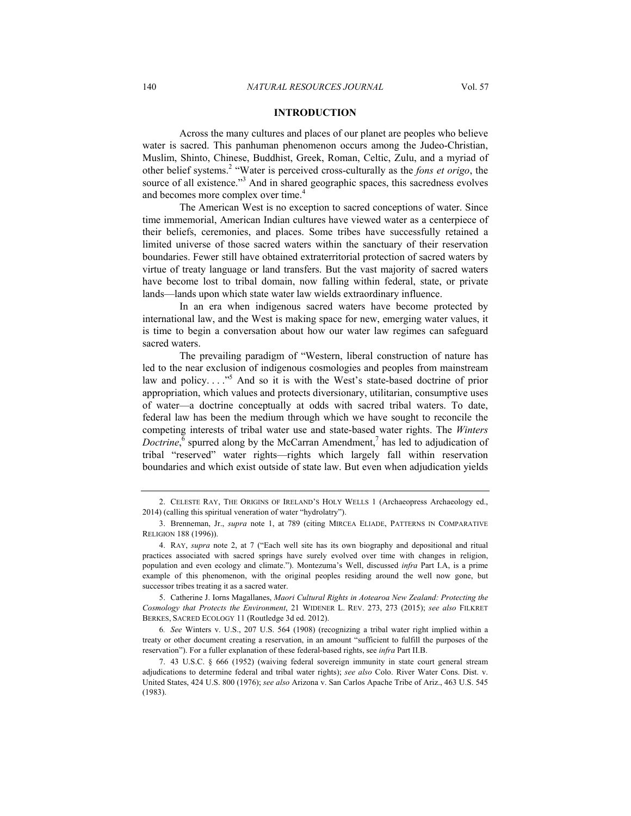## **INTRODUCTION**

Across the many cultures and places of our planet are peoples who believe water is sacred. This panhuman phenomenon occurs among the Judeo-Christian, Muslim, Shinto, Chinese, Buddhist, Greek, Roman, Celtic, Zulu, and a myriad of other belief systems.<sup>2</sup> "Water is perceived cross-culturally as the *fons et origo*, the source of all existence."<sup>3</sup> And in shared geographic spaces, this sacredness evolves and becomes more complex over time.<sup>4</sup>

The American West is no exception to sacred conceptions of water. Since time immemorial, American Indian cultures have viewed water as a centerpiece of their beliefs, ceremonies, and places. Some tribes have successfully retained a limited universe of those sacred waters within the sanctuary of their reservation boundaries. Fewer still have obtained extraterritorial protection of sacred waters by virtue of treaty language or land transfers. But the vast majority of sacred waters have become lost to tribal domain, now falling within federal, state, or private lands—lands upon which state water law wields extraordinary influence.

In an era when indigenous sacred waters have become protected by international law, and the West is making space for new, emerging water values, it is time to begin a conversation about how our water law regimes can safeguard sacred waters.

The prevailing paradigm of "Western, liberal construction of nature has led to the near exclusion of indigenous cosmologies and peoples from mainstream law and policy...."<sup>5</sup> And so it is with the West's state-based doctrine of prior appropriation, which values and protects diversionary, utilitarian, consumptive uses of water—a doctrine conceptually at odds with sacred tribal waters. To date, federal law has been the medium through which we have sought to reconcile the competing interests of tribal water use and state-based water rights. The *Winters Doctrine*,  $\overline{6}$  spurred along by the McCarran Amendment,<sup>7</sup> has led to adjudication of tribal "reserved" water rights—rights which largely fall within reservation boundaries and which exist outside of state law. But even when adjudication yields

 5. Catherine J. Iorns Magallanes, *Maori Cultural Rights in Aotearoa New Zealand: Protecting the Cosmology that Protects the Environment*, 21 WIDENER L. REV. 273, 273 (2015); *see also* FILKRET BERKES, SACRED ECOLOGY 11 (Routledge 3d ed. 2012).

6*. See* Winters v. U.S., 207 U.S. 564 (1908) (recognizing a tribal water right implied within a treaty or other document creating a reservation, in an amount "sufficient to fulfill the purposes of the reservation"). For a fuller explanation of these federal-based rights, see *infra* Part II.B.

 7. 43 U.S.C. § 666 (1952) (waiving federal sovereign immunity in state court general stream adjudications to determine federal and tribal water rights); *see also* Colo. River Water Cons. Dist. v. United States, 424 U.S. 800 (1976); *see also* Arizona v. San Carlos Apache Tribe of Ariz., 463 U.S. 545 (1983).

 <sup>2.</sup> CELESTE RAY, THE ORIGINS OF IRELAND'S HOLY WELLS 1 (Archaeopress Archaeology ed., 2014) (calling this spiritual veneration of water "hydrolatry").

 <sup>3.</sup> Brenneman, Jr., *supra* note 1, at 789 (citing MIRCEA ELIADE, PATTERNS IN COMPARATIVE RELIGION 188 (1996)).

 <sup>4.</sup> RAY, *supra* note 2, at 7 ("Each well site has its own biography and depositional and ritual practices associated with sacred springs have surely evolved over time with changes in religion, population and even ecology and climate."). Montezuma's Well, discussed *infra* Part I.A, is a prime example of this phenomenon, with the original peoples residing around the well now gone, but successor tribes treating it as a sacred water.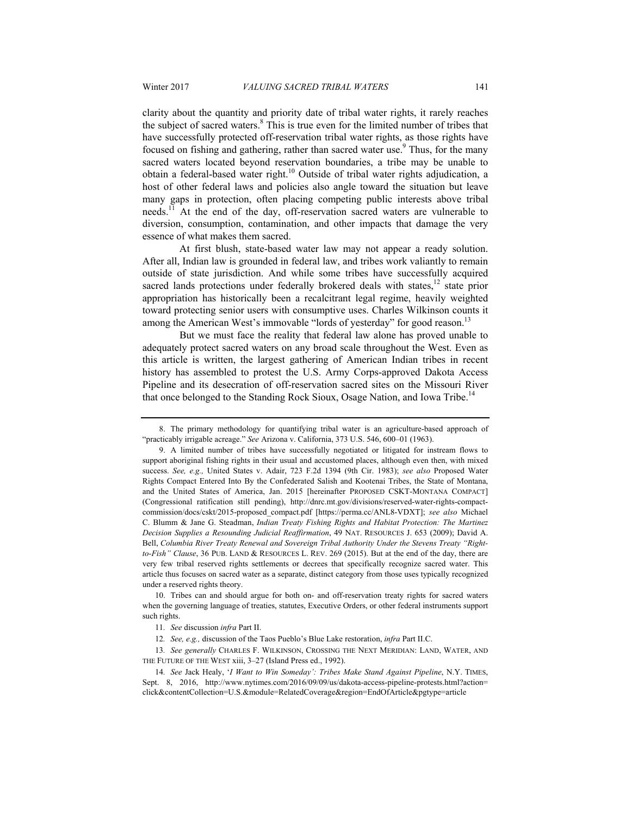clarity about the quantity and priority date of tribal water rights, it rarely reaches the subject of sacred waters.<sup>8</sup> This is true even for the limited number of tribes that have successfully protected off-reservation tribal water rights, as those rights have focused on fishing and gathering, rather than sacred water use.<sup>9</sup> Thus, for the many sacred waters located beyond reservation boundaries, a tribe may be unable to obtain a federal-based water right.10 Outside of tribal water rights adjudication, a host of other federal laws and policies also angle toward the situation but leave many gaps in protection, often placing competing public interests above tribal needs.11 At the end of the day, off-reservation sacred waters are vulnerable to diversion, consumption, contamination, and other impacts that damage the very essence of what makes them sacred.

At first blush, state-based water law may not appear a ready solution. After all, Indian law is grounded in federal law, and tribes work valiantly to remain outside of state jurisdiction. And while some tribes have successfully acquired sacred lands protections under federally brokered deals with states,  $12$  state prior appropriation has historically been a recalcitrant legal regime, heavily weighted toward protecting senior users with consumptive uses. Charles Wilkinson counts it among the American West's immovable "lords of yesterday" for good reason.<sup>13</sup>

But we must face the reality that federal law alone has proved unable to adequately protect sacred waters on any broad scale throughout the West. Even as this article is written, the largest gathering of American Indian tribes in recent history has assembled to protest the U.S. Army Corps-approved Dakota Access Pipeline and its desecration of off-reservation sacred sites on the Missouri River that once belonged to the Standing Rock Sioux, Osage Nation, and Iowa Tribe.<sup>14</sup>

 10. Tribes can and should argue for both on- and off-reservation treaty rights for sacred waters when the governing language of treaties, statutes, Executive Orders, or other federal instruments support such rights.

12*. See, e.g.,* discussion of the Taos Pueblo's Blue Lake restoration, *infra* Part II.C.

13*. See generally* CHARLES F. WILKINSON, CROSSING THE NEXT MERIDIAN: LAND, WATER, AND THE FUTURE OF THE WEST xiii, 3–27 (Island Press ed., 1992).

 <sup>8.</sup> The primary methodology for quantifying tribal water is an agriculture-based approach of "practicably irrigable acreage." *See* Arizona v. California, 373 U.S. 546, 600–01 (1963).

 <sup>9.</sup> A limited number of tribes have successfully negotiated or litigated for instream flows to support aboriginal fishing rights in their usual and accustomed places, although even then, with mixed success. *See, e.g.,* United States v. Adair, 723 F.2d 1394 (9th Cir. 1983); *see also* Proposed Water Rights Compact Entered Into By the Confederated Salish and Kootenai Tribes, the State of Montana, and the United States of America, Jan. 2015 [hereinafter PROPOSED CSKT-MONTANA COMPACT] (Congressional ratification still pending), http://dnrc.mt.gov/divisions/reserved-water-rights-compactcommission/docs/cskt/2015-proposed\_compact.pdf [https://perma.cc/ANL8-VDXT]; *see also* Michael C. Blumm & Jane G. Steadman, *Indian Treaty Fishing Rights and Habitat Protection: The Martinez Decision Supplies a Resounding Judicial Reaffirmation*, 49 NAT. RESOURCES J. 653 (2009); David A. Bell, *Columbia River Treaty Renewal and Sovereign Tribal Authority Under the Stevens Treaty "Rightto-Fish" Clause*, 36 PUB. LAND & RESOURCES L. REV. 269 (2015). But at the end of the day, there are very few tribal reserved rights settlements or decrees that specifically recognize sacred water. This article thus focuses on sacred water as a separate, distinct category from those uses typically recognized under a reserved rights theory.

<sup>11</sup>*. See* discussion *infra* Part II.

<sup>14</sup>*. See* Jack Healy, '*I Want to Win Someday': Tribes Make Stand Against Pipeline*, N.Y. TIMES, Sept. 8, 2016, http://www.nytimes.com/2016/09/09/us/dakota-access-pipeline-protests.html?action= click&contentCollection=U.S.&module=RelatedCoverage&region=EndOfArticle&pgtype=article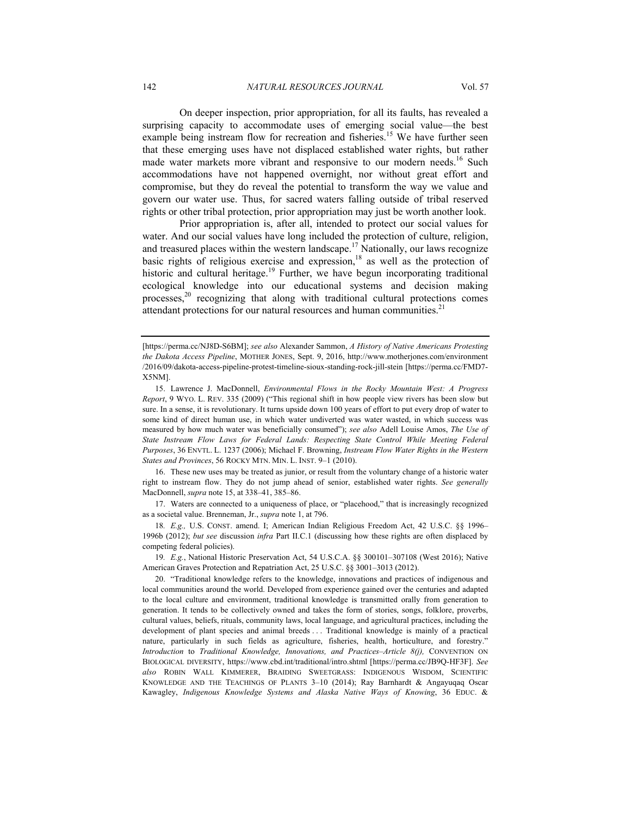On deeper inspection, prior appropriation, for all its faults, has revealed a surprising capacity to accommodate uses of emerging social value—the best example being instream flow for recreation and fisheries.<sup>15</sup> We have further seen that these emerging uses have not displaced established water rights, but rather made water markets more vibrant and responsive to our modern needs.<sup>16</sup> Such accommodations have not happened overnight, nor without great effort and compromise, but they do reveal the potential to transform the way we value and govern our water use. Thus, for sacred waters falling outside of tribal reserved rights or other tribal protection, prior appropriation may just be worth another look.

Prior appropriation is, after all, intended to protect our social values for water. And our social values have long included the protection of culture, religion, and treasured places within the western landscape.<sup>17</sup> Nationally, our laws recognize basic rights of religious exercise and expression,<sup>18</sup> as well as the protection of historic and cultural heritage.<sup>19</sup> Further, we have begun incorporating traditional ecological knowledge into our educational systems and decision making processes,20 recognizing that along with traditional cultural protections comes attendant protections for our natural resources and human communities.<sup>21</sup>

 16. These new uses may be treated as junior, or result from the voluntary change of a historic water right to instream flow. They do not jump ahead of senior, established water rights. *See generally* MacDonnell, *supra* note 15, at 338–41, 385–86.

 17. Waters are connected to a uniqueness of place, or "placehood," that is increasingly recognized as a societal value. Brenneman, Jr., *supra* note 1, at 796.

18*. E.g.,* U.S. CONST. amend. I; American Indian Religious Freedom Act, 42 U.S.C. §§ 1996– 1996b (2012); *but see* discussion *infra* Part II.C.1 (discussing how these rights are often displaced by competing federal policies).

19*. E.g.*, National Historic Preservation Act, 54 U.S.C.A. §§ 300101–307108 (West 2016); Native American Graves Protection and Repatriation Act, 25 U.S.C. §§ 3001–3013 (2012).

<sup>[</sup>https://perma.cc/NJ8D-S6BM]; *see also* Alexander Sammon, *A History of Native Americans Protesting the Dakota Access Pipeline*, MOTHER JONES, Sept. 9, 2016, http://www.motherjones.com/environment /2016/09/dakota-access-pipeline-protest-timeline-sioux-standing-rock-jill-stein [https://perma.cc/FMD7- X5NM].

 <sup>15.</sup> Lawrence J. MacDonnell, *Environmental Flows in the Rocky Mountain West: A Progress Report*, 9 WYO. L. REV. 335 (2009) ("This regional shift in how people view rivers has been slow but sure. In a sense, it is revolutionary. It turns upside down 100 years of effort to put every drop of water to some kind of direct human use, in which water undiverted was water wasted, in which success was measured by how much water was beneficially consumed"); *see also* Adell Louise Amos, *The Use of State Instream Flow Laws for Federal Lands: Respecting State Control While Meeting Federal Purposes*, 36 ENVTL. L. 1237 (2006); Michael F. Browning, *Instream Flow Water Rights in the Western States and Provinces*, 56 ROCKY MTN. MIN. L. INST. 9–1 (2010).

 <sup>20. &</sup>quot;Traditional knowledge refers to the knowledge, innovations and practices of indigenous and local communities around the world. Developed from experience gained over the centuries and adapted to the local culture and environment, traditional knowledge is transmitted orally from generation to generation. It tends to be collectively owned and takes the form of stories, songs, folklore, proverbs, cultural values, beliefs, rituals, community laws, local language, and agricultural practices, including the development of plant species and animal breeds . . . Traditional knowledge is mainly of a practical nature, particularly in such fields as agriculture, fisheries, health, horticulture, and forestry." *Introduction* to *Traditional Knowledge, Innovations, and Practices–Article 8(j),* CONVENTION ON BIOLOGICAL DIVERSITY, https://www.cbd.int/traditional/intro.shtml [https://perma.cc/JB9Q-HF3F]. *See also* ROBIN WALL KIMMERER, BRAIDING SWEETGRASS: INDIGENOUS WISDOM, SCIENTIFIC KNOWLEDGE AND THE TEACHINGS OF PLANTS 3–10 (2014); Ray Barnhardt & Angayuqaq Oscar Kawagley, *Indigenous Knowledge Systems and Alaska Native Ways of Knowing*, 36 EDUC. &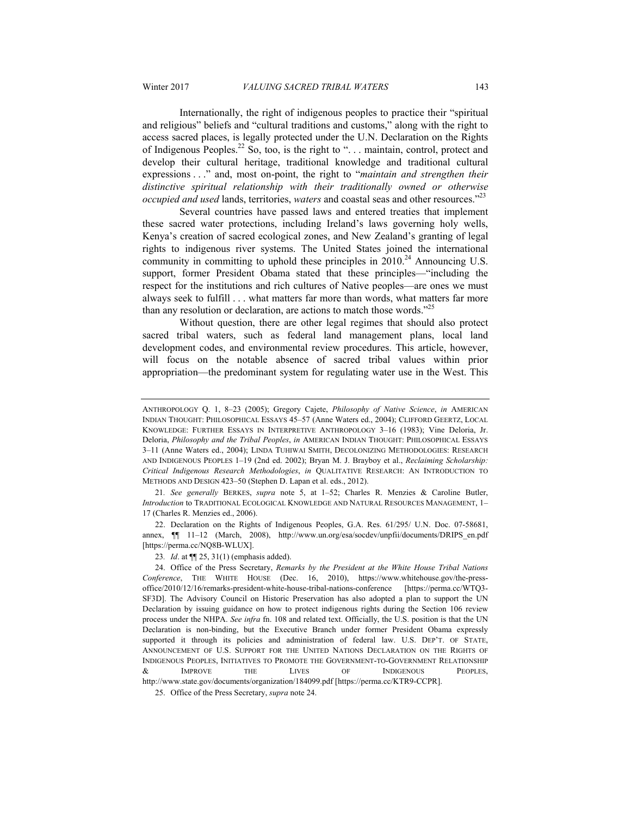Internationally, the right of indigenous peoples to practice their "spiritual and religious" beliefs and "cultural traditions and customs," along with the right to access sacred places, is legally protected under the U.N. Declaration on the Rights of Indigenous Peoples.<sup>22</sup> So, too, is the right to "... maintain, control, protect and develop their cultural heritage, traditional knowledge and traditional cultural expressions . . ." and, most on-point, the right to "*maintain and strengthen their distinctive spiritual relationship with their traditionally owned or otherwise occupied and used* lands, territories, *waters* and coastal seas and other resources."23

Several countries have passed laws and entered treaties that implement these sacred water protections, including Ireland's laws governing holy wells, Kenya's creation of sacred ecological zones, and New Zealand's granting of legal rights to indigenous river systems. The United States joined the international community in committing to uphold these principles in  $2010^{24}$  Announcing U.S. support, former President Obama stated that these principles—"including the respect for the institutions and rich cultures of Native peoples—are ones we must always seek to fulfill . . . what matters far more than words, what matters far more than any resolution or declaration, are actions to match those words."<sup>25</sup>

Without question, there are other legal regimes that should also protect sacred tribal waters, such as federal land management plans, local land development codes, and environmental review procedures. This article, however, will focus on the notable absence of sacred tribal values within prior appropriation—the predominant system for regulating water use in the West. This

21*. See generally* BERKES, *supra* note 5, at 1–52; Charles R. Menzies & Caroline Butler, *Introduction* to TRADITIONAL ECOLOGICAL KNOWLEDGE AND NATURAL RESOURCES MANAGEMENT, 1– 17 (Charles R. Menzies ed., 2006).

 22. Declaration on the Rights of Indigenous Peoples, G.A. Res. 61/295/ U.N. Doc. 07-58681, annex, ¶¶ 11–12 (March, 2008), http://www.un.org/esa/socdev/unpfii/documents/DRIPS\_en.pdf [https://perma.cc/NQ8B-WLUX].

ANTHROPOLOGY Q. 1, 8–23 (2005); Gregory Cajete, *Philosophy of Native Science*, *in* AMERICAN INDIAN THOUGHT: PHILOSOPHICAL ESSAYS 45–57 (Anne Waters ed., 2004); CLIFFORD GEERTZ, LOCAL KNOWLEDGE: FURTHER ESSAYS IN INTERPRETIVE ANTHROPOLOGY 3–16 (1983); Vine Deloria, Jr. Deloria, *Philosophy and the Tribal Peoples*, *in* AMERICAN INDIAN THOUGHT: PHILOSOPHICAL ESSAYS 3–11 (Anne Waters ed., 2004); LINDA TUHIWAI SMITH, DECOLONIZING METHODOLOGIES: RESEARCH AND INDIGENOUS PEOPLES 1–19 (2nd ed. 2002); Bryan M. J. Brayboy et al., *Reclaiming Scholarship: Critical Indigenous Research Methodologies*, *in* QUALITATIVE RESEARCH: AN INTRODUCTION TO METHODS AND DESIGN 423–50 (Stephen D. Lapan et al. eds., 2012).

<sup>23</sup>*. Id*. at ¶¶ 25, 31(1) (emphasis added).

 <sup>24.</sup> Office of the Press Secretary, *Remarks by the President at the White House Tribal Nations Conference*, THE WHITE HOUSE (Dec. 16, 2010), https://www.whitehouse.gov/the-pressoffice/2010/12/16/remarks-president-white-house-tribal-nations-conference [https://perma.cc/WTQ3- SF3D]. The Advisory Council on Historic Preservation has also adopted a plan to support the UN Declaration by issuing guidance on how to protect indigenous rights during the Section 106 review process under the NHPA. *See infra* fn. 108 and related text. Officially, the U.S. position is that the UN Declaration is non-binding, but the Executive Branch under former President Obama expressly supported it through its policies and administration of federal law. U.S. DEP'T. OF STATE, ANNOUNCEMENT OF U.S. SUPPORT FOR THE UNITED NATIONS DECLARATION ON THE RIGHTS OF INDIGENOUS PEOPLES, INITIATIVES TO PROMOTE THE GOVERNMENT-TO-GOVERNMENT RELATIONSHIP & IMPROVE THE LIVES OF INDIGENOUS PEOPLES, http://www.state.gov/documents/organization/184099.pdf [https://perma.cc/KTR9-CCPR].

 <sup>25.</sup> Office of the Press Secretary, *supra* note 24.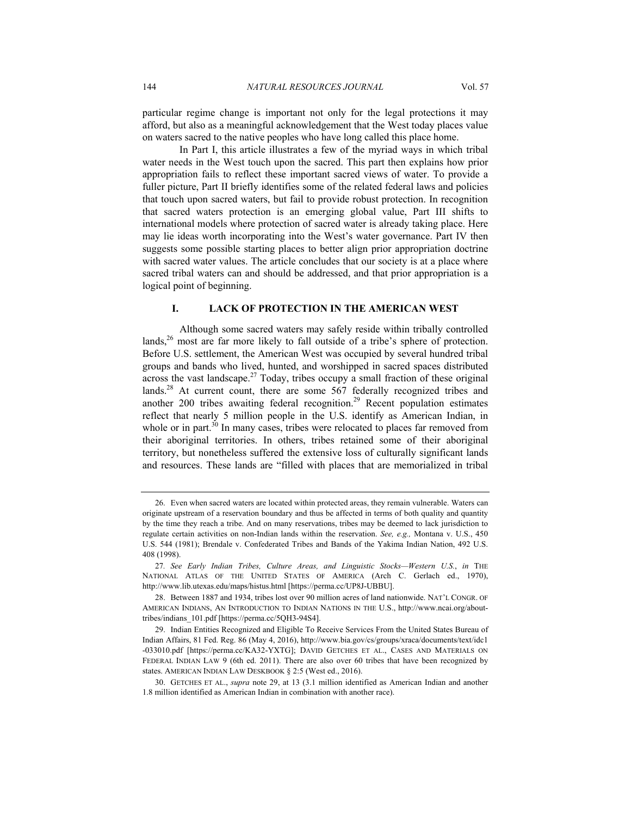particular regime change is important not only for the legal protections it may afford, but also as a meaningful acknowledgement that the West today places value on waters sacred to the native peoples who have long called this place home.

In Part I, this article illustrates a few of the myriad ways in which tribal water needs in the West touch upon the sacred. This part then explains how prior appropriation fails to reflect these important sacred views of water. To provide a fuller picture, Part II briefly identifies some of the related federal laws and policies that touch upon sacred waters, but fail to provide robust protection. In recognition that sacred waters protection is an emerging global value, Part III shifts to international models where protection of sacred water is already taking place. Here may lie ideas worth incorporating into the West's water governance. Part IV then suggests some possible starting places to better align prior appropriation doctrine with sacred water values. The article concludes that our society is at a place where sacred tribal waters can and should be addressed, and that prior appropriation is a logical point of beginning.

# **I. LACK OF PROTECTION IN THE AMERICAN WEST**

Although some sacred waters may safely reside within tribally controlled lands,<sup>26</sup> most are far more likely to fall outside of a tribe's sphere of protection. Before U.S. settlement, the American West was occupied by several hundred tribal groups and bands who lived, hunted, and worshipped in sacred spaces distributed across the vast landscape.<sup>27</sup> Today, tribes occupy a small fraction of these original lands.<sup>28</sup> At current count, there are some 567 federally recognized tribes and another 200 tribes awaiting federal recognition.<sup>29</sup> Recent population estimates reflect that nearly 5 million people in the U.S. identify as American Indian, in whole or in part. $30 \text{ In many cases, triples were relocated to places far removed from}$ their aboriginal territories. In others, tribes retained some of their aboriginal territory, but nonetheless suffered the extensive loss of culturally significant lands and resources. These lands are "filled with places that are memorialized in tribal

 <sup>26.</sup> Even when sacred waters are located within protected areas, they remain vulnerable. Waters can originate upstream of a reservation boundary and thus be affected in terms of both quality and quantity by the time they reach a tribe. And on many reservations, tribes may be deemed to lack jurisdiction to regulate certain activities on non-Indian lands within the reservation. *See, e.g.,* Montana v. U.S., 450 U.S. 544 (1981); Brendale v. Confederated Tribes and Bands of the Yakima Indian Nation, 492 U.S. 408 (1998).

<sup>27</sup>*. See Early Indian Tribes, Culture Areas, and Linguistic Stocks—Western U.S.*, *in* THE NATIONAL ATLAS OF THE UNITED STATES OF AMERICA (Arch C. Gerlach ed., 1970), http://www.lib.utexas.edu/maps/histus.html [https://perma.cc/UP8J-UBBU].

 <sup>28.</sup> Between 1887 and 1934, tribes lost over 90 million acres of land nationwide. NAT'L CONGR. OF AMERICAN INDIANS, AN INTRODUCTION TO INDIAN NATIONS IN THE U.S., http://www.ncai.org/abouttribes/indians\_101.pdf [https://perma.cc/5QH3-94S4].

 <sup>29.</sup> Indian Entities Recognized and Eligible To Receive Services From the United States Bureau of Indian Affairs, 81 Fed. Reg. 86 (May 4, 2016), http://www.bia.gov/cs/groups/xraca/documents/text/idc1 -033010.pdf [https://perma.cc/KA32-YXTG]; DAVID GETCHES ET AL., CASES AND MATERIALS ON FEDERAL INDIAN LAW 9 (6th ed. 2011). There are also over 60 tribes that have been recognized by states. AMERICAN INDIAN LAW DESKBOOK § 2:5 (West ed., 2016).

 <sup>30.</sup> GETCHES ET AL., *supra* note 29, at 13 (3.1 million identified as American Indian and another 1.8 million identified as American Indian in combination with another race).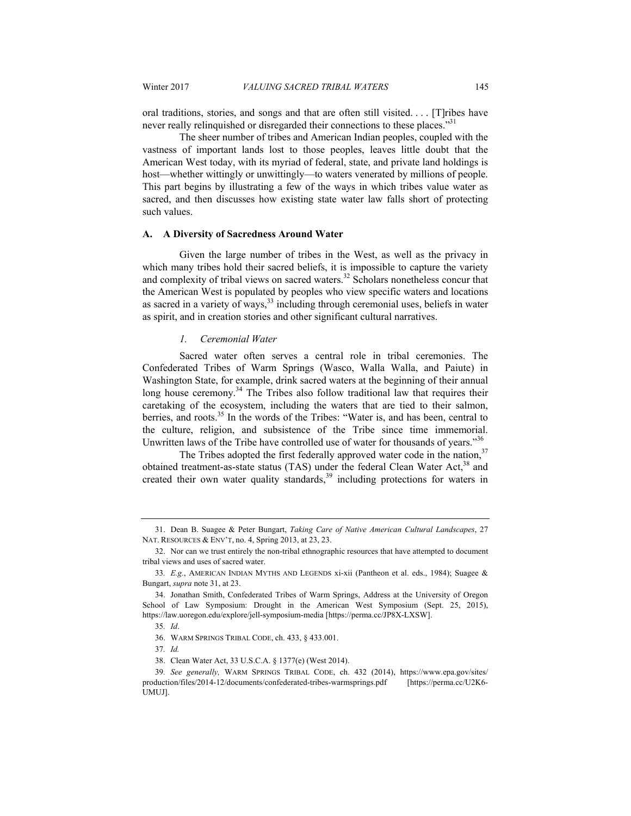oral traditions, stories, and songs and that are often still visited. . . . [T]ribes have never really relinquished or disregarded their connections to these places."<sup>31</sup>

The sheer number of tribes and American Indian peoples, coupled with the vastness of important lands lost to those peoples, leaves little doubt that the American West today, with its myriad of federal, state, and private land holdings is host—whether wittingly or unwittingly—to waters venerated by millions of people. This part begins by illustrating a few of the ways in which tribes value water as sacred, and then discusses how existing state water law falls short of protecting such values.

#### **A. A Diversity of Sacredness Around Water**

Given the large number of tribes in the West, as well as the privacy in which many tribes hold their sacred beliefs, it is impossible to capture the variety and complexity of tribal views on sacred waters.<sup>32</sup> Scholars nonetheless concur that the American West is populated by peoples who view specific waters and locations as sacred in a variety of ways,<sup>33</sup> including through ceremonial uses, beliefs in water as spirit, and in creation stories and other significant cultural narratives.

#### *1. Ceremonial Water*

Sacred water often serves a central role in tribal ceremonies. The Confederated Tribes of Warm Springs (Wasco, Walla Walla, and Paiute) in Washington State, for example, drink sacred waters at the beginning of their annual long house ceremony.<sup>34</sup> The Tribes also follow traditional law that requires their caretaking of the ecosystem, including the waters that are tied to their salmon, berries, and roots.<sup>35</sup> In the words of the Tribes: "Water is, and has been, central to the culture, religion, and subsistence of the Tribe since time immemorial. Unwritten laws of the Tribe have controlled use of water for thousands of years."<sup>36</sup>

The Tribes adopted the first federally approved water code in the nation,  $37$ obtained treatment-as-state status (TAS) under the federal Clean Water Act, $^{38}$  and created their own water quality standards,<sup>39</sup> including protections for waters in

 <sup>31.</sup> Dean B. Suagee & Peter Bungart, *Taking Care of Native American Cultural Landscapes*, 27 NAT. RESOURCES & ENV'T, no. 4, Spring 2013, at 23, 23.

 <sup>32.</sup> Nor can we trust entirely the non-tribal ethnographic resources that have attempted to document tribal views and uses of sacred water.

<sup>33</sup>*. E.g.*, AMERICAN INDIAN MYTHS AND LEGENDS xi-xii (Pantheon et al. eds., 1984); Suagee & Bungart, *supra* note 31, at 23.

 <sup>34.</sup> Jonathan Smith, Confederated Tribes of Warm Springs, Address at the University of Oregon School of Law Symposium: Drought in the American West Symposium (Sept. 25, 2015), https://law.uoregon.edu/explore/jell-symposium-media [https://perma.cc/JP8X-LXSW].

<sup>35</sup>*. Id*.

 <sup>36.</sup> WARM SPRINGS TRIBAL CODE, ch. 433, § 433.001.

<sup>37</sup>*. Id.*

 <sup>38.</sup> Clean Water Act, 33 U.S.C.A. § 1377(e) (West 2014).

<sup>39</sup>*. See generally,* WARM SPRINGS TRIBAL CODE, ch. 432 (2014), https://www.epa.gov/sites/ production/files/2014-12/documents/confederated-tribes-warmsprings.pdf [https://perma.cc/U2K6- UMUJ].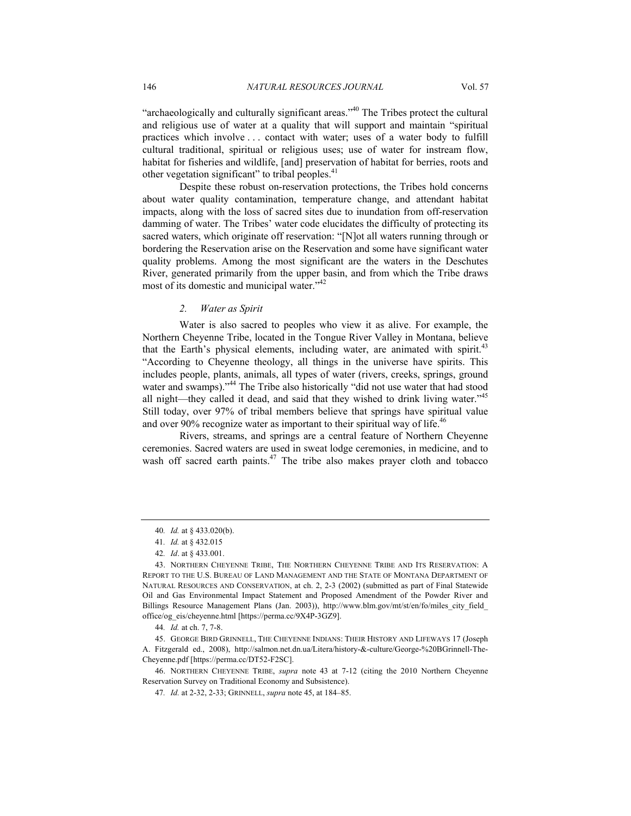"archaeologically and culturally significant areas."<sup>40</sup> The Tribes protect the cultural and religious use of water at a quality that will support and maintain "spiritual practices which involve . . . contact with water; uses of a water body to fulfill cultural traditional, spiritual or religious uses; use of water for instream flow, habitat for fisheries and wildlife, [and] preservation of habitat for berries, roots and other vegetation significant" to tribal peoples.<sup>41</sup>

Despite these robust on-reservation protections, the Tribes hold concerns about water quality contamination, temperature change, and attendant habitat impacts, along with the loss of sacred sites due to inundation from off-reservation damming of water. The Tribes' water code elucidates the difficulty of protecting its sacred waters, which originate off reservation: "[N]ot all waters running through or bordering the Reservation arise on the Reservation and some have significant water quality problems. Among the most significant are the waters in the Deschutes River, generated primarily from the upper basin, and from which the Tribe draws most of its domestic and municipal water."<sup>42</sup>

#### *2. Water as Spirit*

Water is also sacred to peoples who view it as alive. For example, the Northern Cheyenne Tribe, located in the Tongue River Valley in Montana, believe that the Earth's physical elements, including water, are animated with spirit.<sup>43</sup> "According to Cheyenne theology, all things in the universe have spirits. This includes people, plants, animals, all types of water (rivers, creeks, springs, ground water and swamps)."<sup>44</sup> The Tribe also historically "did not use water that had stood all night—they called it dead, and said that they wished to drink living water."45 Still today, over 97% of tribal members believe that springs have spiritual value and over 90% recognize water as important to their spiritual way of life.<sup>46</sup>

Rivers, streams, and springs are a central feature of Northern Cheyenne ceremonies. Sacred waters are used in sweat lodge ceremonies, in medicine, and to wash off sacred earth paints.<sup>47</sup> The tribe also makes prayer cloth and tobacco

44*. Id.* at ch. 7, 7-8.

 45. GEORGE BIRD GRINNELL, THE CHEYENNE INDIANS: THEIR HISTORY AND LIFEWAYS 17 (Joseph A. Fitzgerald ed., 2008), http://salmon.net.dn.ua/Litera/history-&-culture/George-%20BGrinnell-The-Cheyenne.pdf [https://perma.cc/DT52-F2SC].

 46. NORTHERN CHEYENNE TRIBE, *supra* note 43 at 7-12 (citing the 2010 Northern Cheyenne Reservation Survey on Traditional Economy and Subsistence).

<sup>40</sup>*. Id.* at § 433.020(b).

<sup>41</sup>*. Id.* at § 432.015

<sup>42</sup>*. Id*. at § 433.001.

 <sup>43.</sup> NORTHERN CHEYENNE TRIBE, THE NORTHERN CHEYENNE TRIBE AND ITS RESERVATION: A REPORT TO THE U.S. BUREAU OF LAND MANAGEMENT AND THE STATE OF MONTANA DEPARTMENT OF NATURAL RESOURCES AND CONSERVATION, at ch. 2, 2-3 (2002) (submitted as part of Final Statewide Oil and Gas Environmental Impact Statement and Proposed Amendment of the Powder River and Billings Resource Management Plans (Jan. 2003)), http://www.blm.gov/mt/st/en/fo/miles\_city\_field\_ office/og\_eis/cheyenne.html [https://perma.cc/9X4P-3GZ9].

<sup>47</sup>*. Id.* at 2-32, 2-33; GRINNELL, *supra* note 45, at 184–85.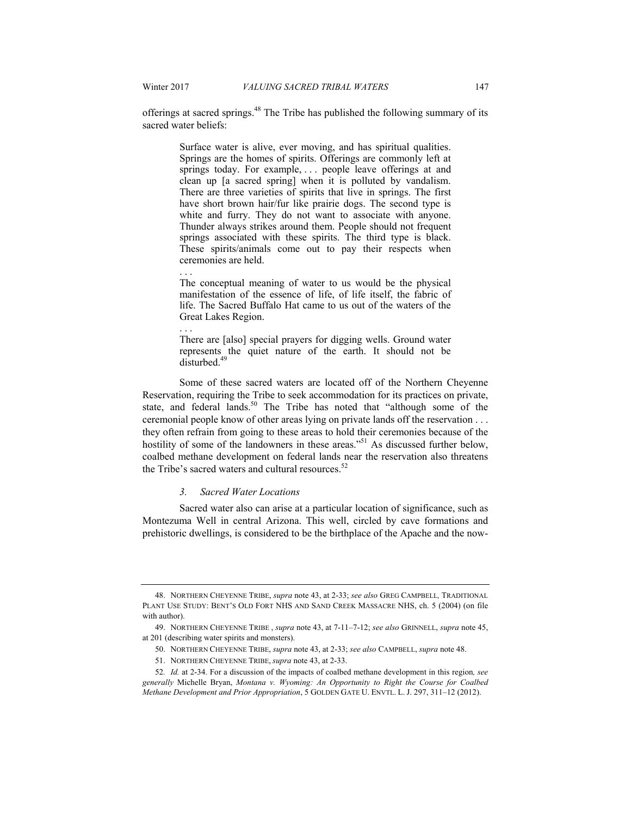. . .

. . .

offerings at sacred springs.48 The Tribe has published the following summary of its sacred water beliefs:

> Surface water is alive, ever moving, and has spiritual qualities. Springs are the homes of spirits. Offerings are commonly left at springs today. For example, ... people leave offerings at and clean up [a sacred spring] when it is polluted by vandalism. There are three varieties of spirits that live in springs. The first have short brown hair/fur like prairie dogs. The second type is white and furry. They do not want to associate with anyone. Thunder always strikes around them. People should not frequent springs associated with these spirits. The third type is black. These spirits/animals come out to pay their respects when ceremonies are held.

> The conceptual meaning of water to us would be the physical manifestation of the essence of life, of life itself, the fabric of life. The Sacred Buffalo Hat came to us out of the waters of the Great Lakes Region.

> There are [also] special prayers for digging wells. Ground water represents the quiet nature of the earth. It should not be disturbed.<sup>49</sup>

Some of these sacred waters are located off of the Northern Cheyenne Reservation, requiring the Tribe to seek accommodation for its practices on private, state, and federal lands.<sup>50</sup> The Tribe has noted that "although some of the ceremonial people know of other areas lying on private lands off the reservation . . . they often refrain from going to these areas to hold their ceremonies because of the hostility of some of the landowners in these areas.<sup>551</sup> As discussed further below. coalbed methane development on federal lands near the reservation also threatens the Tribe's sacred waters and cultural resources  $52$ 

#### *3. Sacred Water Locations*

Sacred water also can arise at a particular location of significance, such as Montezuma Well in central Arizona. This well, circled by cave formations and prehistoric dwellings, is considered to be the birthplace of the Apache and the now-

 <sup>48.</sup> NORTHERN CHEYENNE TRIBE, *supra* note 43, at 2-33; *see also* GREG CAMPBELL*,* TRADITIONAL PLANT USE STUDY: BENT'S OLD FORT NHS AND SAND CREEK MASSACRE NHS, ch. 5 (2004) (on file with author).

 <sup>49.</sup> NORTHERN CHEYENNE TRIBE , *supra* note 43, at 7-11–7-12; *see also* GRINNELL, *supra* note 45, at 201 (describing water spirits and monsters).

 <sup>50.</sup> NORTHERN CHEYENNE TRIBE, *supra* note 43, at 2-33; *see also* CAMPBELL, *supra* note 48.

 <sup>51.</sup> NORTHERN CHEYENNE TRIBE, *supra* note 43, at 2-33.

<sup>52</sup>*. Id.* at 2-34. For a discussion of the impacts of coalbed methane development in this region*, see generally* Michelle Bryan, *Montana v. Wyoming: An Opportunity to Right the Course for Coalbed Methane Development and Prior Appropriation*, 5 GOLDEN GATE U. ENVTL. L. J. 297, 311–12 (2012).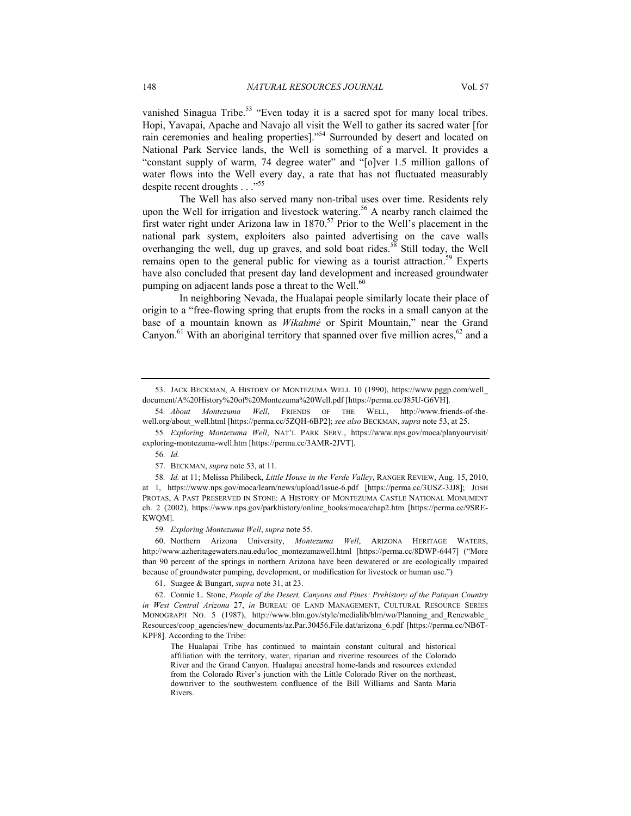vanished Sinagua Tribe.<sup>53</sup> "Even today it is a sacred spot for many local tribes. Hopi, Yavapai, Apache and Navajo all visit the Well to gather its sacred water [for rain ceremonies and healing properties]."54 Surrounded by desert and located on National Park Service lands, the Well is something of a marvel. It provides a "constant supply of warm, 74 degree water" and "[o]ver 1.5 million gallons of water flows into the Well every day, a rate that has not fluctuated measurably despite recent droughts . . ."55

The Well has also served many non-tribal uses over time. Residents rely upon the Well for irrigation and livestock watering.<sup>56</sup> A nearby ranch claimed the first water right under Arizona law in  $1870$ .<sup>57</sup> Prior to the Well's placement in the national park system, exploiters also painted advertising on the cave walls overhanging the well, dug up graves, and sold boat rides.<sup>58</sup> Still today, the Well remains open to the general public for viewing as a tourist attraction.<sup>59</sup> Experts have also concluded that present day land development and increased groundwater pumping on adjacent lands pose a threat to the Well.<sup>60</sup>

In neighboring Nevada, the Hualapai people similarly locate their place of origin to a "free-flowing spring that erupts from the rocks in a small canyon at the base of a mountain known as *Wíkahmé* or Spirit Mountain," near the Grand Canyon.<sup>61</sup> With an aboriginal territory that spanned over five million acres,  $62$  and a

59*. Exploring Montezuma Well*, *supra* note 55.

 60. Northern Arizona University, *Montezuma Well*, ARIZONA HERITAGE WATERS, http://www.azheritagewaters.nau.edu/loc\_montezumawell.html [https://perma.cc/8DWP-6447] ("More than 90 percent of the springs in northern Arizona have been dewatered or are ecologically impaired because of groundwater pumping, development, or modification for livestock or human use.")

61. Suagee & Bungart, *supra* note 31, at 23.

 62. Connie L. Stone, *People of the Desert, Canyons and Pines: Prehistory of the Patayan Country in West Central Arizona* 27, *in* BUREAU OF LAND MANAGEMENT, CULTURAL RESOURCE SERIES MONOGRAPH NO. 5 (1987), http://www.blm.gov/style/medialib/blm/wo/Planning\_and\_Renewable Resources/coop\_agencies/new\_documents/az.Par.30456.File.dat/arizona\_6.pdf [https://perma.cc/NB6T-KPF8]. According to the Tribe:

The Hualapai Tribe has continued to maintain constant cultural and historical affiliation with the territory, water, riparian and riverine resources of the Colorado River and the Grand Canyon. Hualapai ancestral home-lands and resources extended from the Colorado River's junction with the Little Colorado River on the northeast, downriver to the southwestern confluence of the Bill Williams and Santa Maria Rivers.

 <sup>53.</sup> JACK BECKMAN, A HISTORY OF MONTEZUMA WELL 10 (1990), https://www.pggp.com/well\_ document/A%20History%20of%20Montezuma%20Well.pdf [https://perma.cc/J85U-G6VH].

<sup>54</sup>*. About Montezuma Well*, FRIENDS OF THE WELL, http://www.friends-of-thewell.org/about\_well.html [https://perma.cc/5ZQH-6BP2]; *see also* BECKMAN, *supra* note 53, at 25.

<sup>55</sup>*. Exploring Montezuma Well*, NAT'L PARK SERV., https://www.nps.gov/moca/planyourvisit/ exploring-montezuma-well.htm [https://perma.cc/3AMR-2JVT].

<sup>56</sup>*. Id.*

 <sup>57.</sup> BECKMAN, *supra* note 53, at 11.

<sup>58</sup>*. Id.* at 11; Melissa Philibeck, *Little House in the Verde Valley*, RANGER REVIEW, Aug. 15, 2010, at 1, https://www.nps.gov/moca/learn/news/upload/Issue-6.pdf [https://perma.cc/3USZ-3JJ8]; JOSH PROTAS, A PAST PRESERVED IN STONE: A HISTORY OF MONTEZUMA CASTLE NATIONAL MONUMENT ch. 2 (2002), https://www.nps.gov/parkhistory/online\_books/moca/chap2.htm [https://perma.cc/9SRE-KWQM].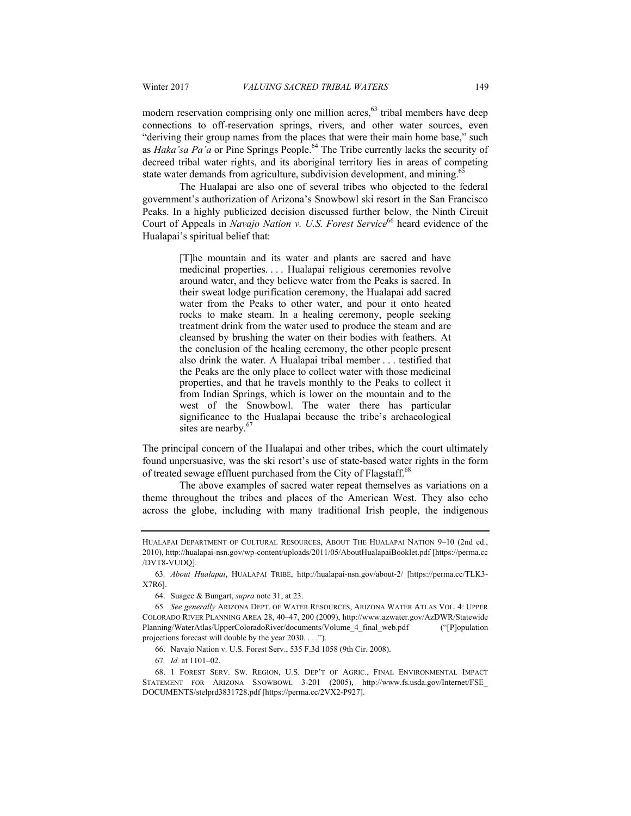modern reservation comprising only one million acres, $63$  tribal members have deep connections to off-reservation springs, rivers, and other water sources, even "deriving their group names from the places that were their main home base," such as *Haka'sa Pa'a* or Pine Springs People.64 The Tribe currently lacks the security of decreed tribal water rights, and its aboriginal territory lies in areas of competing state water demands from agriculture, subdivision development, and mining.<sup>6</sup>

The Hualapai are also one of several tribes who objected to the federal government's authorization of Arizona's Snowbowl ski resort in the San Francisco Peaks. In a highly publicized decision discussed further below, the Ninth Circuit Court of Appeals in *Navajo Nation v. U.S. Forest Service*<sup>66</sup> heard evidence of the Hualapai's spiritual belief that:

> [T]he mountain and its water and plants are sacred and have medicinal properties. . . . Hualapai religious ceremonies revolve around water, and they believe water from the Peaks is sacred. In their sweat lodge purification ceremony, the Hualapai add sacred water from the Peaks to other water, and pour it onto heated rocks to make steam. In a healing ceremony, people seeking treatment drink from the water used to produce the steam and are cleansed by brushing the water on their bodies with feathers. At the conclusion of the healing ceremony, the other people present also drink the water. A Hualapai tribal member . . . testified that the Peaks are the only place to collect water with those medicinal properties, and that he travels monthly to the Peaks to collect it from Indian Springs, which is lower on the mountain and to the west of the Snowbowl. The water there has particular significance to the Hualapai because the tribe's archaeological sites are nearby.<sup>67</sup>

The principal concern of the Hualapai and other tribes, which the court ultimately found unpersuasive, was the ski resort's use of state-based water rights in the form of treated sewage effluent purchased from the City of Flagstaff.<sup>68</sup>

The above examples of sacred water repeat themselves as variations on a theme throughout the tribes and places of the American West. They also echo across the globe, including with many traditional Irish people, the indigenous

66. Navajo Nation v. U.S. Forest Serv., 535 F.3d 1058 (9th Cir. 2008).

67*. Id.* at 1101–02.

HUALAPAI DEPARTMENT OF CULTURAL RESOURCES, ABOUT THE HUALAPAI NATION 9–10 (2nd ed., 2010), http://hualapai-nsn.gov/wp-content/uploads/2011/05/AboutHualapaiBooklet.pdf [https://perma.cc /DVT8-VUDQ].

<sup>63</sup>*. About Hualapai*, HUALAPAI TRIBE, http://hualapai-nsn.gov/about-2/ [https://perma.cc/TLK3- X7R6].

 <sup>64.</sup> Suagee & Bungart, *supra* note 31, at 23.

<sup>65</sup>*. See generally* ARIZONA DEPT. OF WATER RESOURCES, ARIZONA WATER ATLAS VOL. 4: UPPER COLORADO RIVER PLANNING AREA 28, 40–47, 200 (2009), http://www.azwater.gov/AzDWR/Statewide Planning/WaterAtlas/UpperColoradoRiver/documents/Volume\_4\_final\_web.pdf ("[P]opulation projections forecast will double by the year 2030. . . .").

 <sup>68. 1</sup> FOREST SERV. SW. REGION, U.S. DEP'T OF AGRIC., FINAL ENVIRONMENTAL IMPACT STATEMENT FOR ARIZONA SNOWBOWL 3-201 (2005), http://www.fs.usda.gov/Internet/FSE\_ DOCUMENTS/stelprd3831728.pdf [https://perma.cc/2VX2-P927].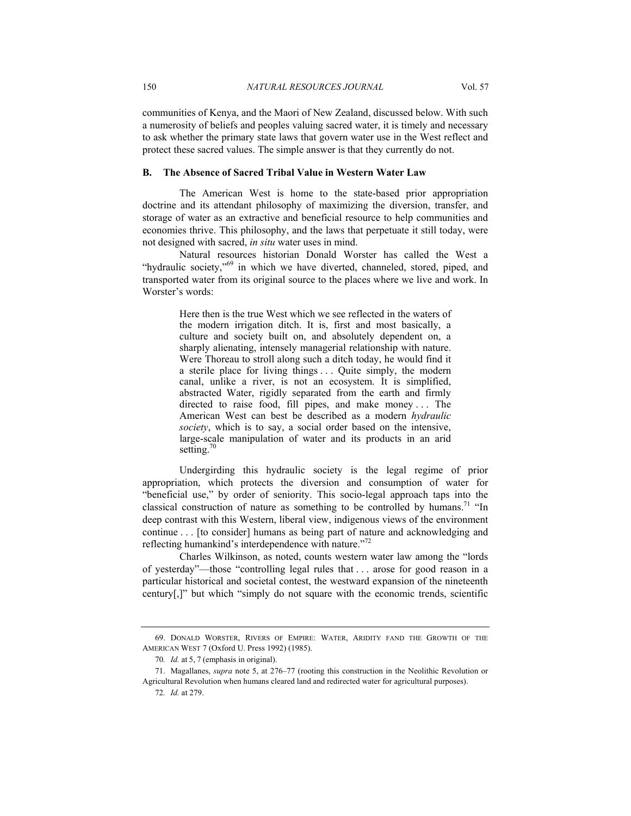communities of Kenya, and the Maori of New Zealand, discussed below. With such a numerosity of beliefs and peoples valuing sacred water, it is timely and necessary to ask whether the primary state laws that govern water use in the West reflect and protect these sacred values. The simple answer is that they currently do not.

# **B. The Absence of Sacred Tribal Value in Western Water Law**

The American West is home to the state-based prior appropriation doctrine and its attendant philosophy of maximizing the diversion, transfer, and storage of water as an extractive and beneficial resource to help communities and economies thrive. This philosophy, and the laws that perpetuate it still today, were not designed with sacred, *in situ* water uses in mind.

Natural resources historian Donald Worster has called the West a "hydraulic society,"<sup>69</sup> in which we have diverted, channeled, stored, piped, and transported water from its original source to the places where we live and work. In Worster's words:

> Here then is the true West which we see reflected in the waters of the modern irrigation ditch. It is, first and most basically, a culture and society built on, and absolutely dependent on, a sharply alienating, intensely managerial relationship with nature. Were Thoreau to stroll along such a ditch today, he would find it a sterile place for living things . . . Quite simply, the modern canal, unlike a river, is not an ecosystem. It is simplified, abstracted Water, rigidly separated from the earth and firmly directed to raise food, fill pipes, and make money ... The American West can best be described as a modern *hydraulic society*, which is to say, a social order based on the intensive, large-scale manipulation of water and its products in an arid setting.<sup>70</sup>

Undergirding this hydraulic society is the legal regime of prior appropriation, which protects the diversion and consumption of water for "beneficial use," by order of seniority. This socio-legal approach taps into the classical construction of nature as something to be controlled by humans.<sup>71</sup> "In deep contrast with this Western, liberal view, indigenous views of the environment continue . . . [to consider] humans as being part of nature and acknowledging and reflecting humankind's interdependence with nature."<sup>72</sup>

Charles Wilkinson, as noted, counts western water law among the "lords of yesterday"—those "controlling legal rules that . . . arose for good reason in a particular historical and societal contest, the westward expansion of the nineteenth century[,]" but which "simply do not square with the economic trends, scientific

 <sup>69.</sup> DONALD WORSTER, RIVERS OF EMPIRE: WATER, ARIDITY FAND THE GROWTH OF THE AMERICAN WEST 7 (Oxford U. Press 1992) (1985).

<sup>70</sup>*. Id.* at 5, 7 (emphasis in original).

 <sup>71.</sup> Magallanes, *supra* note 5, at 276–77 (rooting this construction in the Neolithic Revolution or Agricultural Revolution when humans cleared land and redirected water for agricultural purposes).

<sup>72</sup>*. Id.* at 279.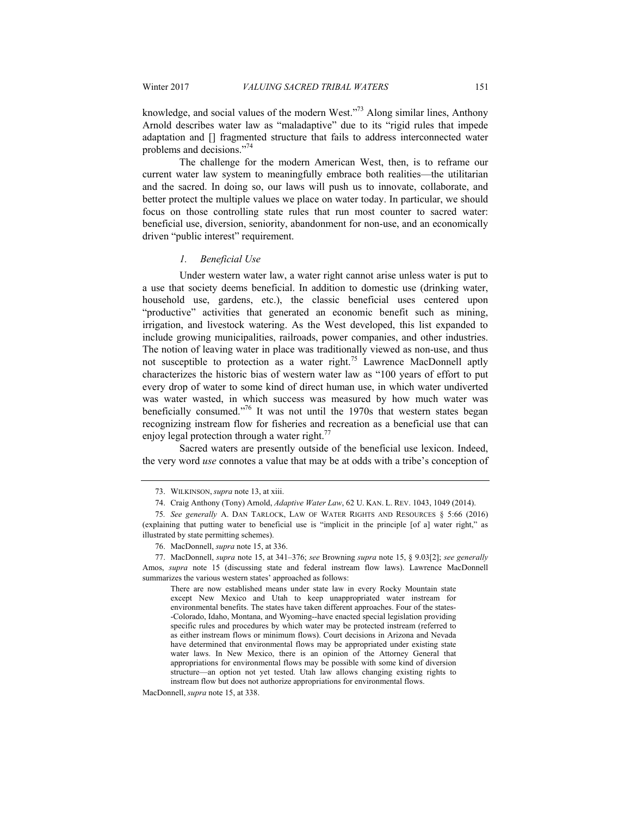knowledge, and social values of the modern West."73 Along similar lines, Anthony Arnold describes water law as "maladaptive" due to its "rigid rules that impede adaptation and [] fragmented structure that fails to address interconnected water problems and decisions."74

The challenge for the modern American West, then, is to reframe our current water law system to meaningfully embrace both realities—the utilitarian and the sacred. In doing so, our laws will push us to innovate, collaborate, and better protect the multiple values we place on water today. In particular, we should focus on those controlling state rules that run most counter to sacred water: beneficial use, diversion, seniority, abandonment for non-use, and an economically driven "public interest" requirement.

#### *1. Beneficial Use*

Under western water law, a water right cannot arise unless water is put to a use that society deems beneficial. In addition to domestic use (drinking water, household use, gardens, etc.), the classic beneficial uses centered upon "productive" activities that generated an economic benefit such as mining, irrigation, and livestock watering. As the West developed, this list expanded to include growing municipalities, railroads, power companies, and other industries. The notion of leaving water in place was traditionally viewed as non-use, and thus not susceptible to protection as a water right.<sup>75</sup> Lawrence MacDonnell aptly characterizes the historic bias of western water law as "100 years of effort to put every drop of water to some kind of direct human use, in which water undiverted was water wasted, in which success was measured by how much water was beneficially consumed."<sup>76</sup> It was not until the 1970s that western states began recognizing instream flow for fisheries and recreation as a beneficial use that can enjoy legal protection through a water right. $77$ 

Sacred waters are presently outside of the beneficial use lexicon. Indeed, the very word *use* connotes a value that may be at odds with a tribe's conception of

MacDonnell, *supra* note 15, at 338.

 <sup>73.</sup> WILKINSON, *supra* note 13, at xiii.

 <sup>74.</sup> Craig Anthony (Tony) Arnold, *Adaptive Water Law*, 62 U. KAN. L. REV. 1043, 1049 (2014).

<sup>75</sup>*. See generally* A. DAN TARLOCK, LAW OF WATER RIGHTS AND RESOURCES § 5:66 (2016) (explaining that putting water to beneficial use is "implicit in the principle [of a] water right," as illustrated by state permitting schemes).

 <sup>76.</sup> MacDonnell, *supra* note 15, at 336.

 <sup>77.</sup> MacDonnell, *supra* note 15, at 341–376; *see* Browning *supra* note 15, § 9.03[2]; *see generally* Amos, *supra* note 15 (discussing state and federal instream flow laws). Lawrence MacDonnell summarizes the various western states' approached as follows:

There are now established means under state law in every Rocky Mountain state except New Mexico and Utah to keep unappropriated water instream for environmental benefits. The states have taken different approaches. Four of the states- -Colorado, Idaho, Montana, and Wyoming--have enacted special legislation providing specific rules and procedures by which water may be protected instream (referred to as either instream flows or minimum flows). Court decisions in Arizona and Nevada have determined that environmental flows may be appropriated under existing state water laws. In New Mexico, there is an opinion of the Attorney General that appropriations for environmental flows may be possible with some kind of diversion structure—an option not yet tested. Utah law allows changing existing rights to instream flow but does not authorize appropriations for environmental flows.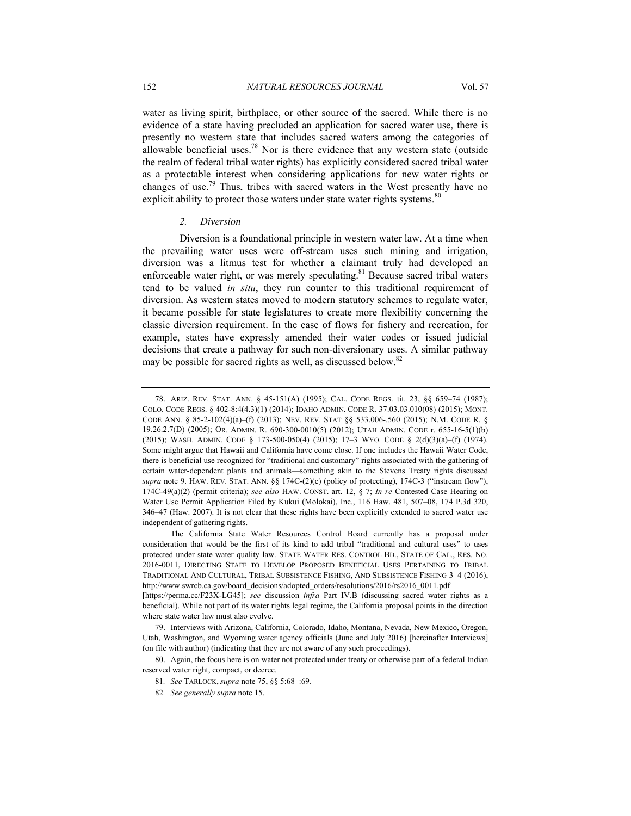water as living spirit, birthplace, or other source of the sacred. While there is no evidence of a state having precluded an application for sacred water use, there is presently no western state that includes sacred waters among the categories of allowable beneficial uses.<sup>78</sup> Nor is there evidence that any western state (outside the realm of federal tribal water rights) has explicitly considered sacred tribal water as a protectable interest when considering applications for new water rights or changes of use.79 Thus, tribes with sacred waters in the West presently have no explicit ability to protect those waters under state water rights systems.<sup>80</sup>

#### *2. Diversion*

Diversion is a foundational principle in western water law. At a time when the prevailing water uses were off-stream uses such mining and irrigation, diversion was a litmus test for whether a claimant truly had developed an enforceable water right, or was merely speculating. $81$  Because sacred tribal waters tend to be valued *in situ*, they run counter to this traditional requirement of diversion. As western states moved to modern statutory schemes to regulate water, it became possible for state legislatures to create more flexibility concerning the classic diversion requirement. In the case of flows for fishery and recreation, for example, states have expressly amended their water codes or issued judicial decisions that create a pathway for such non-diversionary uses. A similar pathway may be possible for sacred rights as well, as discussed below.<sup>82</sup>

 <sup>78.</sup> ARIZ. REV. STAT. ANN. § 45-151(A) (1995); CAL. CODE REGS. tit. 23, §§ 659–74 (1987); COLO. CODE REGS. § 402-8:4(4.3)(1) (2014); IDAHO ADMIN. CODE R. 37.03.03.010(08) (2015); MONT. CODE ANN. § 85-2-102(4)(a)–(f) (2013); NEV. REV. STAT §§ 533.006-.560 (2015); N.M. CODE R. § 19.26.2.7(D) (2005); OR. ADMIN. R. 690-300-0010(5) (2012); UTAH ADMIN. CODE r. 655-16-5(1)(b) (2015); WASH. ADMIN. CODE § 173-500-050(4) (2015); 17–3 WYO. CODE § 2(d)(3)(a)–(f) (1974). Some might argue that Hawaii and California have come close. If one includes the Hawaii Water Code, there is beneficial use recognized for "traditional and customary" rights associated with the gathering of certain water-dependent plants and animals—something akin to the Stevens Treaty rights discussed *supra* note 9. HAW. REV. STAT. ANN. §§ 174C-(2)(c) (policy of protecting), 174C-3 ("instream flow"), 174C-49(a)(2) (permit criteria); *see also* HAW. CONST. art. 12, § 7; *In re* Contested Case Hearing on Water Use Permit Application Filed by Kukui (Molokai), Inc., 116 Haw. 481, 507–08, 174 P.3d 320, 346–47 (Haw. 2007). It is not clear that these rights have been explicitly extended to sacred water use independent of gathering rights.

The California State Water Resources Control Board currently has a proposal under consideration that would be the first of its kind to add tribal "traditional and cultural uses" to uses protected under state water quality law. STATE WATER RES. CONTROL BD., STATE OF CAL., RES. NO. 2016-0011, DIRECTING STAFF TO DEVELOP PROPOSED BENEFICIAL USES PERTAINING TO TRIBAL TRADITIONAL AND CULTURAL, TRIBAL SUBSISTENCE FISHING, AND SUBSISTENCE FISHING 3–4 (2016), http://www.swrcb.ca.gov/board\_decisions/adopted\_orders/resolutions/2016/rs2016\_0011.pdf

<sup>[</sup>https://perma.cc/F23X-LG45]; *see* discussion *infra* Part IV.B (discussing sacred water rights as a beneficial). While not part of its water rights legal regime, the California proposal points in the direction where state water law must also evolve.

 <sup>79.</sup> Interviews with Arizona, California, Colorado, Idaho, Montana, Nevada, New Mexico, Oregon, Utah, Washington, and Wyoming water agency officials (June and July 2016) [hereinafter Interviews] (on file with author) (indicating that they are not aware of any such proceedings).

 <sup>80.</sup> Again, the focus here is on water not protected under treaty or otherwise part of a federal Indian reserved water right, compact, or decree.

<sup>81</sup>*. See* TARLOCK, *supra* note 75, §§ 5:68–:69.

<sup>82</sup>*. See generally supra* note 15.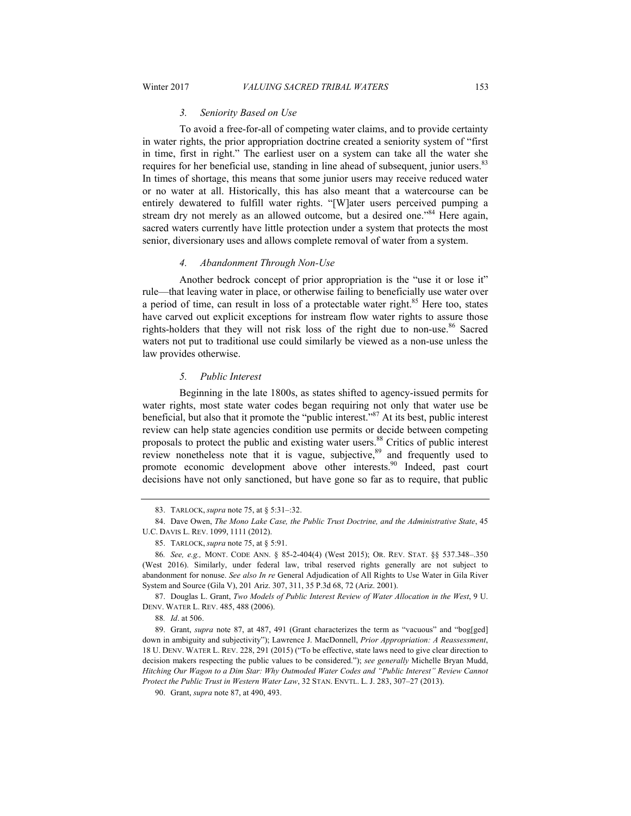#### *3. Seniority Based on Use*

To avoid a free-for-all of competing water claims, and to provide certainty in water rights, the prior appropriation doctrine created a seniority system of "first in time, first in right." The earliest user on a system can take all the water she requires for her beneficial use, standing in line ahead of subsequent, junior users.<sup>83</sup> In times of shortage, this means that some junior users may receive reduced water or no water at all. Historically, this has also meant that a watercourse can be entirely dewatered to fulfill water rights. "[W]ater users perceived pumping a stream dry not merely as an allowed outcome, but a desired one."<sup>84</sup> Here again. sacred waters currently have little protection under a system that protects the most senior, diversionary uses and allows complete removal of water from a system.

#### *4. Abandonment Through Non-Use*

Another bedrock concept of prior appropriation is the "use it or lose it" rule—that leaving water in place, or otherwise failing to beneficially use water over a period of time, can result in loss of a protectable water right.<sup>85</sup> Here too, states have carved out explicit exceptions for instream flow water rights to assure those rights-holders that they will not risk loss of the right due to non-use.<sup>86</sup> Sacred waters not put to traditional use could similarly be viewed as a non-use unless the law provides otherwise.

#### *5. Public Interest*

Beginning in the late 1800s, as states shifted to agency-issued permits for water rights, most state water codes began requiring not only that water use be beneficial, but also that it promote the "public interest."87 At its best, public interest review can help state agencies condition use permits or decide between competing proposals to protect the public and existing water users.88 Critics of public interest review nonetheless note that it is vague, subjective,<sup>89</sup> and frequently used to promote economic development above other interests.<sup>90</sup> Indeed, past court decisions have not only sanctioned, but have gone so far as to require, that public

 <sup>83.</sup> TARLOCK, *supra* note 75, at § 5:31–:32.

 <sup>84.</sup> Dave Owen, *The Mono Lake Case, the Public Trust Doctrine, and the Administrative State*, 45 U.C. DAVIS L. REV. 1099, 1111 (2012).

 <sup>85.</sup> TARLOCK, *supra* note 75, at § 5:91.

<sup>86</sup>*. See, e.g.,* MONT. CODE ANN. § 85-2-404(4) (West 2015); OR. REV. STAT. §§ 537.348–.350 (West 2016). Similarly, under federal law, tribal reserved rights generally are not subject to abandonment for nonuse. *See also In re* General Adjudication of All Rights to Use Water in Gila River System and Source (Gila V), 201 Ariz. 307, 311, 35 P.3d 68, 72 (Ariz. 2001).

 <sup>87.</sup> Douglas L. Grant, *Two Models of Public Interest Review of Water Allocation in the West*, 9 U. DENV. WATER L. REV. 485, 488 (2006).

<sup>88</sup>*. Id*. at 506.

 <sup>89.</sup> Grant, *supra* note 87, at 487, 491 (Grant characterizes the term as "vacuous" and "bog[ged] down in ambiguity and subjectivity"); Lawrence J. MacDonnell, *Prior Appropriation: A Reassessment*, 18 U. DENV. WATER L. REV. 228, 291 (2015) ("To be effective, state laws need to give clear direction to decision makers respecting the public values to be considered."); *see generally* Michelle Bryan Mudd, *Hitching Our Wagon to a Dim Star: Why Outmoded Water Codes and "Public Interest" Review Cannot Protect the Public Trust in Western Water Law*, 32 STAN. ENVTL. L. J. 283, 307–27 (2013).

 <sup>90.</sup> Grant, *supra* note 87, at 490, 493.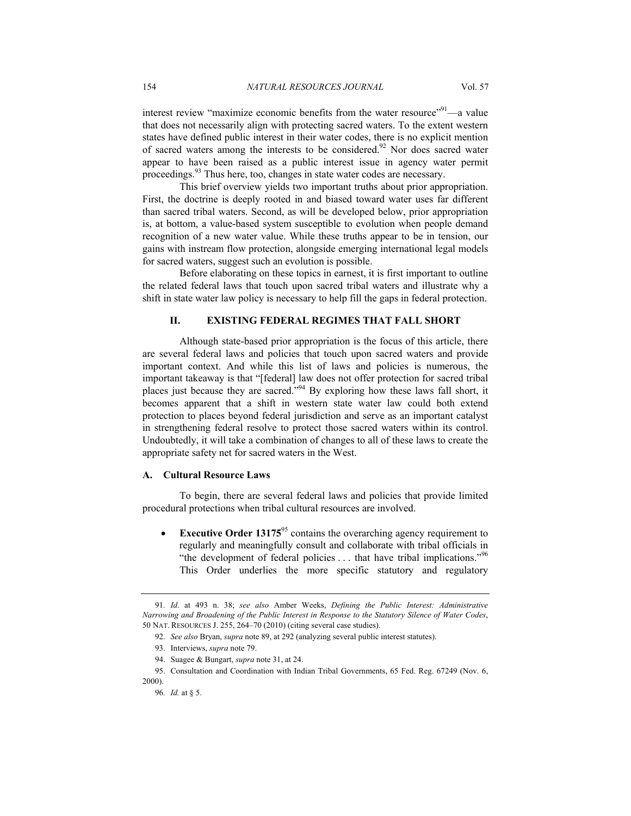interest review "maximize economic benefits from the water resource"<sup>91</sup>—a value that does not necessarily align with protecting sacred waters. To the extent western states have defined public interest in their water codes, there is no explicit mention of sacred waters among the interests to be considered.<sup>92</sup> Nor does sacred water appear to have been raised as a public interest issue in agency water permit proceedings.93 Thus here, too, changes in state water codes are necessary.

This brief overview yields two important truths about prior appropriation. First, the doctrine is deeply rooted in and biased toward water uses far different than sacred tribal waters. Second, as will be developed below, prior appropriation is, at bottom, a value-based system susceptible to evolution when people demand recognition of a new water value. While these truths appear to be in tension, our gains with instream flow protection, alongside emerging international legal models for sacred waters, suggest such an evolution is possible.

Before elaborating on these topics in earnest, it is first important to outline the related federal laws that touch upon sacred tribal waters and illustrate why a shift in state water law policy is necessary to help fill the gaps in federal protection.

#### **II. EXISTING FEDERAL REGIMES THAT FALL SHORT**

Although state-based prior appropriation is the focus of this article, there are several federal laws and policies that touch upon sacred waters and provide important context. And while this list of laws and policies is numerous, the important takeaway is that "[federal] law does not offer protection for sacred tribal places just because they are sacred."94 By exploring how these laws fall short, it becomes apparent that a shift in western state water law could both extend protection to places beyond federal jurisdiction and serve as an important catalyst in strengthening federal resolve to protect those sacred waters within its control. Undoubtedly, it will take a combination of changes to all of these laws to create the appropriate safety net for sacred waters in the West.

#### **A. Cultural Resource Laws**

To begin, there are several federal laws and policies that provide limited procedural protections when tribal cultural resources are involved.

**Executive Order 13175**<sup>95</sup> contains the overarching agency requirement to regularly and meaningfully consult and collaborate with tribal officials in "the development of federal policies ... that have tribal implications."<sup>96</sup> This Order underlies the more specific statutory and regulatory

96*. Id.* at § 5.

<sup>91</sup>*. Id*. at 493 n. 38; *see also* Amber Weeks, *Defining the Public Interest: Administrative Narrowing and Broadening of the Public Interest in Response to the Statutory Silence of Water Codes*, 50 NAT. RESOURCES J. 255, 264–70 (2010) (citing several case studies).

<sup>92</sup>*. See also* Bryan, *supra* note 89, at 292 (analyzing several public interest statutes).

 <sup>93.</sup> Interviews, *supra* note 79.

 <sup>94.</sup> Suagee & Bungart, *supra* note 31, at 24.

 <sup>95.</sup> Consultation and Coordination with Indian Tribal Governments, 65 Fed. Reg. 67249 (Nov. 6, 2000).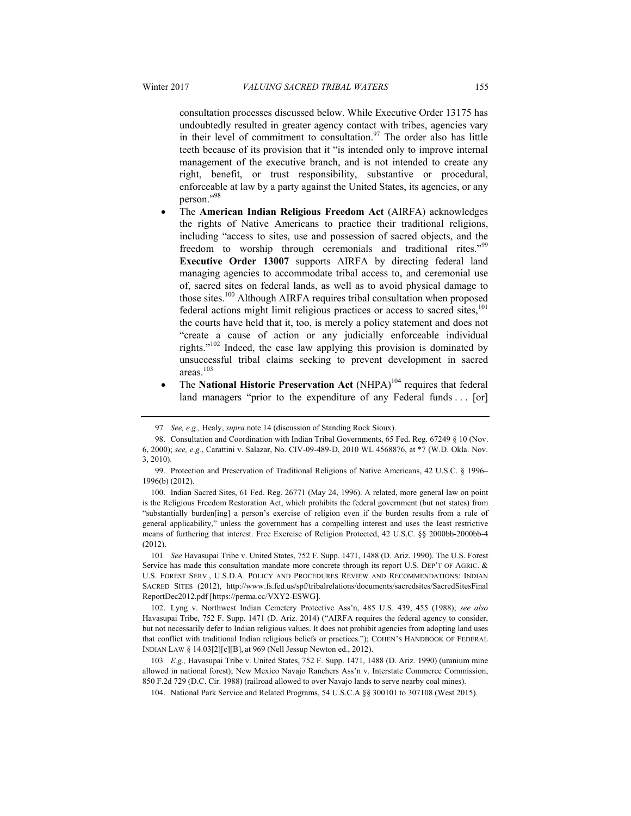consultation processes discussed below. While Executive Order 13175 has undoubtedly resulted in greater agency contact with tribes, agencies vary in their level of commitment to consultation.<sup>97</sup> The order also has little teeth because of its provision that it "is intended only to improve internal management of the executive branch, and is not intended to create any right, benefit, or trust responsibility, substantive or procedural, enforceable at law by a party against the United States, its agencies, or any person."98

- The **American Indian Religious Freedom Act** (AIRFA) acknowledges the rights of Native Americans to practice their traditional religions, including "access to sites, use and possession of sacred objects, and the freedom to worship through ceremonials and traditional rites."<sup>99</sup> **Executive Order 13007** supports AIRFA by directing federal land managing agencies to accommodate tribal access to, and ceremonial use of, sacred sites on federal lands, as well as to avoid physical damage to those sites.<sup>100</sup> Although AIRFA requires tribal consultation when proposed federal actions might limit religious practices or access to sacred sites.<sup>101</sup> the courts have held that it, too, is merely a policy statement and does not "create a cause of action or any judicially enforceable individual rights."102 Indeed, the case law applying this provision is dominated by unsuccessful tribal claims seeking to prevent development in sacred areas.103
- The **National Historic Preservation Act** (NHPA)<sup>104</sup> requires that federal land managers "prior to the expenditure of any Federal funds . . . [or]

<sup>97</sup>*. See, e.g.,* Healy, *supra* note 14 (discussion of Standing Rock Sioux).

 <sup>98.</sup> Consultation and Coordination with Indian Tribal Governments, 65 Fed. Reg. 67249 § 10 (Nov. 6, 2000); *see, e.g.*, Carattini v. Salazar, No. CIV-09-489-D, 2010 WL 4568876, at \*7 (W.D. Okla. Nov. 3, 2010).

 <sup>99.</sup> Protection and Preservation of Traditional Religions of Native Americans, 42 U.S.C. § 1996– 1996(b) (2012).

 <sup>100.</sup> Indian Sacred Sites, 61 Fed. Reg. 26771 (May 24, 1996). A related, more general law on point is the Religious Freedom Restoration Act, which prohibits the federal government (but not states) from "substantially burden[ing] a person's exercise of religion even if the burden results from a rule of general applicability," unless the government has a compelling interest and uses the least restrictive means of furthering that interest. Free Exercise of Religion Protected, 42 U.S.C. §§ 2000bb-2000bb-4 (2012).

<sup>101</sup>*. See* Havasupai Tribe v. United States, 752 F. Supp. 1471, 1488 (D. Ariz. 1990). The U.S. Forest Service has made this consultation mandate more concrete through its report U.S. DEP'T OF AGRIC. & U.S. FOREST SERV., U.S.D.A. POLICY AND PROCEDURES REVIEW AND RECOMMENDATIONS: INDIAN SACRED SITES (2012), http://www.fs.fed.us/spf/tribalrelations/documents/sacredsites/SacredSitesFinal ReportDec2012.pdf [https://perma.cc/VXY2-ESWG].

 <sup>102.</sup> Lyng v. Northwest Indian Cemetery Protective Ass'n, 485 U.S. 439, 455 (1988); *see also*  Havasupai Tribe, 752 F. Supp. 1471 (D. Ariz. 2014) ("AIRFA requires the federal agency to consider, but not necessarily defer to Indian religious values. It does not prohibit agencies from adopting land uses that conflict with traditional Indian religious beliefs or practices."); COHEN'S HANDBOOK OF FEDERAL INDIAN LAW § 14.03[2][c][B], at 969 (Nell Jessup Newton ed., 2012).

<sup>103</sup>*. E.g.,* Havasupai Tribe v. United States, 752 F. Supp. 1471, 1488 (D. Ariz. 1990) (uranium mine allowed in national forest); New Mexico Navajo Ranchers Ass'n v. Interstate Commerce Commission, 850 F.2d 729 (D.C. Cir. 1988) (railroad allowed to over Navajo lands to serve nearby coal mines).

 <sup>104.</sup> National Park Service and Related Programs, 54 U.S.C.A §§ 300101 to 307108 (West 2015).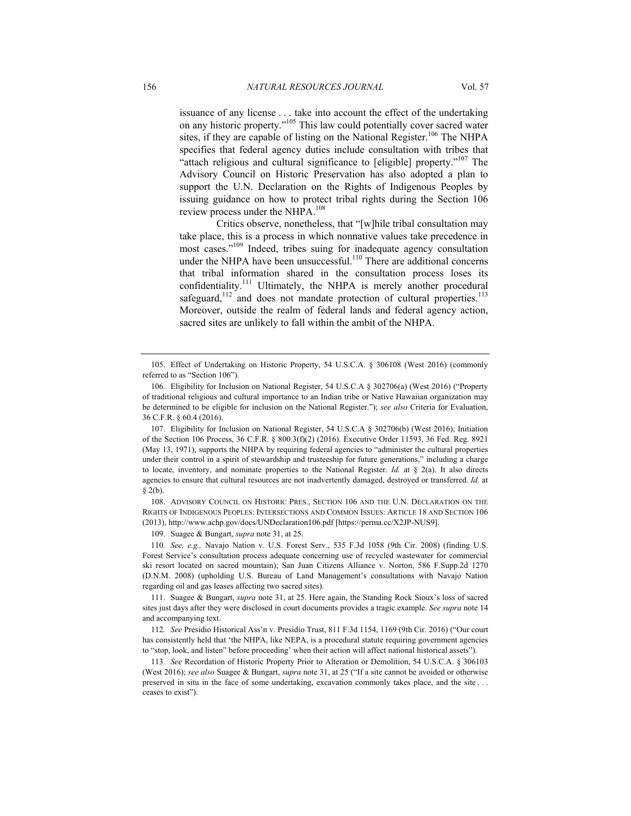issuance of any license . . . take into account the effect of the undertaking on any historic property."105 This law could potentially cover sacred water sites, if they are capable of listing on the National Register.<sup>106</sup> The NHPA specifies that federal agency duties include consultation with tribes that "attach religious and cultural significance to [eligible] property."107 The Advisory Council on Historic Preservation has also adopted a plan to support the U.N. Declaration on the Rights of Indigenous Peoples by issuing guidance on how to protect tribal rights during the Section 106 review process under the NHPA.<sup>108</sup>

Critics observe, nonetheless, that "[w]hile tribal consultation may take place, this is a process in which nonnative values take precedence in most cases."109 Indeed, tribes suing for inadequate agency consultation under the NHPA have been unsuccessful.<sup>110</sup> There are additional concerns that tribal information shared in the consultation process loses its confidentiality.<sup>111</sup> Ultimately, the NHPA is merely another procedural safeguard, $112$  and does not mandate protection of cultural properties. $113$ Moreover, outside the realm of federal lands and federal agency action, sacred sites are unlikely to fall within the ambit of the NHPA.

 108. ADVISORY COUNCIL ON HISTORIC PRES., SECTION 106 AND THE U.N. DECLARATION ON THE RIGHTS OF INDIGENOUS PEOPLES: INTERSECTIONS AND COMMON ISSUES: ARTICLE 18 AND SECTION 106 (2013), http://www.achp.gov/docs/UNDeclaration106.pdf [https://perma.cc/X2JP-NUS9].

109. Suagee & Bungart, *supra* note 31, at 25.

110*. See, e.g.,* Navajo Nation v. U.S. Forest Serv., 535 F.3d 1058 (9th Cir. 2008) (finding U.S. Forest Service's consultation process adequate concerning use of recycled wastewater for commercial ski resort located on sacred mountain); San Juan Citizens Alliance v. Norton, 586 F.Supp.2d 1270 (D.N.M. 2008) (upholding U.S. Bureau of Land Management's consultations with Navajo Nation regarding oil and gas leases affecting two sacred sites).

 111. Suagee & Bungart, *supra* note 31, at 25. Here again, the Standing Rock Sioux's loss of sacred sites just days after they were disclosed in court documents provides a tragic example. *See supra* note 14 and accompanying text.

112*. See* Presidio Historical Ass'n v. Presidio Trust, 811 F.3d 1154, 1169 (9th Cir. 2016) ("Our court has consistently held that 'the NHPA, like NEPA, is a procedural statute requiring government agencies to "stop, look, and listen" before proceeding' when their action will affect national historical assets").

113*. See* Recordation of Historic Property Prior to Alteration or Demolition, 54 U.S.C.A. § 306103 (West 2016); *see also* Suagee & Bungart, *supra* note 31, at 25 ("If a site cannot be avoided or otherwise preserved in situ in the face of some undertaking, excavation commonly takes place, and the site . . . ceases to exist").

 <sup>105.</sup> Effect of Undertaking on Historic Property, 54 U.S.C.A. § 306108 (West 2016) (commonly referred to as "Section 106").

 <sup>106.</sup> Eligibility for Inclusion on National Register, 54 U.S.C.A § 302706(a) (West 2016) ("Property of traditional religious and cultural importance to an Indian tribe or Native Hawaiian organization may be determined to be eligible for inclusion on the National Register."); *see also* Criteria for Evaluation, 36 C.F.R. § 60.4 (2016).

 <sup>107.</sup> Eligibility for Inclusion on National Register, 54 U.S.C.A § 302706(b) (West 2016); Initiation of the Section 106 Process, 36 C.F.R. § 800.3(f)(2) (2016). Executive Order 11593, 36 Fed. Reg. 8921 (May 13, 1971), supports the NHPA by requiring federal agencies to "administer the cultural properties under their control in a spirit of stewardship and trusteeship for future generations," including a charge to locate, inventory, and nominate properties to the National Register. *Id.* at § 2(a). It also directs agencies to ensure that cultural resources are not inadvertently damaged, destroyed or transferred. *Id.* at  $§$  2(b).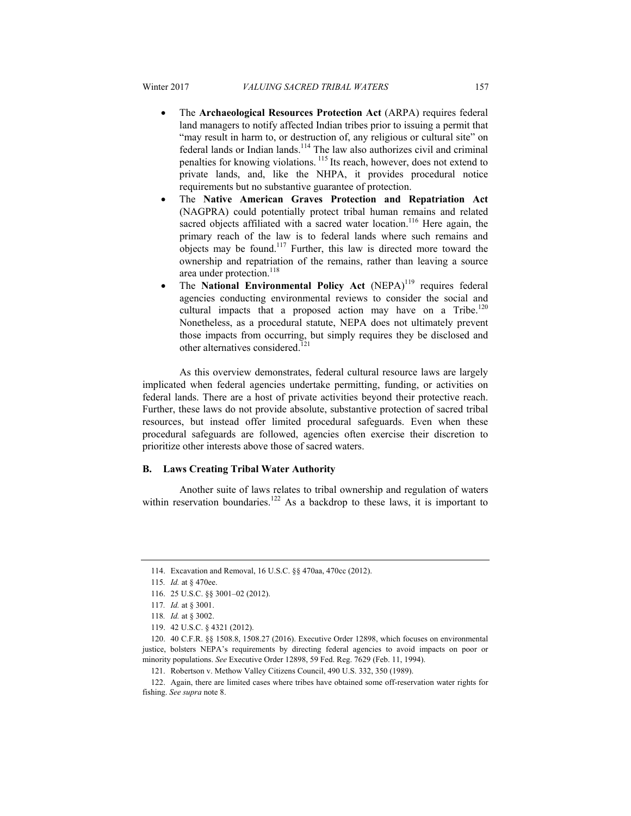- The **Archaeological Resources Protection Act** (ARPA) requires federal land managers to notify affected Indian tribes prior to issuing a permit that "may result in harm to, or destruction of, any religious or cultural site" on federal lands or Indian lands.<sup>114</sup> The law also authorizes civil and criminal penalties for knowing violations. 115 Its reach, however, does not extend to private lands, and, like the NHPA, it provides procedural notice requirements but no substantive guarantee of protection.
- The **Native American Graves Protection and Repatriation Act** (NAGPRA) could potentially protect tribal human remains and related sacred objects affiliated with a sacred water location.<sup>116</sup> Here again, the primary reach of the law is to federal lands where such remains and objects may be found.<sup>117</sup> Further, this law is directed more toward the ownership and repatriation of the remains, rather than leaving a source area under protection.<sup>118</sup>
- The **National Environmental Policy Act** (NEPA)<sup>119</sup> requires federal agencies conducting environmental reviews to consider the social and cultural impacts that a proposed action may have on a Tribe.<sup>120</sup> Nonetheless, as a procedural statute, NEPA does not ultimately prevent those impacts from occurring, but simply requires they be disclosed and other alternatives considered.<sup>121</sup>

As this overview demonstrates, federal cultural resource laws are largely implicated when federal agencies undertake permitting, funding, or activities on federal lands. There are a host of private activities beyond their protective reach. Further, these laws do not provide absolute, substantive protection of sacred tribal resources, but instead offer limited procedural safeguards. Even when these procedural safeguards are followed, agencies often exercise their discretion to prioritize other interests above those of sacred waters.

#### **B. Laws Creating Tribal Water Authority**

Another suite of laws relates to tribal ownership and regulation of waters within reservation boundaries.<sup>122</sup> As a backdrop to these laws, it is important to

121. Robertson v. Methow Valley Citizens Council, 490 U.S. 332, 350 (1989).

 <sup>114.</sup> Excavation and Removal, 16 U.S.C. §§ 470aa, 470cc (2012).

<sup>115</sup>*. Id.* at § 470ee.

 <sup>116. 25</sup> U.S.C. §§ 3001–02 (2012).

<sup>117</sup>*. Id.* at § 3001.

<sup>118</sup>*. Id.* at § 3002.

 <sup>119. 42</sup> U.S.C. § 4321 (2012).

 <sup>120. 40</sup> C.F.R. §§ 1508.8, 1508.27 (2016). Executive Order 12898, which focuses on environmental justice, bolsters NEPA's requirements by directing federal agencies to avoid impacts on poor or minority populations. *See* Executive Order 12898, 59 Fed. Reg. 7629 (Feb. 11, 1994).

 <sup>122.</sup> Again, there are limited cases where tribes have obtained some off-reservation water rights for fishing. *See supra* note 8.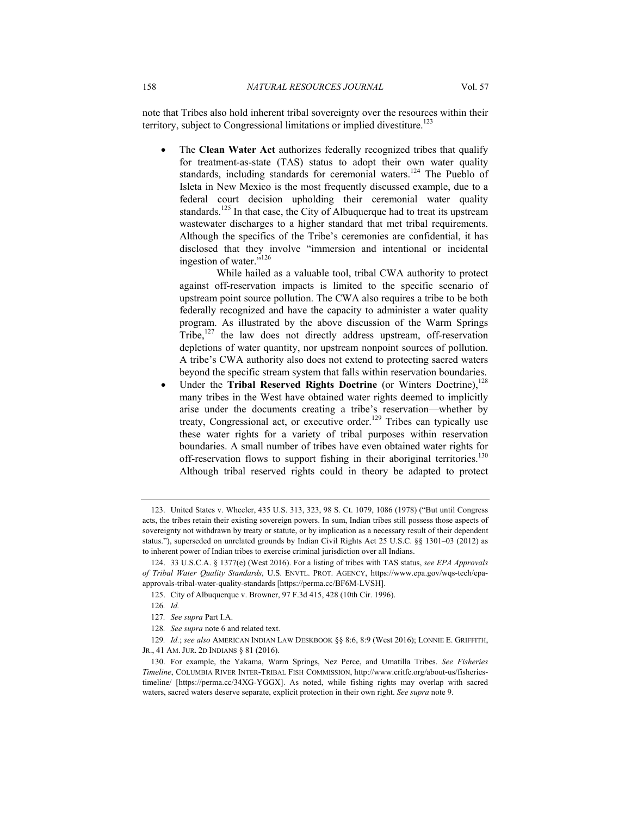note that Tribes also hold inherent tribal sovereignty over the resources within their territory, subject to Congressional limitations or implied divestiture.<sup>123</sup>

 The **Clean Water Act** authorizes federally recognized tribes that qualify for treatment-as-state (TAS) status to adopt their own water quality standards, including standards for ceremonial waters.<sup>124</sup> The Pueblo of Isleta in New Mexico is the most frequently discussed example, due to a federal court decision upholding their ceremonial water quality standards.<sup>125</sup> In that case, the City of Albuquerque had to treat its upstream wastewater discharges to a higher standard that met tribal requirements. Although the specifics of the Tribe's ceremonies are confidential, it has disclosed that they involve "immersion and intentional or incidental ingestion of water."<sup>126</sup>

While hailed as a valuable tool, tribal CWA authority to protect against off-reservation impacts is limited to the specific scenario of upstream point source pollution. The CWA also requires a tribe to be both federally recognized and have the capacity to administer a water quality program. As illustrated by the above discussion of the Warm Springs Tribe, $127$  the law does not directly address upstream, off-reservation depletions of water quantity, nor upstream nonpoint sources of pollution. A tribe's CWA authority also does not extend to protecting sacred waters beyond the specific stream system that falls within reservation boundaries.

Under the **Tribal Reserved Rights Doctrine** (or Winters Doctrine),<sup>128</sup> many tribes in the West have obtained water rights deemed to implicitly arise under the documents creating a tribe's reservation—whether by treaty, Congressional act, or executive order.<sup>129</sup> Tribes can typically use these water rights for a variety of tribal purposes within reservation boundaries. A small number of tribes have even obtained water rights for off-reservation flows to support fishing in their aboriginal territories.<sup>130</sup> Although tribal reserved rights could in theory be adapted to protect

 <sup>123.</sup> United States v. Wheeler, 435 U.S. 313, 323, 98 S. Ct. 1079, 1086 (1978) ("But until Congress acts, the tribes retain their existing sovereign powers. In sum, Indian tribes still possess those aspects of sovereignty not withdrawn by treaty or statute, or by implication as a necessary result of their dependent status."), superseded on unrelated grounds by Indian Civil Rights Act 25 U.S.C. §§ 1301–03 (2012) as to inherent power of Indian tribes to exercise criminal jurisdiction over all Indians.

 <sup>124. 33</sup> U.S.C.A. § 1377(e) (West 2016). For a listing of tribes with TAS status, *see EPA Approvals of Tribal Water Quality Standards*, U.S. ENVTL. PROT. AGENCY, https://www.epa.gov/wqs-tech/epaapprovals-tribal-water-quality-standards [https://perma.cc/BF6M-LVSH].

 <sup>125.</sup> City of Albuquerque v. Browner, 97 F.3d 415, 428 (10th Cir. 1996).

<sup>126</sup>*. Id.*

<sup>127</sup>*. See supra* Part I.A.

<sup>128</sup>*. See supra* note 6 and related text.

<sup>129</sup>*. Id.*; *see also* AMERICAN INDIAN LAW DESKBOOK §§ 8:6, 8:9 (West 2016); LONNIE E. GRIFFITH, JR., 41 AM. JUR. 2D INDIANS § 81 (2016).

 <sup>130.</sup> For example, the Yakama, Warm Springs, Nez Perce, and Umatilla Tribes. *See Fisheries Timeline*, COLUMBIA RIVER INTER-TRIBAL FISH COMMISSION, http://www.critfc.org/about-us/fisheriestimeline/ [https://perma.cc/34XG-YGGX]. As noted, while fishing rights may overlap with sacred waters, sacred waters deserve separate, explicit protection in their own right. *See supra* note 9.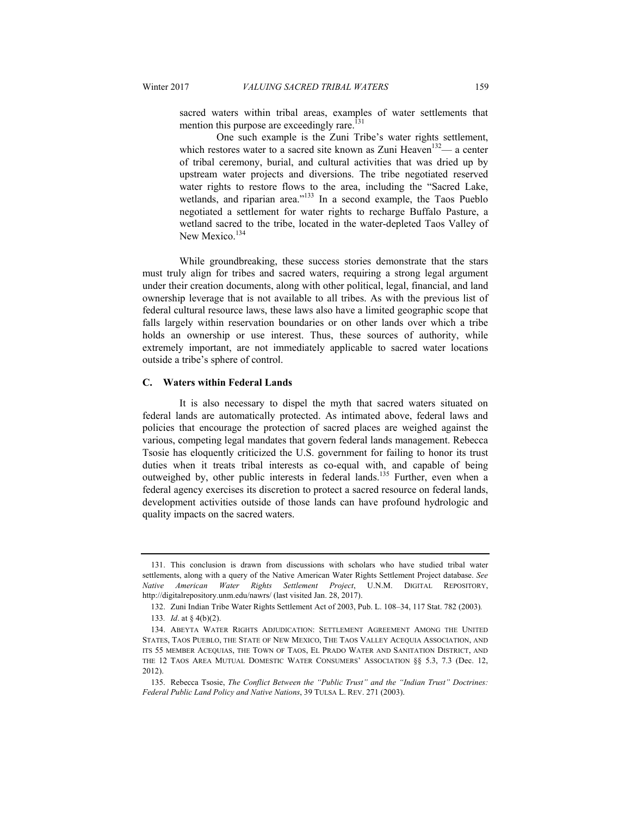mention this purpose are exceedingly rare. $^{131}$ 

sacred waters within tribal areas, examples of water settlements that

One such example is the Zuni Tribe's water rights settlement, which restores water to a sacred site known as Zuni Heaven<sup>132</sup>— a center of tribal ceremony, burial, and cultural activities that was dried up by upstream water projects and diversions. The tribe negotiated reserved water rights to restore flows to the area, including the "Sacred Lake, wetlands, and riparian area."<sup>133</sup> In a second example, the Taos Pueblo negotiated a settlement for water rights to recharge Buffalo Pasture, a wetland sacred to the tribe, located in the water-depleted Taos Valley of New Mexico.<sup>134</sup>

While groundbreaking, these success stories demonstrate that the stars must truly align for tribes and sacred waters, requiring a strong legal argument under their creation documents, along with other political, legal, financial, and land ownership leverage that is not available to all tribes. As with the previous list of federal cultural resource laws, these laws also have a limited geographic scope that falls largely within reservation boundaries or on other lands over which a tribe holds an ownership or use interest. Thus, these sources of authority, while extremely important, are not immediately applicable to sacred water locations outside a tribe's sphere of control.

#### **C. Waters within Federal Lands**

It is also necessary to dispel the myth that sacred waters situated on federal lands are automatically protected. As intimated above, federal laws and policies that encourage the protection of sacred places are weighed against the various, competing legal mandates that govern federal lands management. Rebecca Tsosie has eloquently criticized the U.S. government for failing to honor its trust duties when it treats tribal interests as co-equal with, and capable of being outweighed by, other public interests in federal lands.<sup>135</sup> Further, even when a federal agency exercises its discretion to protect a sacred resource on federal lands, development activities outside of those lands can have profound hydrologic and quality impacts on the sacred waters.

 <sup>131.</sup> This conclusion is drawn from discussions with scholars who have studied tribal water settlements, along with a query of the Native American Water Rights Settlement Project database. *See Native American Water Rights Settlement Project*, U.N.M. DIGITAL REPOSITORY, http://digitalrepository.unm.edu/nawrs/ (last visited Jan. 28, 2017).

 <sup>132.</sup> Zuni Indian Tribe Water Rights Settlement Act of 2003, Pub. L. 108–34, 117 Stat. 782 (2003)*.*

<sup>133</sup>*. Id*. at § 4(b)(2).

 <sup>134.</sup> ABEYTA WATER RIGHTS ADJUDICATION: SETTLEMENT AGREEMENT AMONG THE UNITED STATES, TAOS PUEBLO, THE STATE OF NEW MEXICO, THE TAOS VALLEY ACEQUIA ASSOCIATION, AND ITS 55 MEMBER ACEQUIAS, THE TOWN OF TAOS, EL PRADO WATER AND SANITATION DISTRICT, AND THE 12 TAOS AREA MUTUAL DOMESTIC WATER CONSUMERS' ASSOCIATION §§ 5.3, 7.3 (Dec. 12, 2012).

 <sup>135.</sup> Rebecca Tsosie, *The Conflict Between the "Public Trust" and the "Indian Trust" Doctrines: Federal Public Land Policy and Native Nations*, 39 TULSA L. REV. 271 (2003).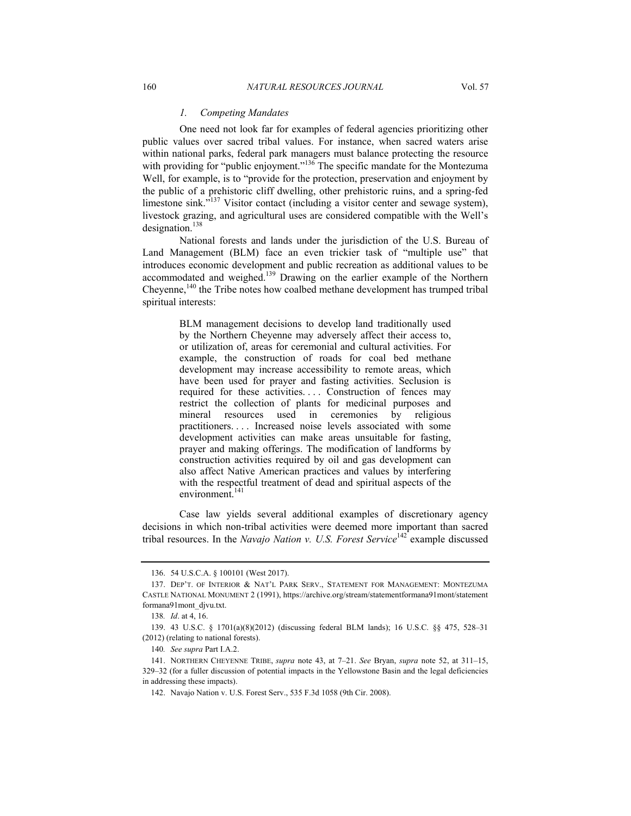#### *1. Competing Mandates*

One need not look far for examples of federal agencies prioritizing other public values over sacred tribal values. For instance, when sacred waters arise within national parks, federal park managers must balance protecting the resource with providing for "public enjoyment."<sup>136</sup> The specific mandate for the Montezuma Well, for example, is to "provide for the protection, preservation and enjoyment by the public of a prehistoric cliff dwelling, other prehistoric ruins, and a spring-fed limestone sink."<sup>137</sup> Visitor contact (including a visitor center and sewage system), livestock grazing, and agricultural uses are considered compatible with the Well's designation.<sup>138</sup>

National forests and lands under the jurisdiction of the U.S. Bureau of Land Management (BLM) face an even trickier task of "multiple use" that introduces economic development and public recreation as additional values to be accommodated and weighed.<sup>139</sup> Drawing on the earlier example of the Northern Cheyenne,<sup>140</sup> the Tribe notes how coalbed methane development has trumped tribal spiritual interests:

> BLM management decisions to develop land traditionally used by the Northern Cheyenne may adversely affect their access to, or utilization of, areas for ceremonial and cultural activities. For example, the construction of roads for coal bed methane development may increase accessibility to remote areas, which have been used for prayer and fasting activities. Seclusion is required for these activities. . . . Construction of fences may restrict the collection of plants for medicinal purposes and mineral resources used in ceremonies by religious practitioners. . . . Increased noise levels associated with some development activities can make areas unsuitable for fasting, prayer and making offerings. The modification of landforms by construction activities required by oil and gas development can also affect Native American practices and values by interfering with the respectful treatment of dead and spiritual aspects of the environment.<sup>141</sup>

Case law yields several additional examples of discretionary agency decisions in which non-tribal activities were deemed more important than sacred tribal resources. In the *Navajo Nation v. U.S. Forest Service*142 example discussed

 <sup>136. 54</sup> U.S.C.A. § 100101 (West 2017).

 <sup>137.</sup> DEP'T. OF INTERIOR & NAT'L PARK SERV., STATEMENT FOR MANAGEMENT: MONTEZUMA CASTLE NATIONAL MONUMENT 2 (1991), https://archive.org/stream/statementformana91mont/statement formana91mont\_djvu.txt.

<sup>138</sup>*. Id*. at 4, 16.

 <sup>139. 43</sup> U.S.C. § 1701(a)(8)(2012) (discussing federal BLM lands); 16 U.S.C. §§ 475, 528–31 (2012) (relating to national forests).

<sup>140</sup>*. See supra* Part I.A.2.

 <sup>141.</sup> NORTHERN CHEYENNE TRIBE, *supra* note 43, at 7–21. *See* Bryan, *supra* note 52, at 311–15, 329–32 (for a fuller discussion of potential impacts in the Yellowstone Basin and the legal deficiencies in addressing these impacts).

 <sup>142.</sup> Navajo Nation v. U.S. Forest Serv., 535 F.3d 1058 (9th Cir. 2008).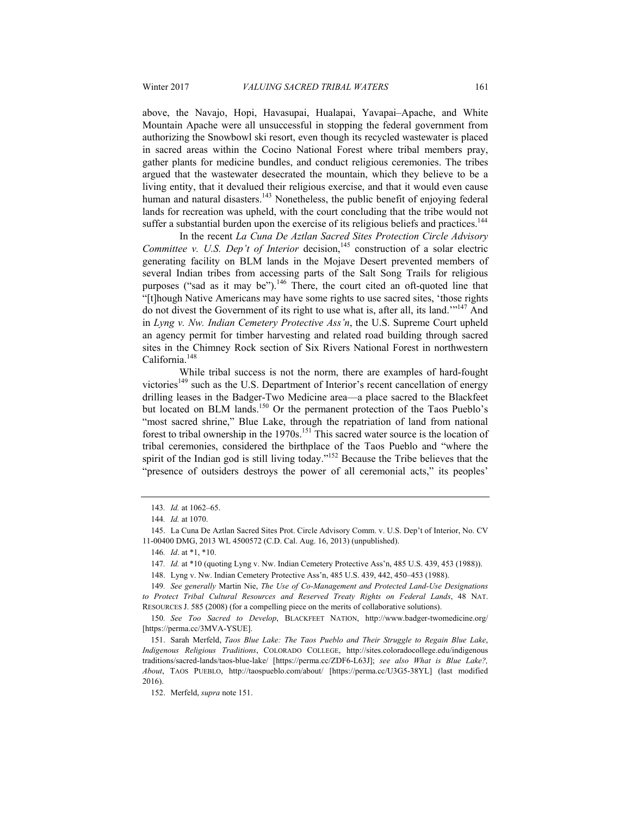above, the Navajo, Hopi, Havasupai, Hualapai, Yavapai–Apache, and White Mountain Apache were all unsuccessful in stopping the federal government from authorizing the Snowbowl ski resort, even though its recycled wastewater is placed in sacred areas within the Cocino National Forest where tribal members pray, gather plants for medicine bundles, and conduct religious ceremonies. The tribes argued that the wastewater desecrated the mountain, which they believe to be a living entity, that it devalued their religious exercise, and that it would even cause human and natural disasters.<sup>143</sup> Nonetheless, the public benefit of enjoying federal lands for recreation was upheld, with the court concluding that the tribe would not suffer a substantial burden upon the exercise of its religious beliefs and practices.<sup>144</sup>

In the recent *La Cuna De Aztlan Sacred Sites Protection Circle Advisory Committee v. U.S. Dep't of Interior* decision,<sup>145</sup> construction of a solar electric generating facility on BLM lands in the Mojave Desert prevented members of several Indian tribes from accessing parts of the Salt Song Trails for religious purposes ("sad as it may be").<sup>146</sup> There, the court cited an oft-quoted line that "[t]hough Native Americans may have some rights to use sacred sites, 'those rights do not divest the Government of its right to use what is, after all, its land.'"147 And in *Lyng v. Nw. Indian Cemetery Protective Ass'n*, the U.S. Supreme Court upheld an agency permit for timber harvesting and related road building through sacred sites in the Chimney Rock section of Six Rivers National Forest in northwestern California.148

While tribal success is not the norm, there are examples of hard-fought victories<sup>149</sup> such as the U.S. Department of Interior's recent cancellation of energy drilling leases in the Badger-Two Medicine area—a place sacred to the Blackfeet but located on BLM lands.<sup>150</sup> Or the permanent protection of the Taos Pueblo's "most sacred shrine," Blue Lake, through the repatriation of land from national forest to tribal ownership in the  $1970s$ <sup>151</sup>. This sacred water source is the location of tribal ceremonies, considered the birthplace of the Taos Pueblo and "where the spirit of the Indian god is still living today."<sup>152</sup> Because the Tribe believes that the "presence of outsiders destroys the power of all ceremonial acts," its peoples'

<sup>143</sup>*. Id.* at 1062–65.

<sup>144</sup>*. Id.* at 1070.

 <sup>145.</sup> La Cuna De Aztlan Sacred Sites Prot. Circle Advisory Comm. v. U.S. Dep't of Interior, No. CV 11-00400 DMG, 2013 WL 4500572 (C.D. Cal. Aug. 16, 2013) (unpublished).

<sup>146</sup>*. Id*. at \*1, \*10.

<sup>147</sup>*. Id.* at \*10 (quoting Lyng v. Nw. Indian Cemetery Protective Ass'n, 485 U.S. 439, 453 (1988)).

 <sup>148.</sup> Lyng v. Nw. Indian Cemetery Protective Ass'n, 485 U.S. 439, 442, 450–453 (1988).

<sup>149</sup>*. See generally* Martin Nie, *The Use of Co-Management and Protected Land-Use Designations to Protect Tribal Cultural Resources and Reserved Treaty Rights on Federal Lands*, 48 NAT. RESOURCES J. 585 (2008) (for a compelling piece on the merits of collaborative solutions).

<sup>150</sup>*. See Too Sacred to Develop*, BLACKFEET NATION, http://www.badger-twomedicine.org/ [https://perma.cc/3MVA-YSUE].

 <sup>151.</sup> Sarah Merfeld, *Taos Blue Lake: The Taos Pueblo and Their Struggle to Regain Blue Lake*, *Indigenous Religious Traditions*, COLORADO COLLEGE, http://sites.coloradocollege.edu/indigenous traditions/sacred-lands/taos-blue-lake/ [https://perma.cc/ZDF6-L63J]; *see also What is Blue Lake?, About*, TAOS PUEBLO, http://taospueblo.com/about/ [https://perma.cc/U3G5-38YL] (last modified 2016).

 <sup>152.</sup> Merfeld, *supra* note 151.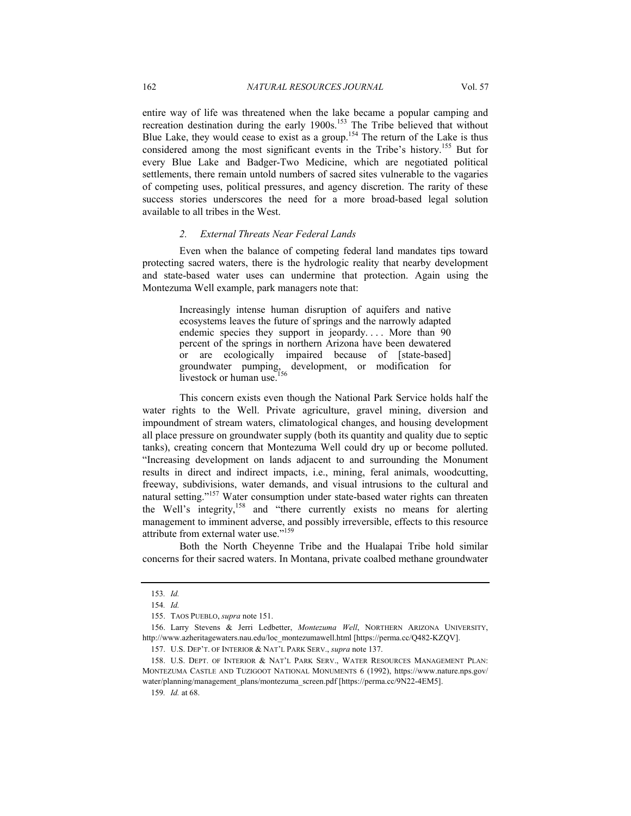entire way of life was threatened when the lake became a popular camping and recreation destination during the early 1900s.<sup>153</sup> The Tribe believed that without Blue Lake, they would cease to exist as a group.<sup>154</sup> The return of the Lake is thus considered among the most significant events in the Tribe's history.155 But for every Blue Lake and Badger-Two Medicine, which are negotiated political settlements, there remain untold numbers of sacred sites vulnerable to the vagaries of competing uses, political pressures, and agency discretion. The rarity of these success stories underscores the need for a more broad-based legal solution available to all tribes in the West.

#### *2. External Threats Near Federal Lands*

Even when the balance of competing federal land mandates tips toward protecting sacred waters, there is the hydrologic reality that nearby development and state-based water uses can undermine that protection. Again using the Montezuma Well example, park managers note that:

> Increasingly intense human disruption of aquifers and native ecosystems leaves the future of springs and the narrowly adapted endemic species they support in jeopardy.... More than 90 percent of the springs in northern Arizona have been dewatered or are ecologically impaired because of [state-based] groundwater pumping, development, or modification for livestock or human use.<sup>1</sup>

This concern exists even though the National Park Service holds half the water rights to the Well. Private agriculture, gravel mining, diversion and impoundment of stream waters, climatological changes, and housing development all place pressure on groundwater supply (both its quantity and quality due to septic tanks), creating concern that Montezuma Well could dry up or become polluted. "Increasing development on lands adjacent to and surrounding the Monument results in direct and indirect impacts, i.e., mining, feral animals, woodcutting, freeway, subdivisions, water demands, and visual intrusions to the cultural and natural setting."<sup>157</sup> Water consumption under state-based water rights can threaten the Well's integrity,158 and "there currently exists no means for alerting management to imminent adverse, and possibly irreversible, effects to this resource attribute from external water use."159

Both the North Cheyenne Tribe and the Hualapai Tribe hold similar concerns for their sacred waters. In Montana, private coalbed methane groundwater

<sup>153</sup>*. Id.*

<sup>154</sup>*. Id.*

 <sup>155.</sup> TAOS PUEBLO, *supra* note 151.

 <sup>156.</sup> Larry Stevens & Jerri Ledbetter, *Montezuma Well*, NORTHERN ARIZONA UNIVERSITY, http://www.azheritagewaters.nau.edu/loc\_montezumawell.html [https://perma.cc/Q482-KZQV].

 <sup>157.</sup> U.S. DEP'T. OF INTERIOR & NAT'L PARK SERV., *supra* note 137.

 <sup>158.</sup> U.S. DEPT. OF INTERIOR & NAT'L PARK SERV., WATER RESOURCES MANAGEMENT PLAN: MONTEZUMA CASTLE AND TUZIGOOT NATIONAL MONUMENTS 6 (1992), https://www.nature.nps.gov/ water/planning/management\_plans/montezuma\_screen.pdf [https://perma.cc/9N22-4EM5].

<sup>159</sup>*. Id.* at 68.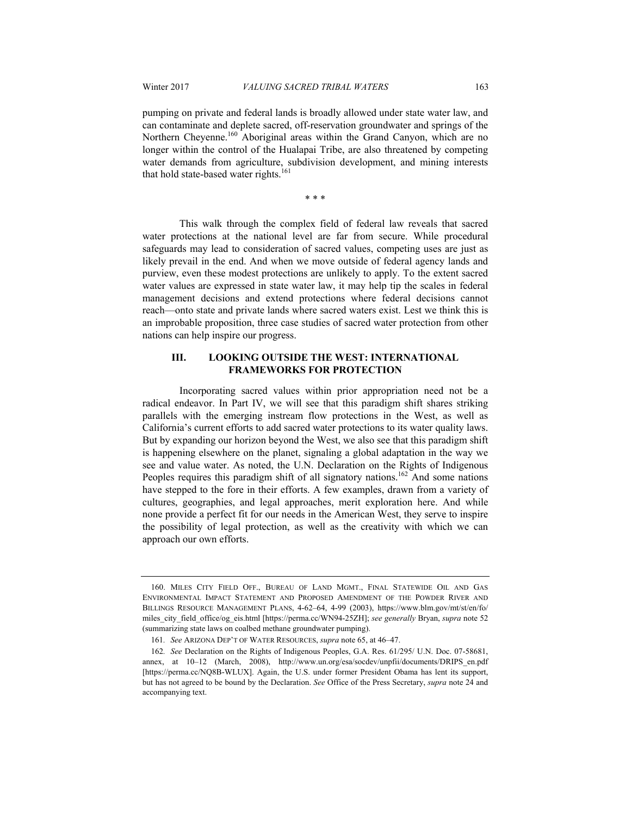pumping on private and federal lands is broadly allowed under state water law, and can contaminate and deplete sacred, off-reservation groundwater and springs of the Northern Cheyenne.<sup>160</sup> Aboriginal areas within the Grand Canyon, which are no longer within the control of the Hualapai Tribe, are also threatened by competing water demands from agriculture, subdivision development, and mining interests that hold state-based water rights.<sup>161</sup>

\* \* \*

This walk through the complex field of federal law reveals that sacred water protections at the national level are far from secure. While procedural safeguards may lead to consideration of sacred values, competing uses are just as likely prevail in the end. And when we move outside of federal agency lands and purview, even these modest protections are unlikely to apply. To the extent sacred water values are expressed in state water law, it may help tip the scales in federal management decisions and extend protections where federal decisions cannot reach—onto state and private lands where sacred waters exist. Lest we think this is an improbable proposition, three case studies of sacred water protection from other nations can help inspire our progress.

# **III. LOOKING OUTSIDE THE WEST: INTERNATIONAL FRAMEWORKS FOR PROTECTION**

Incorporating sacred values within prior appropriation need not be a radical endeavor. In Part IV, we will see that this paradigm shift shares striking parallels with the emerging instream flow protections in the West, as well as California's current efforts to add sacred water protections to its water quality laws. But by expanding our horizon beyond the West, we also see that this paradigm shift is happening elsewhere on the planet, signaling a global adaptation in the way we see and value water. As noted, the U.N. Declaration on the Rights of Indigenous Peoples requires this paradigm shift of all signatory nations.<sup>162</sup> And some nations have stepped to the fore in their efforts. A few examples, drawn from a variety of cultures, geographies, and legal approaches, merit exploration here. And while none provide a perfect fit for our needs in the American West, they serve to inspire the possibility of legal protection, as well as the creativity with which we can approach our own efforts.

<sup>160.</sup> MILES CITY FIELD OFF., BUREAU OF LAND MGMT., FINAL STATEWIDE OIL AND GAS ENVIRONMENTAL IMPACT STATEMENT AND PROPOSED AMENDMENT OF THE POWDER RIVER AND BILLINGS RESOURCE MANAGEMENT PLANS, 4-62–64, 4-99 (2003), https://www.blm.gov/mt/st/en/fo/ miles\_city\_field\_office/og\_eis.html [https://perma.cc/WN94-25ZH]; *see generally* Bryan, *supra* note 52 (summarizing state laws on coalbed methane groundwater pumping).

<sup>161</sup>*. See* ARIZONA DEP'T OF WATER RESOURCES, *supra* note 65, at 46–47.

<sup>162</sup>*. See* Declaration on the Rights of Indigenous Peoples, G.A. Res. 61/295/ U.N. Doc. 07-58681, annex, at 10–12 (March, 2008), http://www.un.org/esa/socdev/unpfii/documents/DRIPS\_en.pdf [https://perma.cc/NQ8B-WLUX]. Again, the U.S. under former President Obama has lent its support, but has not agreed to be bound by the Declaration. *See* Office of the Press Secretary, *supra* note 24 and accompanying text.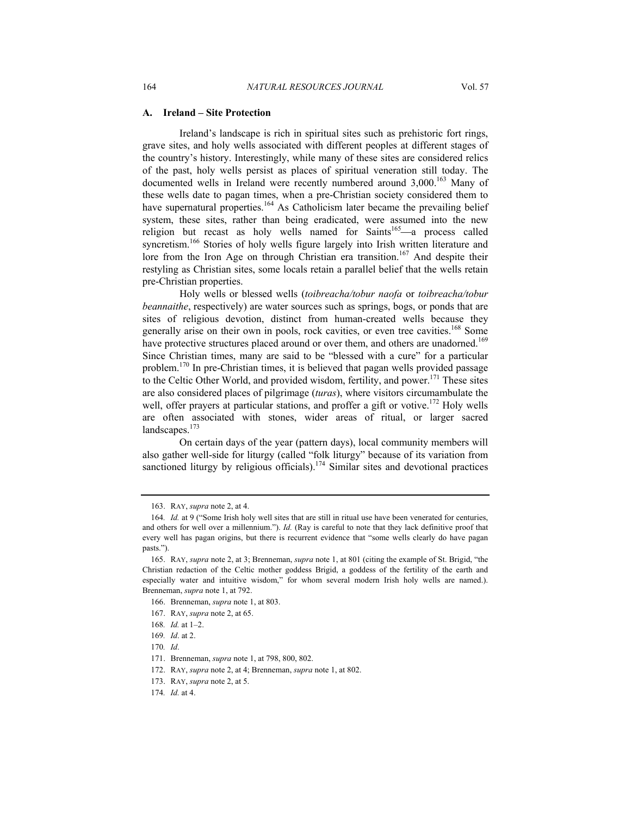#### **A. Ireland – Site Protection**

Ireland's landscape is rich in spiritual sites such as prehistoric fort rings, grave sites, and holy wells associated with different peoples at different stages of the country's history. Interestingly, while many of these sites are considered relics of the past, holy wells persist as places of spiritual veneration still today. The documented wells in Ireland were recently numbered around  $3,000$ .<sup>163</sup> Many of these wells date to pagan times, when a pre-Christian society considered them to have supernatural properties.<sup>164</sup> As Catholicism later became the prevailing belief system, these sites, rather than being eradicated, were assumed into the new religion but recast as holy wells named for Saints<sup>165</sup> $-a$  process called syncretism.<sup>166</sup> Stories of holy wells figure largely into Irish written literature and lore from the Iron Age on through Christian era transition.<sup>167</sup> And despite their restyling as Christian sites, some locals retain a parallel belief that the wells retain pre-Christian properties.

Holy wells or blessed wells (*toibreacha/tobur naofa* or *toibreacha/tobur beannaithe*, respectively) are water sources such as springs, bogs, or ponds that are sites of religious devotion, distinct from human-created wells because they generally arise on their own in pools, rock cavities, or even tree cavities.<sup>168</sup> Some have protective structures placed around or over them, and others are unadorned.<sup>169</sup> Since Christian times, many are said to be "blessed with a cure" for a particular problem.170 In pre-Christian times, it is believed that pagan wells provided passage to the Celtic Other World, and provided wisdom, fertility, and power.<sup>171</sup> These sites are also considered places of pilgrimage (*turas*), where visitors circumambulate the well, offer prayers at particular stations, and proffer a gift or votive.<sup>172</sup> Holy wells are often associated with stones, wider areas of ritual, or larger sacred landscapes.<sup>173</sup>

On certain days of the year (pattern days), local community members will also gather well-side for liturgy (called "folk liturgy" because of its variation from sanctioned liturgy by religious officials).<sup>174</sup> Similar sites and devotional practices

 <sup>163.</sup> RAY, *supra* note 2, at 4.

<sup>164</sup>*. Id.* at 9 ("Some Irish holy well sites that are still in ritual use have been venerated for centuries, and others for well over a millennium."). *Id.* (Ray is careful to note that they lack definitive proof that every well has pagan origins, but there is recurrent evidence that "some wells clearly do have pagan pasts.").

 <sup>165.</sup> RAY, *supra* note 2, at 3; Brenneman, *supra* note 1, at 801 (citing the example of St. Brigid, "the Christian redaction of the Celtic mother goddess Brigid, a goddess of the fertility of the earth and especially water and intuitive wisdom," for whom several modern Irish holy wells are named.). Brenneman, *supra* note 1, at 792.

 <sup>166.</sup> Brenneman, *supra* note 1, at 803.

 <sup>167.</sup> RAY, *supra* note 2, at 65.

<sup>168</sup>*. Id.* at 1–2.

<sup>169</sup>*. Id*. at 2.

<sup>170</sup>*. Id*.

 <sup>171.</sup> Brenneman, *supra* note 1, at 798, 800, 802.

 <sup>172.</sup> RAY, *supra* note 2, at 4; Brenneman, *supra* note 1, at 802.

 <sup>173.</sup> RAY, *supra* note 2, at 5.

<sup>174</sup>*. Id.* at 4.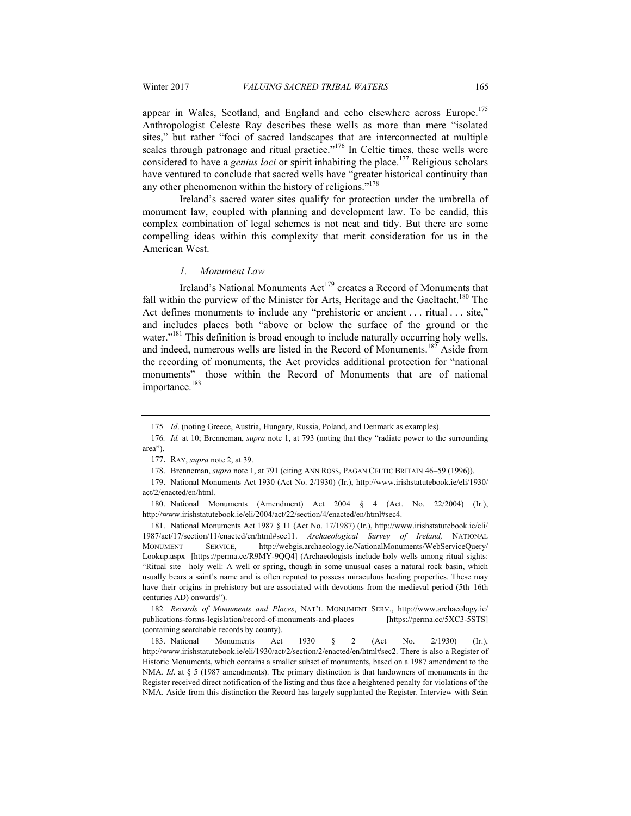appear in Wales, Scotland, and England and echo elsewhere across Europe.<sup>175</sup> Anthropologist Celeste Ray describes these wells as more than mere "isolated sites," but rather "foci of sacred landscapes that are interconnected at multiple scales through patronage and ritual practice."<sup>176</sup> In Celtic times, these wells were considered to have a *genius loci* or spirit inhabiting the place.<sup>177</sup> Religious scholars have ventured to conclude that sacred wells have "greater historical continuity than any other phenomenon within the history of religions."<sup>178</sup>

Ireland's sacred water sites qualify for protection under the umbrella of monument law, coupled with planning and development law. To be candid, this complex combination of legal schemes is not neat and tidy. But there are some compelling ideas within this complexity that merit consideration for us in the American West.

#### *1. Monument Law*

Ireland's National Monuments Act<sup>179</sup> creates a Record of Monuments that fall within the purview of the Minister for Arts, Heritage and the Gaeltacht.<sup>180</sup> The Act defines monuments to include any "prehistoric or ancient . . . ritual . . . site," and includes places both "above or below the surface of the ground or the water."<sup>181</sup> This definition is broad enough to include naturally occurring holy wells, and indeed, numerous wells are listed in the Record of Monuments.<sup>182</sup> Aside from the recording of monuments, the Act provides additional protection for "national monuments"—those within the Record of Monuments that are of national importance.<sup>183</sup>

<sup>175</sup>*. Id*. (noting Greece, Austria, Hungary, Russia, Poland, and Denmark as examples).

<sup>176</sup>*. Id.* at 10; Brenneman, *supra* note 1, at 793 (noting that they "radiate power to the surrounding area").

 <sup>177.</sup> RAY, *supra* note 2, at 39.

 <sup>178.</sup> Brenneman, *supra* note 1, at 791 (citing ANN ROSS, PAGAN CELTIC BRITAIN 46–59 (1996)).

 <sup>179.</sup> National Monuments Act 1930 (Act No. 2/1930) (Ir.), http://www.irishstatutebook.ie/eli/1930/ act/2/enacted/en/html.

 <sup>180.</sup> National Monuments (Amendment) Act 2004 § 4 (Act. No. 22/2004) (Ir.), http://www.irishstatutebook.ie/eli/2004/act/22/section/4/enacted/en/html#sec4.

 <sup>181.</sup> National Monuments Act 1987 § 11 (Act No. 17/1987) (Ir.), http://www.irishstatutebook.ie/eli/ 1987/act/17/section/11/enacted/en/html#sec11. *Archaeological Survey of Ireland,* NATIONAL MONUMENT SERVICE, http://webgis.archaeology.ie/NationalMonuments/WebServiceQuery/ Lookup.aspx [https://perma.cc/R9MY-9QQ4] (Archaeologists include holy wells among ritual sights: "Ritual site—holy well: A well or spring, though in some unusual cases a natural rock basin, which usually bears a saint's name and is often reputed to possess miraculous healing properties. These may have their origins in prehistory but are associated with devotions from the medieval period (5th–16th centuries AD) onwards").

<sup>182</sup>*. Records of Monuments and Places*, NAT'L MONUMENT SERV., http://www.archaeology.ie/ publications-forms-legislation/record-of-monuments-and-places [https://perma.cc/5XC3-5STS] (containing searchable records by county).

 <sup>183.</sup> National Monuments Act 1930 § 2 (Act No. 2/1930) (Ir.), http://www.irishstatutebook.ie/eli/1930/act/2/section/2/enacted/en/html#sec2. There is also a Register of Historic Monuments, which contains a smaller subset of monuments, based on a 1987 amendment to the NMA. *Id.* at § 5 (1987 amendments). The primary distinction is that landowners of monuments in the Register received direct notification of the listing and thus face a heightened penalty for violations of the NMA. Aside from this distinction the Record has largely supplanted the Register. Interview with Seán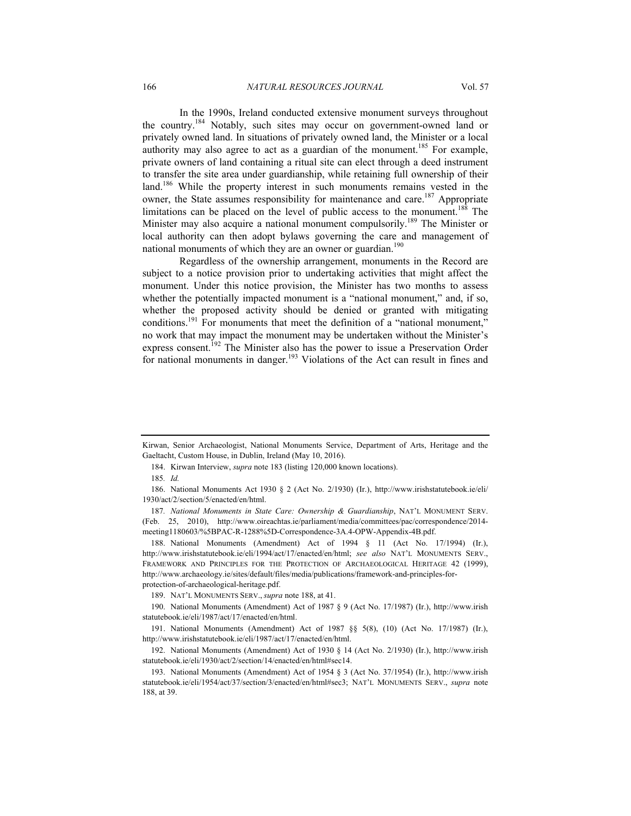In the 1990s, Ireland conducted extensive monument surveys throughout the country.184 Notably, such sites may occur on government-owned land or privately owned land. In situations of privately owned land, the Minister or a local authority may also agree to act as a guardian of the monument.<sup>185</sup> For example, private owners of land containing a ritual site can elect through a deed instrument to transfer the site area under guardianship, while retaining full ownership of their land.<sup>186</sup> While the property interest in such monuments remains vested in the owner, the State assumes responsibility for maintenance and care.<sup>187</sup> Appropriate limitations can be placed on the level of public access to the monument.<sup>188</sup> The Minister may also acquire a national monument compulsorily.<sup>189</sup> The Minister or local authority can then adopt bylaws governing the care and management of national monuments of which they are an owner or guardian.<sup>190</sup>

Regardless of the ownership arrangement, monuments in the Record are subject to a notice provision prior to undertaking activities that might affect the monument. Under this notice provision, the Minister has two months to assess whether the potentially impacted monument is a "national monument," and, if so, whether the proposed activity should be denied or granted with mitigating conditions.<sup>191</sup> For monuments that meet the definition of a "national monument," no work that may impact the monument may be undertaken without the Minister's express consent.<sup>192</sup> The Minister also has the power to issue a Preservation Order for national monuments in danger.<sup>193</sup> Violations of the Act can result in fines and

 188. National Monuments (Amendment) Act of 1994 § 11 (Act No. 17/1994) (Ir.), http://www.irishstatutebook.ie/eli/1994/act/17/enacted/en/html; *see also* NAT'L MONUMENTS SERV., FRAMEWORK AND PRINCIPLES FOR THE PROTECTION OF ARCHAEOLOGICAL HERITAGE 42 (1999), http://www.archaeology.ie/sites/default/files/media/publications/framework-and-principles-forprotection-of-archaeological-heritage.pdf.

Kirwan, Senior Archaeologist, National Monuments Service, Department of Arts, Heritage and the Gaeltacht, Custom House, in Dublin, Ireland (May 10, 2016).

 <sup>184.</sup> Kirwan Interview, *supra* note 183 (listing 120,000 known locations).

<sup>185</sup>*. Id.*

 <sup>186.</sup> National Monuments Act 1930 § 2 (Act No. 2/1930) (Ir.), http://www.irishstatutebook.ie/eli/ 1930/act/2/section/5/enacted/en/html.

<sup>187</sup>*. National Monuments in State Care: Ownership & Guardianship*, NAT'L MONUMENT SERV. (Feb. 25, 2010), http://www.oireachtas.ie/parliament/media/committees/pac/correspondence/2014 meeting1180603/%5BPAC-R-1288%5D-Correspondence-3A.4-OPW-Appendix-4B.pdf.

 <sup>189.</sup> NAT'L MONUMENTS SERV., *supra* note 188, at 41.

 <sup>190.</sup> National Monuments (Amendment) Act of 1987 § 9 (Act No. 17/1987) (Ir.), http://www.irish statutebook.ie/eli/1987/act/17/enacted/en/html.

 <sup>191.</sup> National Monuments (Amendment) Act of 1987 §§ 5(8), (10) (Act No. 17/1987) (Ir.), http://www.irishstatutebook.ie/eli/1987/act/17/enacted/en/html.

 <sup>192.</sup> National Monuments (Amendment) Act of 1930 § 14 (Act No. 2/1930) (Ir.), http://www.irish statutebook.ie/eli/1930/act/2/section/14/enacted/en/html#sec14.

 <sup>193.</sup> National Monuments (Amendment) Act of 1954 § 3 (Act No. 37/1954) (Ir.), http://www.irish statutebook.ie/eli/1954/act/37/section/3/enacted/en/html#sec3; NAT'L MONUMENTS SERV., *supra* note 188, at 39.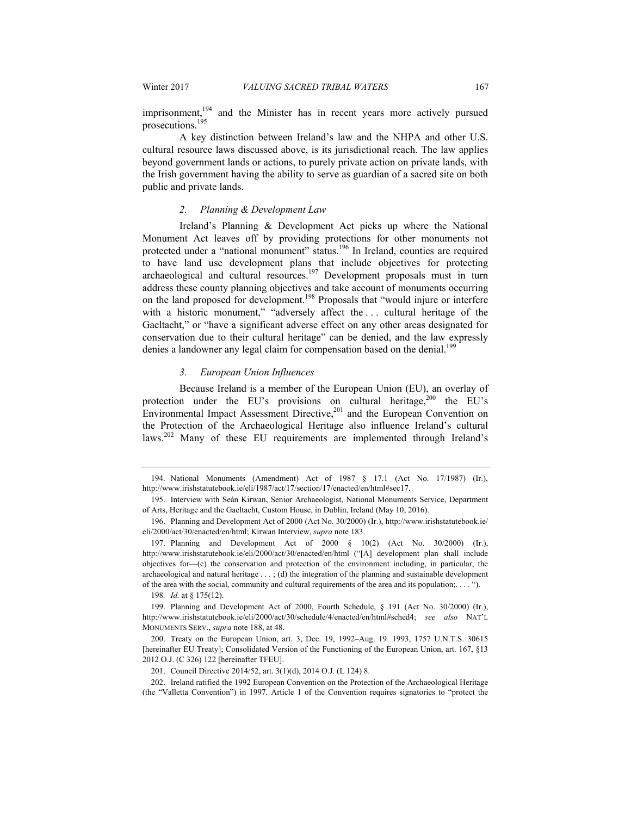imprisonment,<sup>194</sup> and the Minister has in recent years more actively pursued prosecutions.195

A key distinction between Ireland's law and the NHPA and other U.S. cultural resource laws discussed above, is its jurisdictional reach. The law applies beyond government lands or actions, to purely private action on private lands, with the Irish government having the ability to serve as guardian of a sacred site on both public and private lands.

#### *2. Planning & Development Law*

Ireland's Planning & Development Act picks up where the National Monument Act leaves off by providing protections for other monuments not protected under a "national monument" status.<sup>196</sup> In Ireland, counties are required to have land use development plans that include objectives for protecting archaeological and cultural resources.<sup>197</sup> Development proposals must in turn address these county planning objectives and take account of monuments occurring on the land proposed for development.<sup>198</sup> Proposals that "would injure or interfere with a historic monument," "adversely affect the ... cultural heritage of the Gaeltacht," or "have a significant adverse effect on any other areas designated for conservation due to their cultural heritage" can be denied, and the law expressly denies a landowner any legal claim for compensation based on the denial.<sup>199</sup>

#### *3. European Union Influences*

Because Ireland is a member of the European Union (EU), an overlay of protection under the EU's provisions on cultural heritage, $200$  the EU's Environmental Impact Assessment Directive,<sup>201</sup> and the European Convention on the Protection of the Archaeological Heritage also influence Ireland's cultural laws.<sup>202</sup> Many of these EU requirements are implemented through Ireland's

198*. Id.* at § 175(12).

 <sup>194.</sup> National Monuments (Amendment) Act of 1987 § 17.1 (Act No. 17/1987) (Ir.), http://www.irishstatutebook.ie/eli/1987/act/17/section/17/enacted/en/html#sec17.

 <sup>195.</sup> Interview with Seán Kirwan, Senior Archaeologist, National Monuments Service, Department of Arts, Heritage and the Gaeltacht, Custom House, in Dublin, Ireland (May 10, 2016).

 <sup>196.</sup> Planning and Development Act of 2000 (Act No. 30/2000) (Ir.), http://www.irishstatutebook.ie/ eli/2000/act/30/enacted/en/html; Kirwan Interview, *supra* note 183.

 <sup>197.</sup> Planning and Development Act of 2000 § 10(2) (Act No. 30/2000) (Ir.), http://www.irishstatutebook.ie/eli/2000/act/30/enacted/en/html ("[A] development plan shall include objectives for—(c) the conservation and protection of the environment including, in particular, the archaeological and natural heritage . . . ; (d) the integration of the planning and sustainable development of the area with the social, community and cultural requirements of the area and its population;. . . . ").

 <sup>199.</sup> Planning and Development Act of 2000, Fourth Schedule, § 191 (Act No. 30/2000) (Ir.), http://www.irishstatutebook.ie/eli/2000/act/30/schedule/4/enacted/en/html#sched4; *see also* NAT'L MONUMENTS SERV., *supra* note 188, at 48.

 <sup>200.</sup> Treaty on the European Union, art. 3, Dec. 19, 1992–Aug. 19. 1993, 1757 U.N.T.S. 30615 [hereinafter EU Treaty]; Consolidated Version of the Functioning of the European Union, art. 167, §13 2012 O.J. (C 326) 122 [hereinafter TFEU].

 <sup>201.</sup> Council Directive 2014/52, art. 3(1)(d), 2014 O.J. (L 124) 8.

 <sup>202.</sup> Ireland ratified the 1992 European Convention on the Protection of the Archaeological Heritage (the "Valletta Convention") in 1997. Article 1 of the Convention requires signatories to "protect the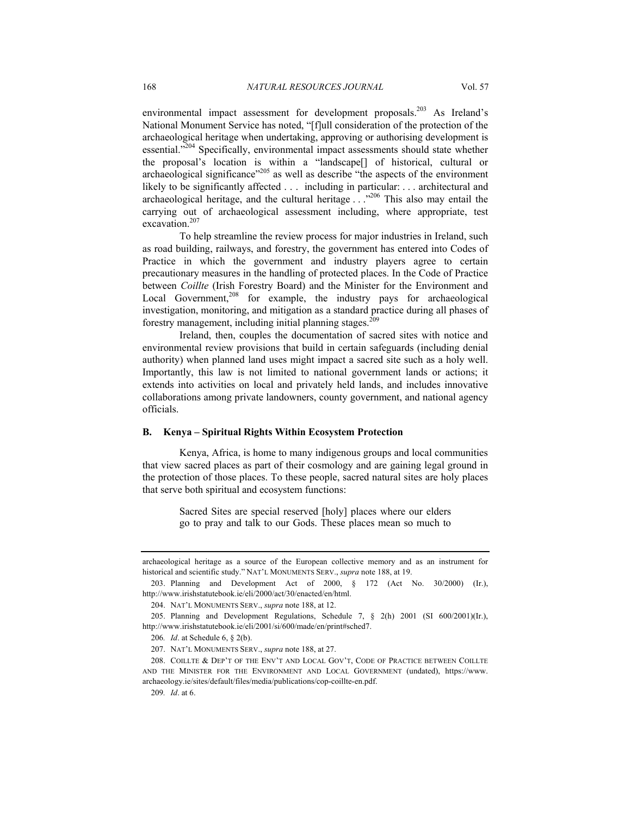environmental impact assessment for development proposals.<sup>203</sup> As Ireland's National Monument Service has noted, "[f]ull consideration of the protection of the archaeological heritage when undertaking, approving or authorising development is essential."<sup>204</sup> Specifically, environmental impact assessments should state whether the proposal's location is within a "landscape[] of historical, cultural or archaeological significance"<sup>205</sup> as well as describe "the aspects of the environment likely to be significantly affected . . . including in particular: . . . architectural and archaeological heritage, and the cultural heritage . . ."206 This also may entail the carrying out of archaeological assessment including, where appropriate, test excavation<sup>207</sup>

To help streamline the review process for major industries in Ireland, such as road building, railways, and forestry, the government has entered into Codes of Practice in which the government and industry players agree to certain precautionary measures in the handling of protected places. In the Code of Practice between *Coillte* (Irish Forestry Board) and the Minister for the Environment and Local Government,<sup>208</sup> for example, the industry pays for archaeological investigation, monitoring, and mitigation as a standard practice during all phases of forestry management, including initial planning stages.<sup>209</sup>

Ireland, then, couples the documentation of sacred sites with notice and environmental review provisions that build in certain safeguards (including denial authority) when planned land uses might impact a sacred site such as a holy well. Importantly, this law is not limited to national government lands or actions; it extends into activities on local and privately held lands, and includes innovative collaborations among private landowners, county government, and national agency officials.

#### **B. Kenya – Spiritual Rights Within Ecosystem Protection**

Kenya, Africa, is home to many indigenous groups and local communities that view sacred places as part of their cosmology and are gaining legal ground in the protection of those places. To these people, sacred natural sites are holy places that serve both spiritual and ecosystem functions:

> Sacred Sites are special reserved [holy] places where our elders go to pray and talk to our Gods. These places mean so much to

archaeological heritage as a source of the European collective memory and as an instrument for historical and scientific study." NAT'L MONUMENTS SERV., *supra* note 188, at 19.

 <sup>203.</sup> Planning and Development Act of 2000, § 172 (Act No. 30/2000) (Ir.), http://www.irishstatutebook.ie/eli/2000/act/30/enacted/en/html.

 <sup>204.</sup> NAT'L MONUMENTS SERV., *supra* note 188, at 12.

 <sup>205.</sup> Planning and Development Regulations, Schedule 7, § 2(h) 2001 (SI 600/2001)(Ir.), http://www.irishstatutebook.ie/eli/2001/si/600/made/en/print#sched7.

<sup>206</sup>*. Id*. at Schedule 6, § 2(b).

 <sup>207.</sup> NAT'L MONUMENTS SERV., *supra* note 188, at 27.

 <sup>208.</sup> COILLTE & DEP'T OF THE ENV'T AND LOCAL GOV'T, CODE OF PRACTICE BETWEEN COILLTE AND THE MINISTER FOR THE ENVIRONMENT AND LOCAL GOVERNMENT (undated), https://www. archaeology.ie/sites/default/files/media/publications/cop-coillte-en.pdf.

<sup>209</sup>*. Id*. at 6.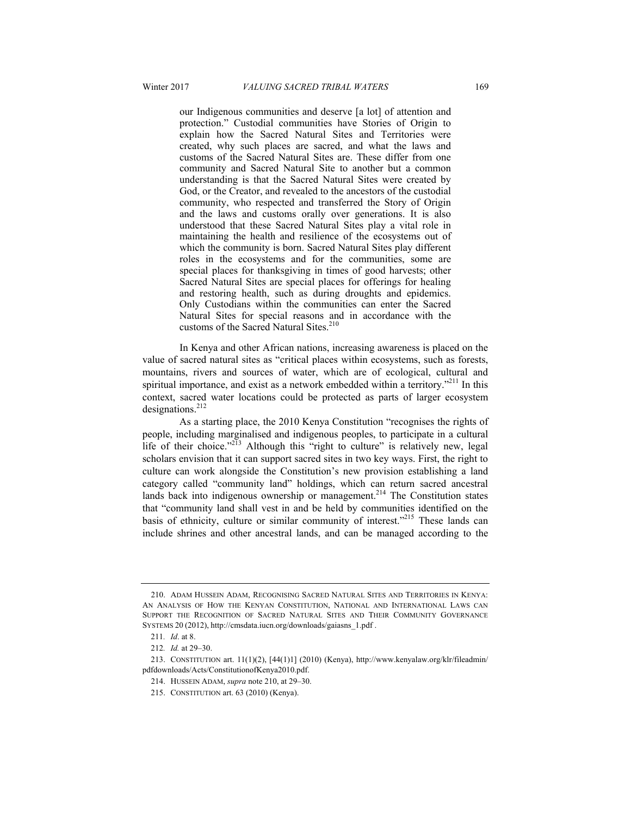our Indigenous communities and deserve [a lot] of attention and protection." Custodial communities have Stories of Origin to explain how the Sacred Natural Sites and Territories were created, why such places are sacred, and what the laws and customs of the Sacred Natural Sites are. These differ from one community and Sacred Natural Site to another but a common understanding is that the Sacred Natural Sites were created by God, or the Creator, and revealed to the ancestors of the custodial community, who respected and transferred the Story of Origin and the laws and customs orally over generations. It is also understood that these Sacred Natural Sites play a vital role in maintaining the health and resilience of the ecosystems out of which the community is born. Sacred Natural Sites play different roles in the ecosystems and for the communities, some are special places for thanksgiving in times of good harvests; other Sacred Natural Sites are special places for offerings for healing and restoring health, such as during droughts and epidemics. Only Custodians within the communities can enter the Sacred Natural Sites for special reasons and in accordance with the customs of the Sacred Natural Sites.<sup>210</sup>

In Kenya and other African nations, increasing awareness is placed on the value of sacred natural sites as "critical places within ecosystems, such as forests, mountains, rivers and sources of water, which are of ecological, cultural and spiritual importance, and exist as a network embedded within a territory.<sup>5211</sup> In this context, sacred water locations could be protected as parts of larger ecosystem designations.<sup>212</sup>

As a starting place, the 2010 Kenya Constitution "recognises the rights of people, including marginalised and indigenous peoples, to participate in a cultural life of their choice."<sup>213</sup> Although this "right to culture" is relatively new, legal scholars envision that it can support sacred sites in two key ways. First, the right to culture can work alongside the Constitution's new provision establishing a land category called "community land" holdings, which can return sacred ancestral lands back into indigenous ownership or management.<sup>214</sup> The Constitution states that "community land shall vest in and be held by communities identified on the basis of ethnicity, culture or similar community of interest."<sup>215</sup> These lands can include shrines and other ancestral lands, and can be managed according to the

 <sup>210.</sup> ADAM HUSSEIN ADAM, RECOGNISING SACRED NATURAL SITES AND TERRITORIES IN KENYA: AN ANALYSIS OF HOW THE KENYAN CONSTITUTION, NATIONAL AND INTERNATIONAL LAWS CAN SUPPORT THE RECOGNITION OF SACRED NATURAL SITES AND THEIR COMMUNITY GOVERNANCE SYSTEMS 20 (2012), http://cmsdata.iucn.org/downloads/gaiasns\_1.pdf .

<sup>211</sup>*. Id*. at 8.

<sup>212</sup>*. Id.* at 29–30.

 <sup>213.</sup> CONSTITUTION art. 11(1)(2), [44(1)1] (2010) (Kenya), http://www.kenyalaw.org/klr/fileadmin/ pdfdownloads/Acts/ConstitutionofKenya2010.pdf.

 <sup>214.</sup> HUSSEIN ADAM, *supra* note 210, at 29–30.

 <sup>215.</sup> CONSTITUTION art. 63 (2010) (Kenya).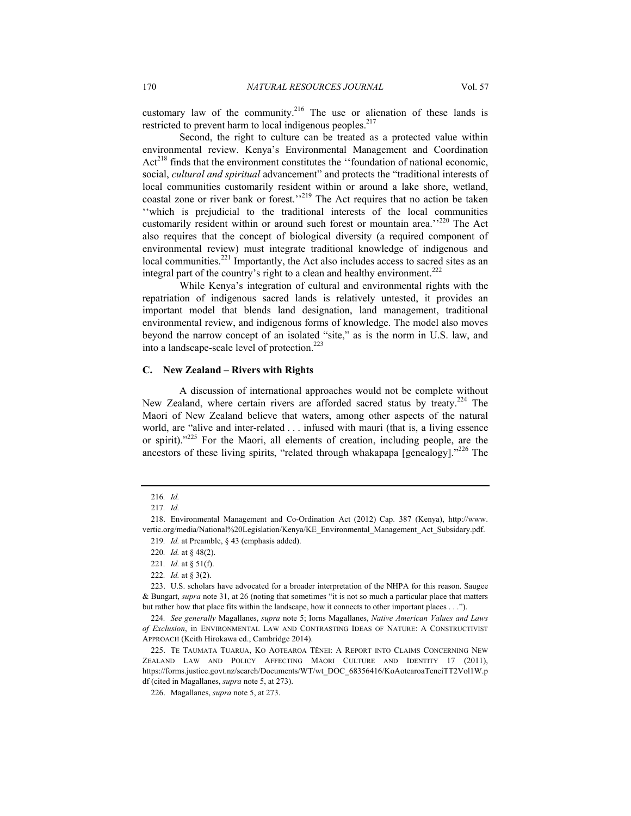customary law of the community.<sup>216</sup> The use or alienation of these lands is restricted to prevent harm to local indigenous peoples.<sup>217</sup>

Second, the right to culture can be treated as a protected value within environmental review. Kenya's Environmental Management and Coordination  $Act^{218}$  finds that the environment constitutes the "foundation of national economic, social, *cultural and spiritual* advancement" and protects the "traditional interests of local communities customarily resident within or around a lake shore, wetland, coastal zone or river bank or forest.<sup>''219</sup> The Act requires that no action be taken ''which is prejudicial to the traditional interests of the local communities customarily resident within or around such forest or mountain area.<sup>''220</sup> The Act also requires that the concept of biological diversity (a required component of environmental review) must integrate traditional knowledge of indigenous and local communities.<sup>221</sup> Importantly, the Act also includes access to sacred sites as an integral part of the country's right to a clean and healthy environment.<sup>222</sup>

While Kenya's integration of cultural and environmental rights with the repatriation of indigenous sacred lands is relatively untested, it provides an important model that blends land designation, land management, traditional environmental review, and indigenous forms of knowledge. The model also moves beyond the narrow concept of an isolated "site," as is the norm in U.S. law, and into a landscape-scale level of protection.<sup>223</sup>

## **C. New Zealand – Rivers with Rights**

A discussion of international approaches would not be complete without New Zealand, where certain rivers are afforded sacred status by treaty.<sup>224</sup> The Maori of New Zealand believe that waters, among other aspects of the natural world, are "alive and inter-related . . . infused with mauri (that is, a living essence or spirit)."<sup>225</sup> For the Maori, all elements of creation, including people, are the ancestors of these living spirits, "related through whakapapa [genealogy]." $^{226}$  The

<sup>216</sup>*. Id.*

<sup>217</sup>*. Id.*

 <sup>218.</sup> Environmental Management and Co-Ordination Act (2012) Cap. 387 (Kenya), http://www. vertic.org/media/National%20Legislation/Kenya/KE\_Environmental\_Management\_Act\_Subsidary.pdf.

<sup>219</sup>*. Id.* at Preamble, § 43 (emphasis added).

<sup>220</sup>*. Id.* at § 48(2).

<sup>221</sup>*. Id.* at § 51(f).

<sup>222</sup>*. Id.* at § 3(2).

 <sup>223.</sup> U.S. scholars have advocated for a broader interpretation of the NHPA for this reason. Saugee & Bungart, *supra* note 31, at 26 (noting that sometimes "it is not so much a particular place that matters but rather how that place fits within the landscape, how it connects to other important places . . .").

<sup>224</sup>*. See generally* Magallanes, *supra* note 5; Iorns Magallanes, *Native American Values and Laws of Exclusion*, in ENVIRONMENTAL LAW AND CONTRASTING IDEAS OF NATURE: A CONSTRUCTIVIST APPROACH (Keith Hirokawa ed., Cambridge 2014).

 <sup>225.</sup> TE TAUMATA TUARUA, KO AOTEAROA TĒNEI: A REPORT INTO CLAIMS CONCERNING NEW ZEALAND LAW AND POLICY AFFECTING MĀORI CULTURE AND IDENTITY 17 (2011), https://forms.justice.govt.nz/search/Documents/WT/wt\_DOC\_68356416/KoAotearoaTeneiTT2Vol1W.p df (cited in Magallanes, *supra* note 5, at 273).

 <sup>226.</sup> Magallanes, *supra* note 5, at 273.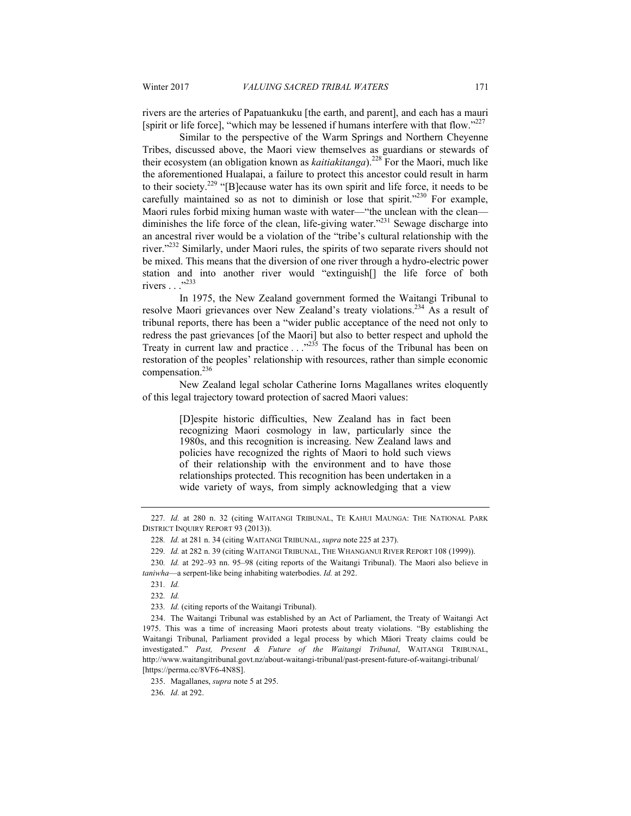rivers are the arteries of Papatuankuku [the earth, and parent], and each has a mauri [spirit or life force], "which may be lessened if humans interfere with that flow."<sup>227</sup>

Similar to the perspective of the Warm Springs and Northern Cheyenne Tribes, discussed above, the Maori view themselves as guardians or stewards of their ecosystem (an obligation known as *kaitiakitanga*).228 For the Maori, much like the aforementioned Hualapai, a failure to protect this ancestor could result in harm to their society.229 "[B]ecause water has its own spirit and life force, it needs to be carefully maintained so as not to diminish or lose that spirit."<sup>230</sup> For example, Maori rules forbid mixing human waste with water—"the unclean with the clean diminishes the life force of the clean, life-giving water."<sup>231</sup> Sewage discharge into an ancestral river would be a violation of the "tribe's cultural relationship with the river."<sup>232</sup> Similarly, under Maori rules, the spirits of two separate rivers should not be mixed. This means that the diversion of one river through a hydro-electric power station and into another river would "extinguish[] the life force of both rivers . . .<sup>3233</sup>

In 1975, the New Zealand government formed the Waitangi Tribunal to resolve Maori grievances over New Zealand's treaty violations.234 As a result of tribunal reports, there has been a "wider public acceptance of the need not only to redress the past grievances [of the Maori] but also to better respect and uphold the Treaty in current law and practice  $\ldots$ <sup>235</sup> The focus of the Tribunal has been on restoration of the peoples' relationship with resources, rather than simple economic compensation.<sup>236</sup>

New Zealand legal scholar Catherine Iorns Magallanes writes eloquently of this legal trajectory toward protection of sacred Maori values:

> [D]espite historic difficulties, New Zealand has in fact been recognizing Maori cosmology in law, particularly since the 1980s, and this recognition is increasing. New Zealand laws and policies have recognized the rights of Maori to hold such views of their relationship with the environment and to have those relationships protected. This recognition has been undertaken in a wide variety of ways, from simply acknowledging that a view

235. Magallanes, *supra* note 5 at 295.

236*. Id.* at 292.

<sup>227</sup>*. Id.* at 280 n. 32 (citing WAITANGI TRIBUNAL, TE KAHUI MAUNGA: THE NATIONAL PARK DISTRICT INQUIRY REPORT 93 (2013)).

<sup>228</sup>*. Id.* at 281 n. 34 (citing WAITANGI TRIBUNAL, *supra* note 225 at 237).

<sup>229</sup>*. Id.* at 282 n. 39 (citing WAITANGI TRIBUNAL, THE WHANGANUI RIVER REPORT 108 (1999)).

<sup>230</sup>*. Id.* at 292–93 nn. 95–98 (citing reports of the Waitangi Tribunal). The Maori also believe in *taniwha*—a serpent-like being inhabiting waterbodies. *Id.* at 292.

<sup>231</sup>*. Id.*

<sup>232</sup>*. Id.*

<sup>233</sup>*. Id.* (citing reports of the Waitangi Tribunal).

 <sup>234.</sup> The Waitangi Tribunal was established by an Act of Parliament, the Treaty of Waitangi Act 1975. This was a time of increasing Maori protests about treaty violations. "By establishing the Waitangi Tribunal, Parliament provided a legal process by which Māori Treaty claims could be investigated." *Past, Present & Future of the Waitangi Tribunal*, WAITANGI TRIBUNAL, http://www.waitangitribunal.govt.nz/about-waitangi-tribunal/past-present-future-of-waitangi-tribunal/ [https://perma.cc/8VF6-4N8S].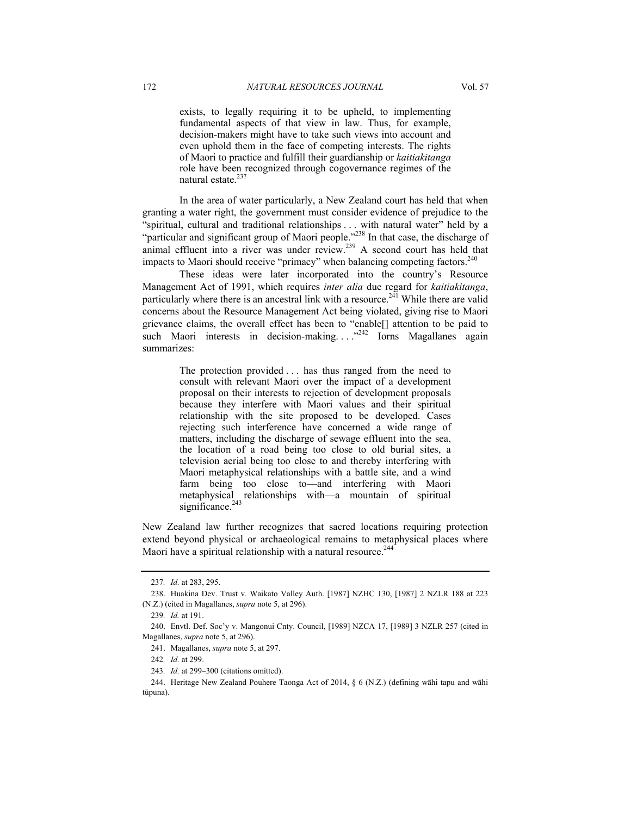exists, to legally requiring it to be upheld, to implementing fundamental aspects of that view in law. Thus, for example, decision-makers might have to take such views into account and even uphold them in the face of competing interests. The rights of Maori to practice and fulfill their guardianship or *kaitiakitanga* role have been recognized through cogovernance regimes of the natural estate.<sup>237</sup>

In the area of water particularly, a New Zealand court has held that when granting a water right, the government must consider evidence of prejudice to the "spiritual, cultural and traditional relationships . . . with natural water" held by a "particular and significant group of Maori people."238 In that case, the discharge of particular and significant group of Maori people. In that case, the discharge of animal effluent into a river was under review.<sup>239</sup> A second court has held that impacts to Maori should receive "primacy" when balancing competing factors.<sup>240</sup>

These ideas were later incorporated into the country's Resource Management Act of 1991, which requires *inter alia* due regard for *kaitiakitanga*, particularly where there is an ancestral link with a resource.<sup> $2\overline{41}$ </sup> While there are valid concerns about the Resource Management Act being violated, giving rise to Maori grievance claims, the overall effect has been to "enable[] attention to be paid to such Maori interests in decision-making. . . .<sup>242</sup> Iorns Magallanes again summarizes:

> The protection provided . . . has thus ranged from the need to consult with relevant Maori over the impact of a development proposal on their interests to rejection of development proposals because they interfere with Maori values and their spiritual relationship with the site proposed to be developed. Cases rejecting such interference have concerned a wide range of matters, including the discharge of sewage effluent into the sea, the location of a road being too close to old burial sites, a television aerial being too close to and thereby interfering with Maori metaphysical relationships with a battle site, and a wind farm being too close to—and interfering with Maori metaphysical relationships with—a mountain of spiritual significance.<sup>243</sup>

New Zealand law further recognizes that sacred locations requiring protection extend beyond physical or archaeological remains to metaphysical places where Maori have a spiritual relationship with a natural resource.<sup>244</sup>

<sup>237</sup>*. Id.* at 283, 295.

 <sup>238.</sup> Huakina Dev. Trust v. Waikato Valley Auth. [1987] NZHC 130, [1987] 2 NZLR 188 at 223 (N.Z.) (cited in Magallanes, *supra* note 5, at 296).

<sup>239</sup>*. Id.* at 191.

 <sup>240.</sup> Envtl. Def. Soc'y v. Mangonui Cnty. Council, [1989] NZCA 17, [1989] 3 NZLR 257 (cited in Magallanes, *supra* note 5, at 296).

 <sup>241.</sup> Magallanes, *supra* note 5, at 297.

<sup>242</sup>*. Id.* at 299.

<sup>243</sup>*. Id.* at 299–300 (citations omitted).

 <sup>244.</sup> Heritage New Zealand Pouhere Taonga Act of 2014, § 6 (N.Z.) (defining wāhi tapu and wāhi tūpuna).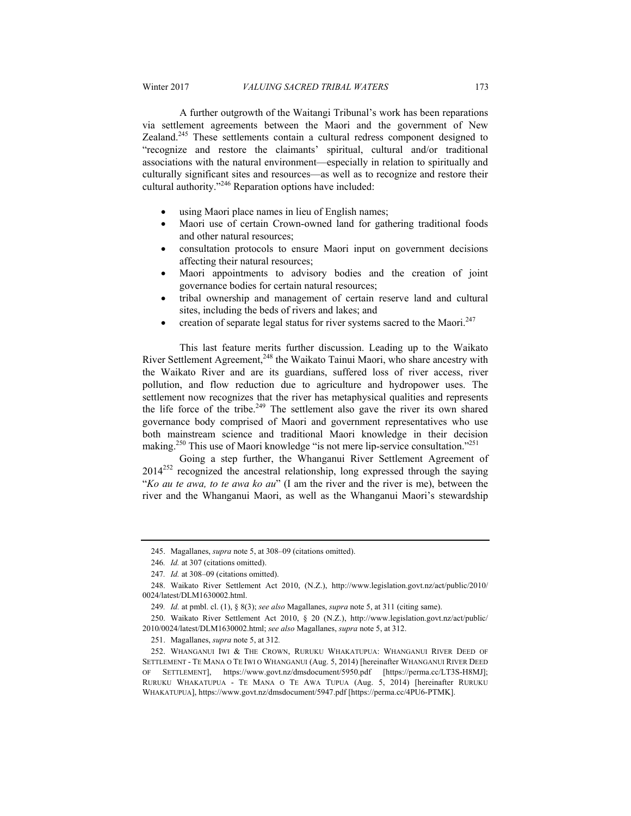A further outgrowth of the Waitangi Tribunal's work has been reparations via settlement agreements between the Maori and the government of New Zealand.<sup>245</sup> These settlements contain a cultural redress component designed to "recognize and restore the claimants' spiritual, cultural and/or traditional associations with the natural environment—especially in relation to spiritually and culturally significant sites and resources—as well as to recognize and restore their cultural authority."246 Reparation options have included:

- using Maori place names in lieu of English names;
- Maori use of certain Crown-owned land for gathering traditional foods and other natural resources;
- consultation protocols to ensure Maori input on government decisions affecting their natural resources;
- Maori appointments to advisory bodies and the creation of joint governance bodies for certain natural resources;
- tribal ownership and management of certain reserve land and cultural sites, including the beds of rivers and lakes; and
- creation of separate legal status for river systems sacred to the Maori.<sup>247</sup>

This last feature merits further discussion. Leading up to the Waikato River Settlement Agreement, $248$  the Waikato Tainui Maori, who share ancestry with the Waikato River and are its guardians, suffered loss of river access, river pollution, and flow reduction due to agriculture and hydropower uses. The settlement now recognizes that the river has metaphysical qualities and represents the life force of the tribe.<sup>249</sup> The settlement also gave the river its own shared governance body comprised of Maori and government representatives who use both mainstream science and traditional Maori knowledge in their decision making.<sup>250</sup> This use of Maori knowledge "is not mere lip-service consultation."<sup>251</sup>

Going a step further, the Whanganui River Settlement Agreement of 2014<sup>252</sup> recognized the ancestral relationship, long expressed through the saying "*Ko au te awa, to te awa ko au*" (I am the river and the river is me), between the river and the Whanganui Maori, as well as the Whanganui Maori's stewardship

 <sup>245.</sup> Magallanes, *supra* note 5, at 308–09 (citations omitted).

<sup>246</sup>*. Id.* at 307 (citations omitted).

<sup>247</sup>*. Id.* at 308–09 (citations omitted).

 <sup>248.</sup> Waikato River Settlement Act 2010, (N.Z.), http://www.legislation.govt.nz/act/public/2010/ 0024/latest/DLM1630002.html.

<sup>249</sup>*. Id.* at pmbl. cl. (1), § 8(3); *see also* Magallanes, *supra* note 5, at 311 (citing same).

 <sup>250.</sup> Waikato River Settlement Act 2010, § 20 (N.Z.), http://www.legislation.govt.nz/act/public/ 2010/0024/latest/DLM1630002.html; *see also* Magallanes, *supra* note 5, at 312.

 <sup>251.</sup> Magallanes, *supra* note 5, at 312*.*

 <sup>252.</sup> WHANGANUI IWI & THE CROWN, RURUKU WHAKATUPUA: WHANGANUI RIVER DEED OF SETTLEMENT - TE MANA O TE IWI O WHANGANUI (Aug. 5, 2014) [hereinafter WHANGANUI RIVER DEED OF SETTLEMENT], https://www.govt.nz/dmsdocument/5950.pdf [https://perma.cc/LT3S-H8MJ]; RURUKU WHAKATUPUA - TE MANA O TE AWA TUPUA (Aug. 5, 2014) [hereinafter RURUKU WHAKATUPUA], https://www.govt.nz/dmsdocument/5947.pdf [https://perma.cc/4PU6-PTMK].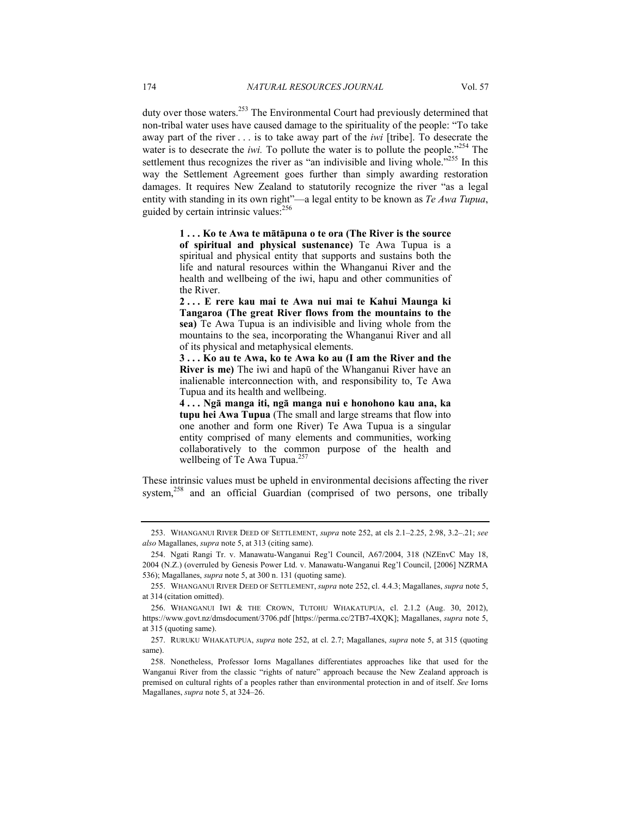duty over those waters.<sup>253</sup> The Environmental Court had previously determined that non-tribal water uses have caused damage to the spirituality of the people: "To take away part of the river . . . is to take away part of the *iwi* [tribe]. To desecrate the water is to desecrate the *iwi*. To pollute the water is to pollute the people."<sup>254</sup> The settlement thus recognizes the river as "an indivisible and living whole."<sup>255</sup> In this way the Settlement Agreement goes further than simply awarding restoration damages. It requires New Zealand to statutorily recognize the river "as a legal entity with standing in its own right"—a legal entity to be known as *Te Awa Tupua*, guided by certain intrinsic values: $256$ 

> **1 . . . Ko te Awa te mātāpuna o te ora (The River is the source of spiritual and physical sustenance)** Te Awa Tupua is a spiritual and physical entity that supports and sustains both the life and natural resources within the Whanganui River and the health and wellbeing of the iwi, hapu and other communities of the River.

> **2 . . . E rere kau mai te Awa nui mai te Kahui Maunga ki Tangaroa (The great River flows from the mountains to the sea)** Te Awa Tupua is an indivisible and living whole from the mountains to the sea, incorporating the Whanganui River and all of its physical and metaphysical elements.

> **3 . . . Ko au te Awa, ko te Awa ko au (I am the River and the River is me)** The iwi and hapū of the Whanganui River have an inalienable interconnection with, and responsibility to, Te Awa Tupua and its health and wellbeing.

> **4 . . . Ngā manga iti, ngā manga nui e honohono kau ana, ka tupu hei Awa Tupua** (The small and large streams that flow into one another and form one River) Te Awa Tupua is a singular entity comprised of many elements and communities, working collaboratively to the common purpose of the health and wellbeing of Te Awa Tupua. $257$

These intrinsic values must be upheld in environmental decisions affecting the river system,<sup>258</sup> and an official Guardian (comprised of two persons, one tribally

 <sup>253.</sup> WHANGANUI RIVER DEED OF SETTLEMENT, *supra* note 252, at cls 2.1–2.25, 2.98, 3.2–.21; *see also* Magallanes, *supra* note 5, at 313 (citing same).

 <sup>254.</sup> Ngati Rangi Tr. v. Manawatu-Wanganui Reg'l Council, A67/2004, 318 (NZEnvC May 18, 2004 (N.Z.) (overruled by Genesis Power Ltd. v. Manawatu-Wanganui Reg'l Council, [2006] NZRMA 536); Magallanes, *supra* note 5, at 300 n. 131 (quoting same).

 <sup>255.</sup> WHANGANUI RIVER DEED OF SETTLEMENT, *supra* note 252, cl. 4.4.3; Magallanes, *supra* note 5, at 314 (citation omitted).

 <sup>256.</sup> WHANGANUI IWI & THE CROWN, TUTOHU WHAKATUPUA, cl. 2.1.2 (Aug. 30, 2012), https://www.govt.nz/dmsdocument/3706.pdf [https://perma.cc/2TB7-4XQK]; Magallanes, *supra* note 5, at 315 (quoting same).

 <sup>257.</sup> RURUKU WHAKATUPUA, *supra* note 252, at cl. 2.7; Magallanes, *supra* note 5, at 315 (quoting same).

 <sup>258.</sup> Nonetheless, Professor Iorns Magallanes differentiates approaches like that used for the Wanganui River from the classic "rights of nature" approach because the New Zealand approach is premised on cultural rights of a peoples rather than environmental protection in and of itself. *See* Iorns Magallanes, *supra* note 5, at 324–26.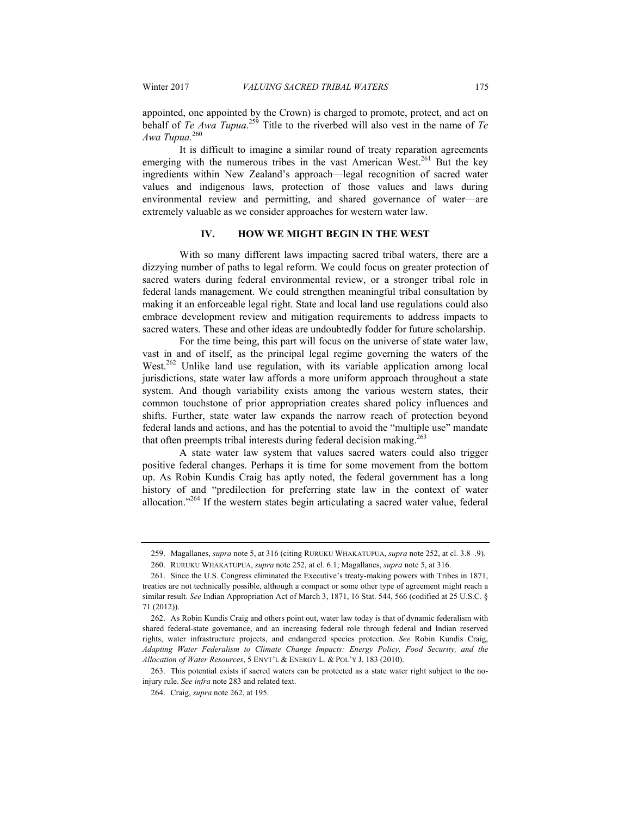appointed, one appointed by the Crown) is charged to promote, protect, and act on behalf of *Te Awa Tupua*. 259 Title to the riverbed will also vest in the name of *Te Awa Tupua.*<sup>260</sup>

It is difficult to imagine a similar round of treaty reparation agreements emerging with the numerous tribes in the vast American West.<sup>261</sup> But the key ingredients within New Zealand's approach—legal recognition of sacred water values and indigenous laws, protection of those values and laws during environmental review and permitting, and shared governance of water—are extremely valuable as we consider approaches for western water law.

## **IV. HOW WE MIGHT BEGIN IN THE WEST**

With so many different laws impacting sacred tribal waters, there are a dizzying number of paths to legal reform. We could focus on greater protection of sacred waters during federal environmental review, or a stronger tribal role in federal lands management. We could strengthen meaningful tribal consultation by making it an enforceable legal right. State and local land use regulations could also embrace development review and mitigation requirements to address impacts to sacred waters. These and other ideas are undoubtedly fodder for future scholarship.

For the time being, this part will focus on the universe of state water law, vast in and of itself, as the principal legal regime governing the waters of the West.<sup>262</sup> Unlike land use regulation, with its variable application among local jurisdictions, state water law affords a more uniform approach throughout a state system. And though variability exists among the various western states, their common touchstone of prior appropriation creates shared policy influences and shifts. Further, state water law expands the narrow reach of protection beyond federal lands and actions, and has the potential to avoid the "multiple use" mandate that often preempts tribal interests during federal decision making.<sup>263</sup>

A state water law system that values sacred waters could also trigger positive federal changes. Perhaps it is time for some movement from the bottom up. As Robin Kundis Craig has aptly noted, the federal government has a long history of and "predilection for preferring state law in the context of water allocation."264 If the western states begin articulating a sacred water value, federal

 263. This potential exists if sacred waters can be protected as a state water right subject to the noinjury rule. *See infra* note 283 and related text.

 <sup>259.</sup> Magallanes, *supra* note 5, at 316 (citing RURUKU WHAKATUPUA, *supra* note 252, at cl. 3.8–.9).

 <sup>260.</sup> RURUKU WHAKATUPUA, *supra* note 252, at cl. 6.1; Magallanes, *supra* note 5, at 316.

 <sup>261.</sup> Since the U.S. Congress eliminated the Executive's treaty-making powers with Tribes in 1871, treaties are not technically possible, although a compact or some other type of agreement might reach a similar result. *See* Indian Appropriation Act of March 3, 1871, 16 Stat. 544, 566 (codified at 25 U.S.C. § 71 (2012)).

 <sup>262.</sup> As Robin Kundis Craig and others point out, water law today is that of dynamic federalism with shared federal-state governance, and an increasing federal role through federal and Indian reserved rights, water infrastructure projects, and endangered species protection. *See* Robin Kundis Craig, *Adapting Water Federalism to Climate Change Impacts: Energy Policy, Food Security, and the Allocation of Water Resources*, 5 ENVT'L & ENERGY L. & POL'Y J. 183 (2010).

 <sup>264.</sup> Craig, *supra* note 262, at 195.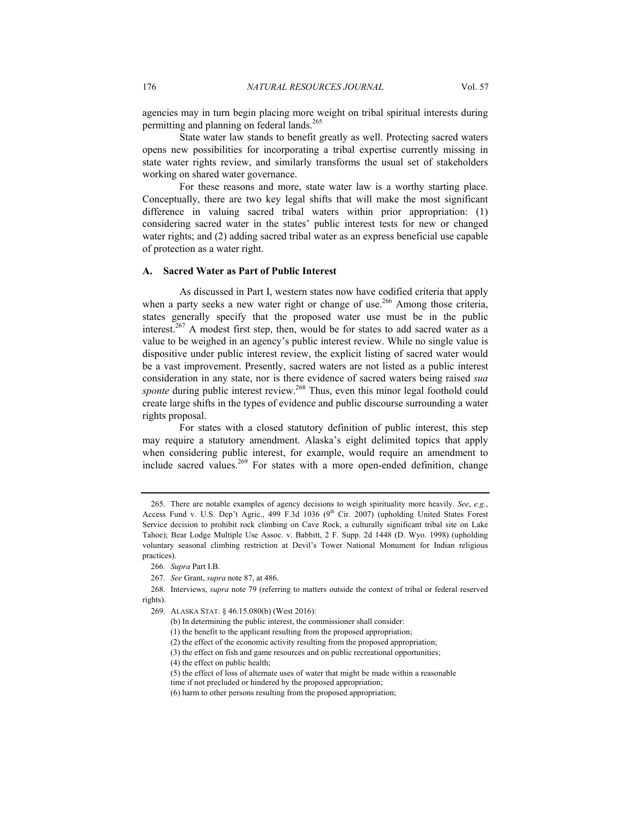agencies may in turn begin placing more weight on tribal spiritual interests during permitting and planning on federal lands.<sup>265</sup>

State water law stands to benefit greatly as well. Protecting sacred waters opens new possibilities for incorporating a tribal expertise currently missing in state water rights review, and similarly transforms the usual set of stakeholders working on shared water governance.

For these reasons and more, state water law is a worthy starting place. Conceptually, there are two key legal shifts that will make the most significant difference in valuing sacred tribal waters within prior appropriation: (1) considering sacred water in the states' public interest tests for new or changed water rights; and (2) adding sacred tribal water as an express beneficial use capable of protection as a water right.

#### **A. Sacred Water as Part of Public Interest**

As discussed in Part I, western states now have codified criteria that apply when a party seeks a new water right or change of use.<sup>266</sup> Among those criteria, states generally specify that the proposed water use must be in the public interest.<sup>267</sup> A modest first step, then, would be for states to add sacred water as a value to be weighed in an agency's public interest review. While no single value is dispositive under public interest review, the explicit listing of sacred water would be a vast improvement. Presently, sacred waters are not listed as a public interest consideration in any state, nor is there evidence of sacred waters being raised *sua sponte* during public interest review.<sup>268</sup> Thus, even this minor legal foothold could create large shifts in the types of evidence and public discourse surrounding a water rights proposal.

For states with a closed statutory definition of public interest, this step may require a statutory amendment. Alaska's eight delimited topics that apply when considering public interest, for example, would require an amendment to include sacred values.<sup>269</sup> For states with a more open-ended definition, change

 <sup>265.</sup> There are notable examples of agency decisions to weigh spirituality more heavily. *See*, *e.g.*, Access Fund v. U.S. Dep't Agric., 499 F.3d 1036 (9<sup>th</sup> Cir. 2007) (upholding United States Forest Service decision to prohibit rock climbing on Cave Rock, a culturally significant tribal site on Lake Tahoe); Bear Lodge Multiple Use Assoc. v. Babbitt, 2 F. Supp. 2d 1448 (D. Wyo. 1998) (upholding voluntary seasonal climbing restriction at Devil's Tower National Monument for Indian religious practices).

<sup>266</sup>*. Supra* Part I.B.

<sup>267</sup>*. See* Grant, *supra* note 87, at 486.

 <sup>268.</sup> Interviews, *supra* note 79 (referring to matters outside the context of tribal or federal reserved rights).

 <sup>269.</sup> ALASKA STAT. § 46.15.080(b) (West 2016):

<sup>(</sup>b) In determining the public interest, the commissioner shall consider:

<sup>(1)</sup> the benefit to the applicant resulting from the proposed appropriation;

<sup>(2)</sup> the effect of the economic activity resulting from the proposed appropriation;

<sup>(3)</sup> the effect on fish and game resources and on public recreational opportunities;

<sup>(4)</sup> the effect on public health;

<sup>(5)</sup> the effect of loss of alternate uses of water that might be made within a reasonable time if not precluded or hindered by the proposed appropriation;

<sup>(6)</sup> harm to other persons resulting from the proposed appropriation;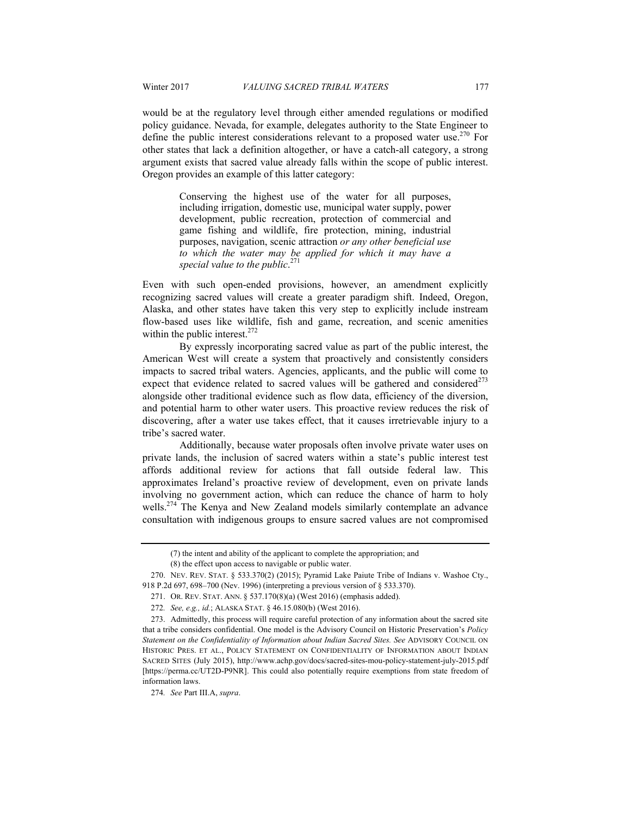would be at the regulatory level through either amended regulations or modified policy guidance. Nevada, for example, delegates authority to the State Engineer to define the public interest considerations relevant to a proposed water use.<sup>270</sup> For other states that lack a definition altogether, or have a catch-all category, a strong argument exists that sacred value already falls within the scope of public interest. Oregon provides an example of this latter category:

> Conserving the highest use of the water for all purposes, including irrigation, domestic use, municipal water supply, power development, public recreation, protection of commercial and game fishing and wildlife, fire protection, mining, industrial purposes, navigation, scenic attraction *or any other beneficial use to which the water may be applied for which it may have a special value to the public*. 271

Even with such open-ended provisions, however, an amendment explicitly recognizing sacred values will create a greater paradigm shift. Indeed, Oregon, Alaska, and other states have taken this very step to explicitly include instream flow-based uses like wildlife, fish and game, recreation, and scenic amenities within the public interest. $272$ 

By expressly incorporating sacred value as part of the public interest, the American West will create a system that proactively and consistently considers impacts to sacred tribal waters. Agencies, applicants, and the public will come to expect that evidence related to sacred values will be gathered and considered  $2^{73}$ alongside other traditional evidence such as flow data, efficiency of the diversion, and potential harm to other water users. This proactive review reduces the risk of discovering, after a water use takes effect, that it causes irretrievable injury to a tribe's sacred water.

Additionally, because water proposals often involve private water uses on private lands, the inclusion of sacred waters within a state's public interest test affords additional review for actions that fall outside federal law. This approximates Ireland's proactive review of development, even on private lands involving no government action, which can reduce the chance of harm to holy wells.<sup>274</sup> The Kenya and New Zealand models similarly contemplate an advance consultation with indigenous groups to ensure sacred values are not compromised

<sup>(7)</sup> the intent and ability of the applicant to complete the appropriation; and

<sup>(8)</sup> the effect upon access to navigable or public water.

 <sup>270.</sup> NEV. REV. STAT. § 533.370(2) (2015); Pyramid Lake Paiute Tribe of Indians v. Washoe Cty., 918 P.2d 697, 698–700 (Nev. 1996) (interpreting a previous version of § 533.370).

 <sup>271.</sup> OR. REV. STAT. ANN. § 537.170(8)(a) (West 2016) (emphasis added).

<sup>272</sup>*. See, e.g., id.*; ALASKA STAT. § 46.15.080(b) (West 2016).

 <sup>273.</sup> Admittedly, this process will require careful protection of any information about the sacred site that a tribe considers confidential. One model is the Advisory Council on Historic Preservation's *Policy Statement on the Confidentiality of Information about Indian Sacred Sites. See* ADVISORY COUNCIL ON HISTORIC PRES. ET AL., POLICY STATEMENT ON CONFIDENTIALITY OF INFORMATION ABOUT INDIAN SACRED SITES (July 2015), http://www.achp.gov/docs/sacred-sites-mou-policy-statement-july-2015.pdf [https://perma.cc/UT2D-P9NR]. This could also potentially require exemptions from state freedom of information laws.

<sup>274</sup>*. See* Part III.A, *supra*.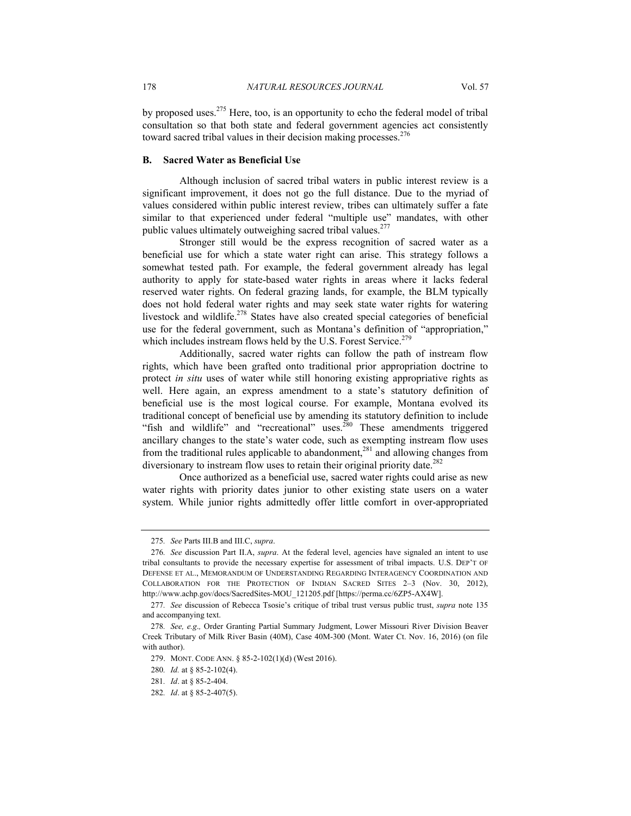by proposed uses.<sup>275</sup> Here, too, is an opportunity to echo the federal model of tribal consultation so that both state and federal government agencies act consistently toward sacred tribal values in their decision making processes.<sup>276</sup>

#### **B. Sacred Water as Beneficial Use**

Although inclusion of sacred tribal waters in public interest review is a significant improvement, it does not go the full distance. Due to the myriad of values considered within public interest review, tribes can ultimately suffer a fate similar to that experienced under federal "multiple use" mandates, with other public values ultimately outweighing sacred tribal values.<sup>277</sup>

Stronger still would be the express recognition of sacred water as a beneficial use for which a state water right can arise. This strategy follows a somewhat tested path. For example, the federal government already has legal authority to apply for state-based water rights in areas where it lacks federal reserved water rights. On federal grazing lands, for example, the BLM typically does not hold federal water rights and may seek state water rights for watering livestock and wildlife.<sup>278</sup> States have also created special categories of beneficial use for the federal government, such as Montana's definition of "appropriation," which includes instream flows held by the U.S. Forest Service.<sup>279</sup>

Additionally, sacred water rights can follow the path of instream flow rights, which have been grafted onto traditional prior appropriation doctrine to protect *in situ* uses of water while still honoring existing appropriative rights as well. Here again, an express amendment to a state's statutory definition of beneficial use is the most logical course. For example, Montana evolved its traditional concept of beneficial use by amending its statutory definition to include "fish and wildlife" and "recreational" uses.<sup>280</sup> These amendments triggered ancillary changes to the state's water code, such as exempting instream flow uses from the traditional rules applicable to abandonment, $^{281}$  and allowing changes from diversionary to instream flow uses to retain their original priority date.<sup>282</sup>

Once authorized as a beneficial use, sacred water rights could arise as new water rights with priority dates junior to other existing state users on a water system. While junior rights admittedly offer little comfort in over-appropriated

<sup>275</sup>*. See* Parts III.B and III.C, *supra*.

<sup>276</sup>*. See* discussion Part II.A, *supra*. At the federal level, agencies have signaled an intent to use tribal consultants to provide the necessary expertise for assessment of tribal impacts. U.S. DEP'T OF DEFENSE ET AL., MEMORANDUM OF UNDERSTANDING REGARDING INTERAGENCY COORDINATION AND COLLABORATION FOR THE PROTECTION OF INDIAN SACRED SITES 2–3 (Nov. 30, 2012), http://www.achp.gov/docs/SacredSites-MOU\_121205.pdf [https://perma.cc/6ZP5-AX4W].

<sup>277</sup>*. See* discussion of Rebecca Tsosie's critique of tribal trust versus public trust, *supra* note 135 and accompanying text.

<sup>278</sup>*. See, e.g*.*,* Order Granting Partial Summary Judgment, Lower Missouri River Division Beaver Creek Tributary of Milk River Basin (40M), Case 40M-300 (Mont. Water Ct. Nov. 16, 2016) (on file with author).

 <sup>279.</sup> MONT. CODE ANN. § 85-2-102(1)(d) (West 2016).

<sup>280</sup>*. Id.* at § 85-2-102(4).

<sup>281</sup>*. Id*. at § 85-2-404.

<sup>282</sup>*. Id*. at § 85-2-407(5).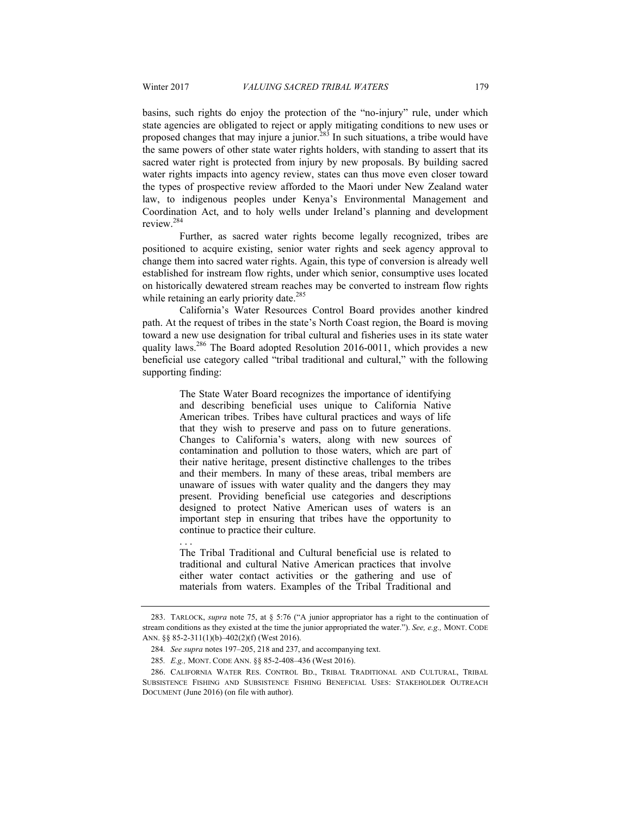basins, such rights do enjoy the protection of the "no-injury" rule, under which state agencies are obligated to reject or apply mitigating conditions to new uses or proposed changes that may injure a junior.<sup>283</sup> In such situations, a tribe would have the same powers of other state water rights holders, with standing to assert that its sacred water right is protected from injury by new proposals. By building sacred water rights impacts into agency review, states can thus move even closer toward the types of prospective review afforded to the Maori under New Zealand water law, to indigenous peoples under Kenya's Environmental Management and Coordination Act, and to holy wells under Ireland's planning and development review<sup>284</sup>

Further, as sacred water rights become legally recognized, tribes are positioned to acquire existing, senior water rights and seek agency approval to change them into sacred water rights. Again, this type of conversion is already well established for instream flow rights, under which senior, consumptive uses located on historically dewatered stream reaches may be converted to instream flow rights while retaining an early priority date.<sup>285</sup>

California's Water Resources Control Board provides another kindred path. At the request of tribes in the state's North Coast region, the Board is moving toward a new use designation for tribal cultural and fisheries uses in its state water quality laws.<sup>286</sup> The Board adopted Resolution 2016-0011, which provides a new beneficial use category called "tribal traditional and cultural," with the following supporting finding:

> The State Water Board recognizes the importance of identifying and describing beneficial uses unique to California Native American tribes. Tribes have cultural practices and ways of life that they wish to preserve and pass on to future generations. Changes to California's waters, along with new sources of contamination and pollution to those waters, which are part of their native heritage, present distinctive challenges to the tribes and their members. In many of these areas, tribal members are unaware of issues with water quality and the dangers they may present. Providing beneficial use categories and descriptions designed to protect Native American uses of waters is an important step in ensuring that tribes have the opportunity to continue to practice their culture.

> The Tribal Traditional and Cultural beneficial use is related to traditional and cultural Native American practices that involve either water contact activities or the gathering and use of materials from waters. Examples of the Tribal Traditional and

. . .

 <sup>283.</sup> TARLOCK, *supra* note 75, at § 5:76 ("A junior appropriator has a right to the continuation of stream conditions as they existed at the time the junior appropriated the water."). *See, e.g.,* MONT. CODE ANN. §§ 85-2-311(1)(b)–402(2)(f) (West 2016).

<sup>284</sup>*. See supra* notes 197–205, 218 and 237, and accompanying text.

<sup>285</sup>*. E.g.,* MONT. CODE ANN. §§ 85-2-408–436 (West 2016).

 <sup>286.</sup> CALIFORNIA WATER RES. CONTROL BD., TRIBAL TRADITIONAL AND CULTURAL, TRIBAL SUBSISTENCE FISHING AND SUBSISTENCE FISHING BENEFICIAL USES: STAKEHOLDER OUTREACH DOCUMENT (June 2016) (on file with author).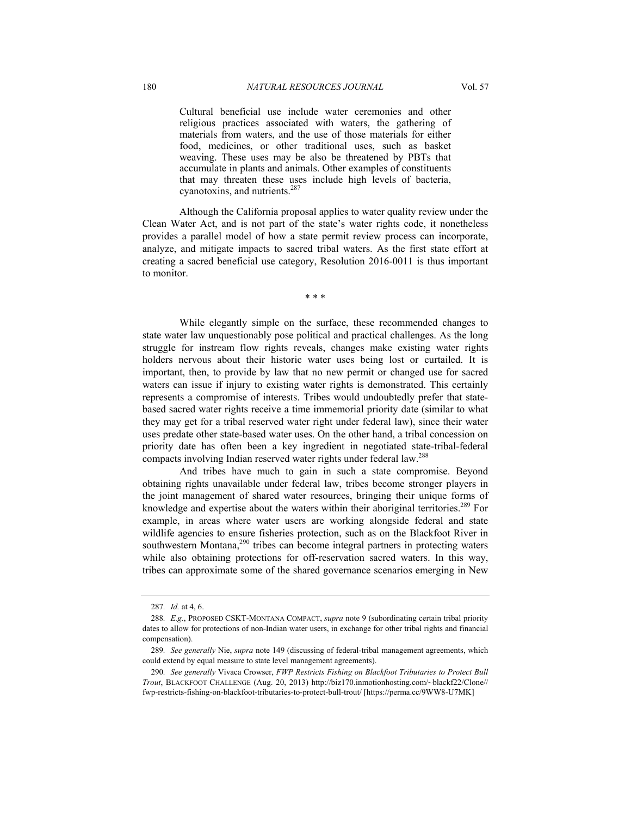Cultural beneficial use include water ceremonies and other religious practices associated with waters, the gathering of materials from waters, and the use of those materials for either food, medicines, or other traditional uses, such as basket weaving. These uses may be also be threatened by PBTs that accumulate in plants and animals. Other examples of constituents that may threaten these uses include high levels of bacteria, cyanotoxins, and nutrients.<sup>287</sup>

Although the California proposal applies to water quality review under the Clean Water Act, and is not part of the state's water rights code, it nonetheless provides a parallel model of how a state permit review process can incorporate, analyze, and mitigate impacts to sacred tribal waters. As the first state effort at creating a sacred beneficial use category, Resolution 2016-0011 is thus important to monitor.

\* \* \*

While elegantly simple on the surface, these recommended changes to state water law unquestionably pose political and practical challenges. As the long struggle for instream flow rights reveals, changes make existing water rights holders nervous about their historic water uses being lost or curtailed. It is important, then, to provide by law that no new permit or changed use for sacred waters can issue if injury to existing water rights is demonstrated. This certainly represents a compromise of interests. Tribes would undoubtedly prefer that statebased sacred water rights receive a time immemorial priority date (similar to what they may get for a tribal reserved water right under federal law), since their water uses predate other state-based water uses. On the other hand, a tribal concession on priority date has often been a key ingredient in negotiated state-tribal-federal compacts involving Indian reserved water rights under federal law.288

And tribes have much to gain in such a state compromise. Beyond obtaining rights unavailable under federal law, tribes become stronger players in the joint management of shared water resources, bringing their unique forms of knowledge and expertise about the waters within their aboriginal territories.<sup>289</sup> For example, in areas where water users are working alongside federal and state wildlife agencies to ensure fisheries protection, such as on the Blackfoot River in southwestern Montana, $2^{90}$  tribes can become integral partners in protecting waters while also obtaining protections for off-reservation sacred waters. In this way, tribes can approximate some of the shared governance scenarios emerging in New

<sup>287</sup>*. Id.* at 4, 6.

<sup>288</sup>*. E.g.*, PROPOSED CSKT-MONTANA COMPACT, *supra* note 9 (subordinating certain tribal priority dates to allow for protections of non-Indian water users, in exchange for other tribal rights and financial compensation).

<sup>289</sup>*. See generally* Nie, *supra* note 149 (discussing of federal-tribal management agreements, which could extend by equal measure to state level management agreements).

<sup>290</sup>*. See generally* Vivaca Crowser, *FWP Restricts Fishing on Blackfoot Tributaries to Protect Bull Trout*, BLACKFOOT CHALLENGE (Aug. 20, 2013) http://biz170.inmotionhosting.com/~blackf22/Clone// fwp-restricts-fishing-on-blackfoot-tributaries-to-protect-bull-trout/ [https://perma.cc/9WW8-U7MK]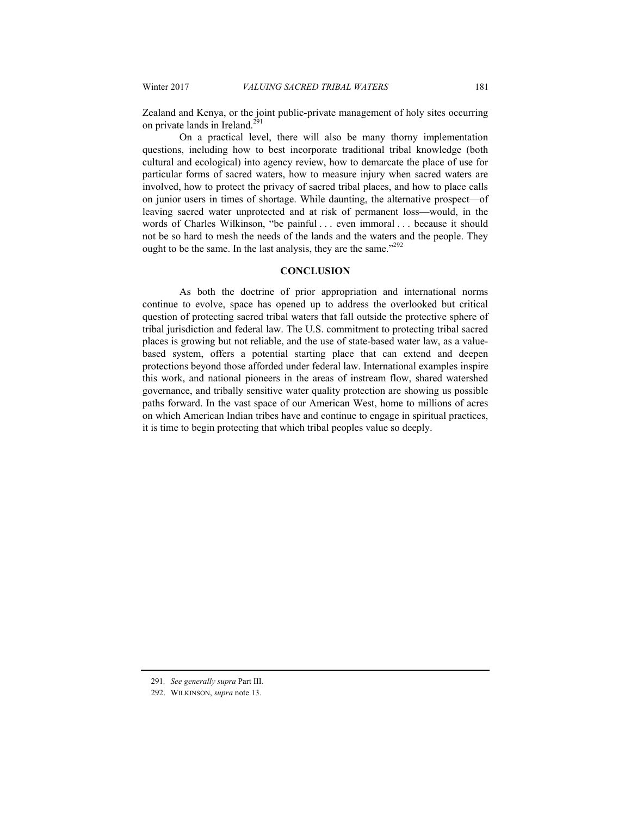Zealand and Kenya, or the joint public-private management of holy sites occurring on private lands in Ireland.<sup>291</sup>

On a practical level, there will also be many thorny implementation questions, including how to best incorporate traditional tribal knowledge (both cultural and ecological) into agency review, how to demarcate the place of use for particular forms of sacred waters, how to measure injury when sacred waters are involved, how to protect the privacy of sacred tribal places, and how to place calls on junior users in times of shortage. While daunting, the alternative prospect—of leaving sacred water unprotected and at risk of permanent loss—would, in the words of Charles Wilkinson, "be painful . . . even immoral . . . because it should not be so hard to mesh the needs of the lands and the waters and the people. They ought to be the same. In the last analysis, they are the same."<sup>292</sup>

# **CONCLUSION**

As both the doctrine of prior appropriation and international norms continue to evolve, space has opened up to address the overlooked but critical question of protecting sacred tribal waters that fall outside the protective sphere of tribal jurisdiction and federal law. The U.S. commitment to protecting tribal sacred places is growing but not reliable, and the use of state-based water law, as a valuebased system, offers a potential starting place that can extend and deepen protections beyond those afforded under federal law. International examples inspire this work, and national pioneers in the areas of instream flow, shared watershed governance, and tribally sensitive water quality protection are showing us possible paths forward. In the vast space of our American West, home to millions of acres on which American Indian tribes have and continue to engage in spiritual practices, it is time to begin protecting that which tribal peoples value so deeply.

<sup>291</sup>*. See generally supra* Part III.

 <sup>292.</sup> WILKINSON, *supra* note 13.